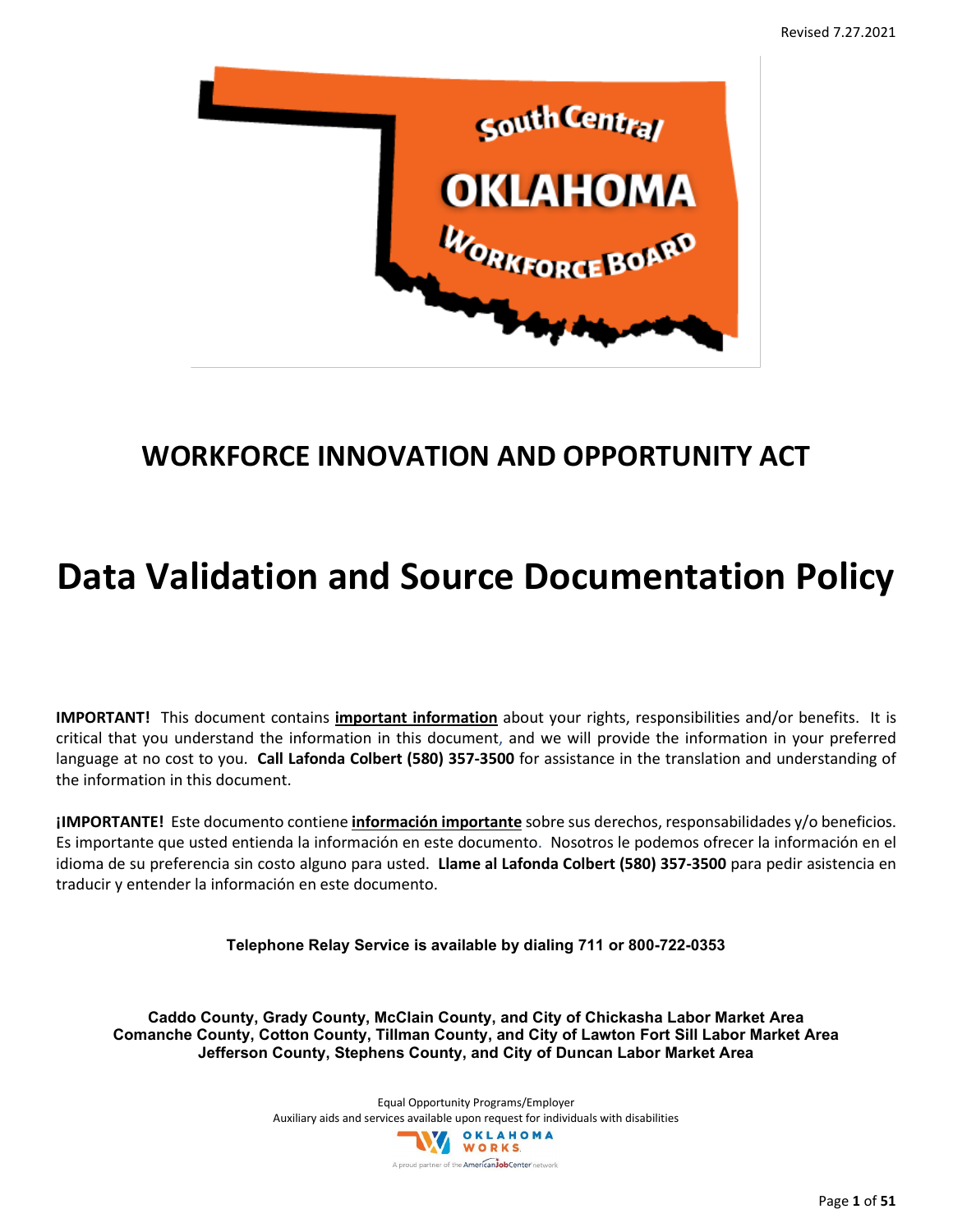

# **WORKFORCE INNOVATION AND OPPORTUNITY ACT**

# **Data Validation and Source Documentation Policy**

**IMPORTANT!** This document contains **important information** about your rights, responsibilities and/or benefits. It is critical that you understand the information in this document, and we will provide the information in your preferred language at no cost to you. **Call Lafonda Colbert (580) 357-3500** for assistance in the translation and understanding of the information in this document.

**¡IMPORTANTE!** Este documento contiene **información importante** sobre sus derechos, responsabilidades y/o beneficios. Es importante que usted entienda la información en este documento. Nosotros le podemos ofrecer la información en el idioma de su preferencia sin costo alguno para usted. **Llame al Lafonda Colbert (580) 357-3500** para pedir asistencia en traducir y entender la información en este documento.

**Telephone Relay Service is available by dialing 711 or 800-722-0353**

**Caddo County, Grady County, McClain County, and City of Chickasha Labor Market Area Comanche County, Cotton County, Tillman County, and City of Lawton Fort Sill Labor Market Area Jefferson County, Stephens County, and City of Duncan Labor Market Area**

> Equal Opportunity Programs/Employer Auxiliary aids and services available upon request for individuals with disabilities OKLAHOMA WORKS ud partner of the **American Job Center** network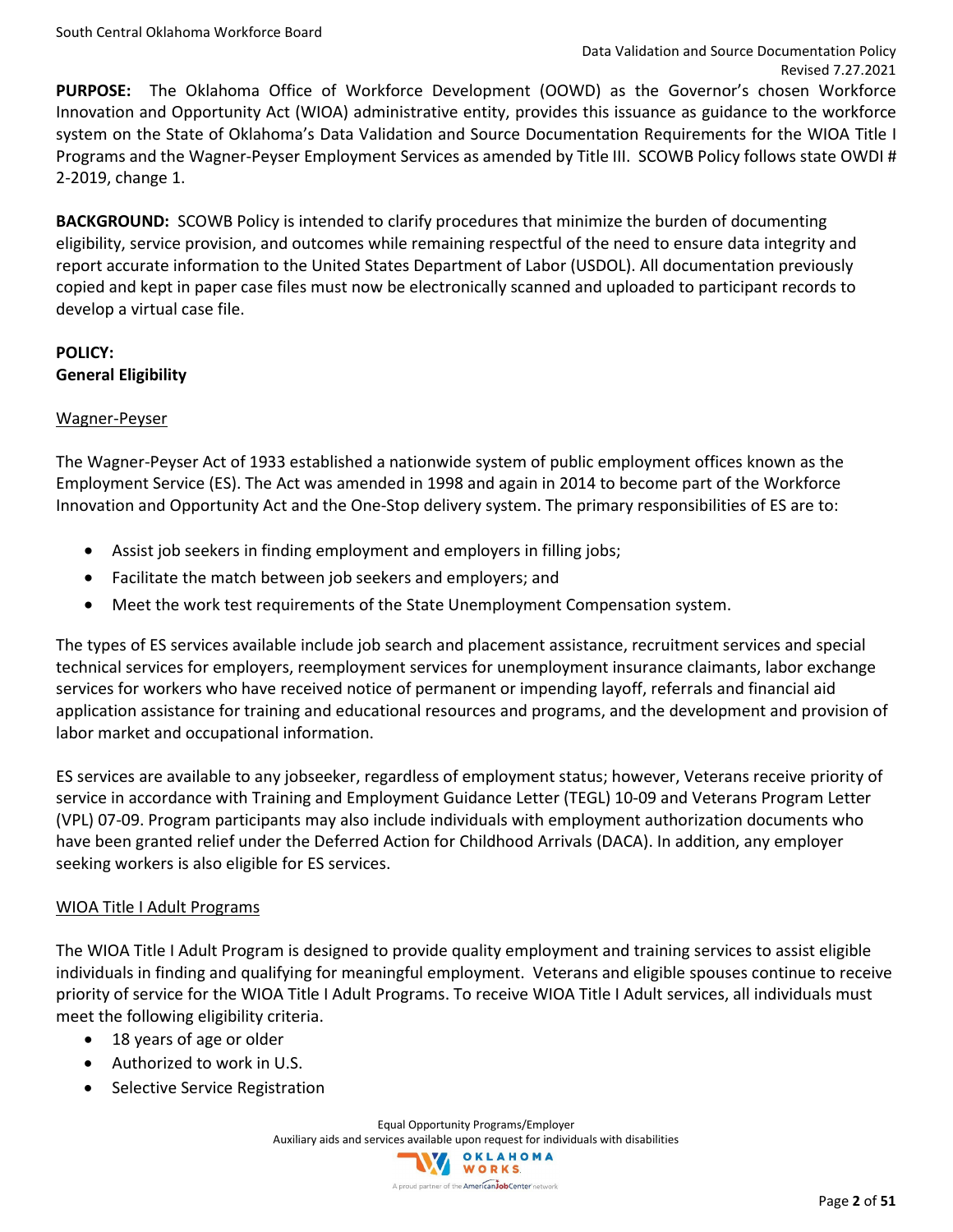**PURPOSE:** The Oklahoma Office of Workforce Development (OOWD) as the Governor's chosen Workforce Innovation and Opportunity Act (WIOA) administrative entity, provides this issuance as guidance to the workforce system on the State of Oklahoma's Data Validation and Source Documentation Requirements for the WIOA Title I Programs and the Wagner-Peyser Employment Services as amended by Title III. SCOWB Policy follows state OWDI # 2-2019, change 1.

**BACKGROUND:** SCOWB Policy is intended to clarify procedures that minimize the burden of documenting eligibility, service provision, and outcomes while remaining respectful of the need to ensure data integrity and report accurate information to the United States Department of Labor (USDOL). All documentation previously copied and kept in paper case files must now be electronically scanned and uploaded to participant records to develop a virtual case file.

## **POLICY: General Eligibility**

## Wagner-Peyser

The Wagner-Peyser Act of 1933 established a nationwide system of public employment offices known as the Employment Service (ES). The Act was amended in 1998 and again in 2014 to become part of the Workforce Innovation and Opportunity Act and the One-Stop delivery system. The primary responsibilities of ES are to:

- Assist job seekers in finding employment and employers in filling jobs;
- Facilitate the match between job seekers and employers; and
- Meet the work test requirements of the State Unemployment Compensation system.

The types of ES services available include job search and placement assistance, recruitment services and special technical services for employers, reemployment services for unemployment insurance claimants, labor exchange services for workers who have received notice of permanent or impending layoff, referrals and financial aid application assistance for training and educational resources and programs, and the development and provision of labor market and occupational information.

ES services are available to any jobseeker, regardless of employment status; however, Veterans receive priority of service in accordance with Training and Employment Guidance Letter (TEGL) 10-09 and Veterans Program Letter (VPL) 07-09. Program participants may also include individuals with employment authorization documents who have been granted relief under the Deferred Action for Childhood Arrivals (DACA). In addition, any employer seeking workers is also eligible for ES services.

## WIOA Title I Adult Programs

The WIOA Title I Adult Program is designed to provide quality employment and training services to assist eligible individuals in finding and qualifying for meaningful employment. Veterans and eligible spouses continue to receive priority of service for the WIOA Title I Adult Programs. To receive WIOA Title I Adult services, all individuals must meet the following eligibility criteria.

- 18 years of age or older
- Authorized to work in U.S.
- Selective Service Registration

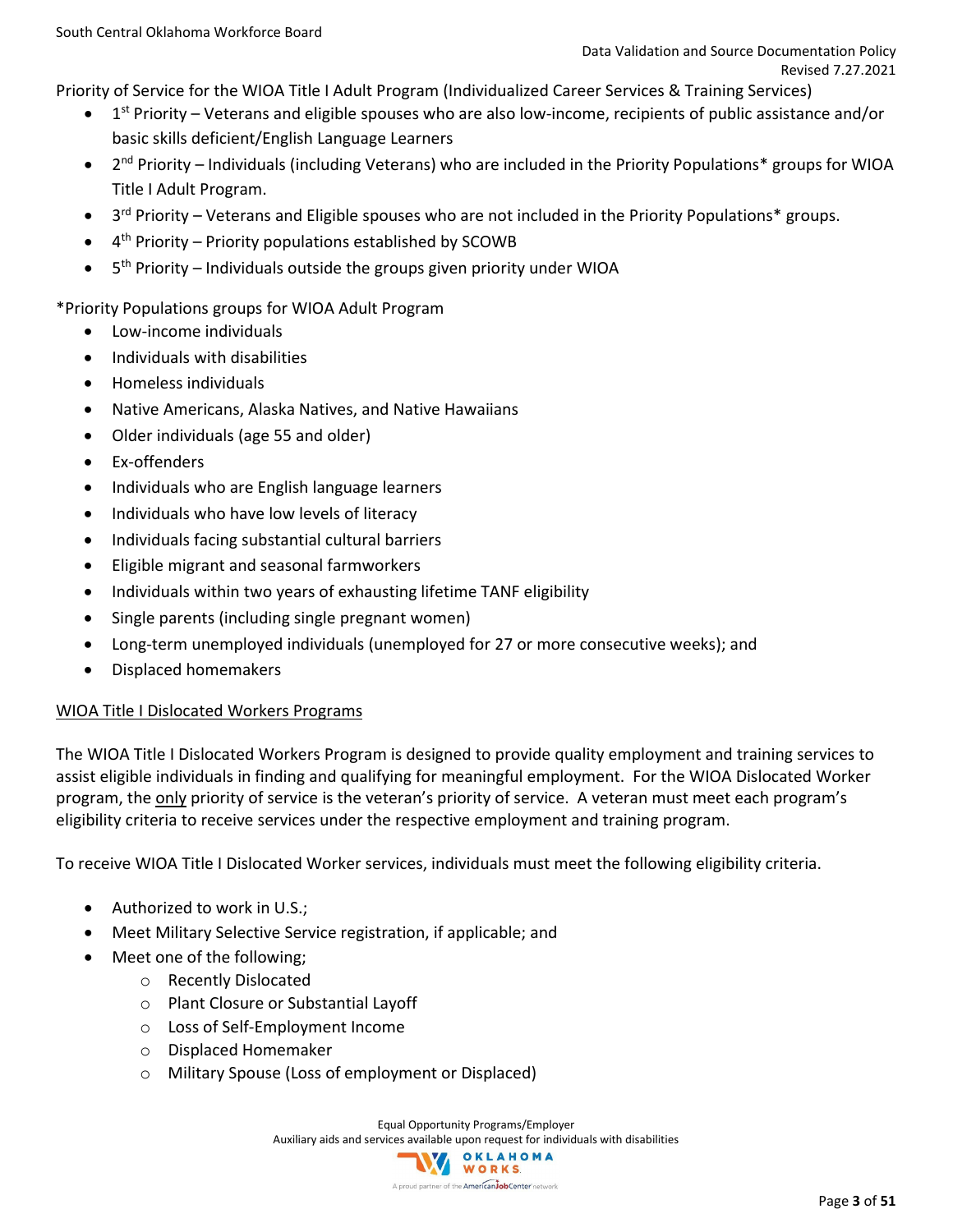Priority of Service for the WIOA Title I Adult Program (Individualized Career Services & Training Services)

- $1<sup>st</sup>$  Priority Veterans and eligible spouses who are also low-income, recipients of public assistance and/or basic skills deficient/English Language Learners
- $2<sup>nd</sup>$  Priority Individuals (including Veterans) who are included in the Priority Populations\* groups for WIOA Title I Adult Program.
- $3<sup>rd</sup>$  Priority Veterans and Eligible spouses who are not included in the Priority Populations\* groups.
- $\bullet$  4<sup>th</sup> Priority Priority populations established by SCOWB
- $\bullet$  5<sup>th</sup> Priority Individuals outside the groups given priority under WIOA

\*Priority Populations groups for WIOA Adult Program

- Low-income individuals
- Individuals with disabilities
- Homeless individuals
- Native Americans, Alaska Natives, and Native Hawaiians
- Older individuals (age 55 and older)
- Ex-offenders
- Individuals who are English language learners
- Individuals who have low levels of literacy
- Individuals facing substantial cultural barriers
- Eligible migrant and seasonal farmworkers
- Individuals within two years of exhausting lifetime TANF eligibility
- Single parents (including single pregnant women)
- Long-term unemployed individuals (unemployed for 27 or more consecutive weeks); and
- Displaced homemakers

### WIOA Title I Dislocated Workers Programs

The WIOA Title I Dislocated Workers Program is designed to provide quality employment and training services to assist eligible individuals in finding and qualifying for meaningful employment. For the WIOA Dislocated Worker program, the only priority of service is the veteran's priority of service. A veteran must meet each program's eligibility criteria to receive services under the respective employment and training program.

To receive WIOA Title I Dislocated Worker services, individuals must meet the following eligibility criteria.

- Authorized to work in U.S.;
- Meet Military Selective Service registration, if applicable; and
- Meet one of the following;
	- o Recently Dislocated
	- o Plant Closure or Substantial Layoff
	- o Loss of Self-Employment Income
	- o Displaced Homemaker
	- o Military Spouse (Loss of employment or Displaced)

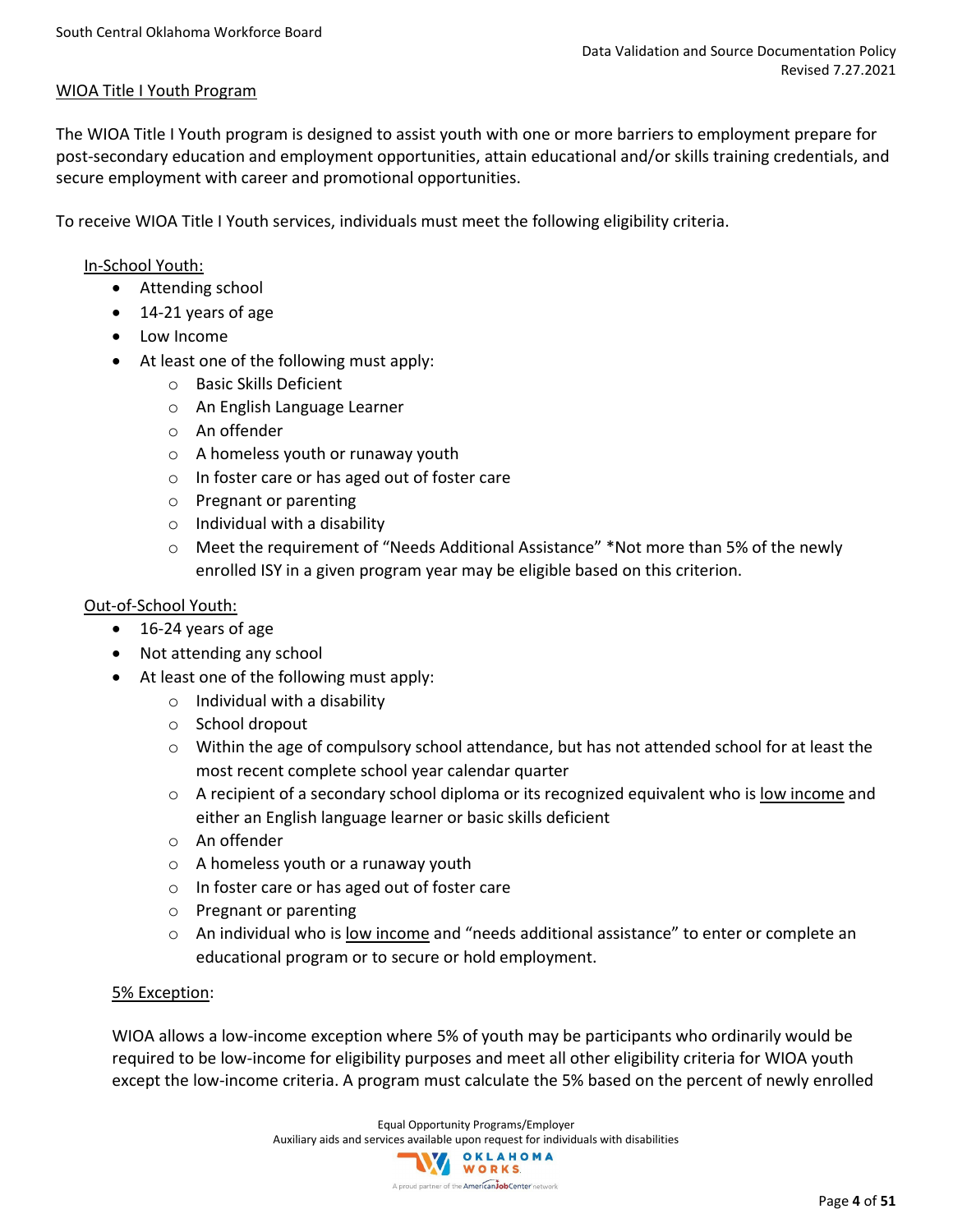### WIOA Title I Youth Program

The WIOA Title I Youth program is designed to assist youth with one or more barriers to employment prepare for post-secondary education and employment opportunities, attain educational and/or skills training credentials, and secure employment with career and promotional opportunities.

To receive WIOA Title I Youth services, individuals must meet the following eligibility criteria.

### In-School Youth:

- Attending school
- 14-21 years of age
- Low Income
- At least one of the following must apply:
	- o Basic Skills Deficient
	- o An English Language Learner
	- o An offender
	- o A homeless youth or runaway youth
	- o In foster care or has aged out of foster care
	- o Pregnant or parenting
	- $\circ$  Individual with a disability
	- o Meet the requirement of "Needs Additional Assistance" \*Not more than 5% of the newly enrolled ISY in a given program year may be eligible based on this criterion.

### Out-of-School Youth:

- 16-24 years of age
- Not attending any school
- At least one of the following must apply:
	- $\circ$  Individual with a disability
	- o School dropout
	- $\circ$  Within the age of compulsory school attendance, but has not attended school for at least the most recent complete school year calendar quarter
	- $\circ$  A recipient of a secondary school diploma or its recognized equivalent who is low income and either an English language learner or basic skills deficient
	- o An offender
	- o A homeless youth or a runaway youth
	- o In foster care or has aged out of foster care
	- o Pregnant or parenting
	- $\circ$  An individual who is low income and "needs additional assistance" to enter or complete an educational program or to secure or hold employment.

### 5% Exception:

WIOA allows a low-income exception where 5% of youth may be participants who ordinarily would be required to be low-income for eligibility purposes and meet all other eligibility criteria for WIOA youth except the low-income criteria. A program must calculate the 5% based on the percent of newly enrolled

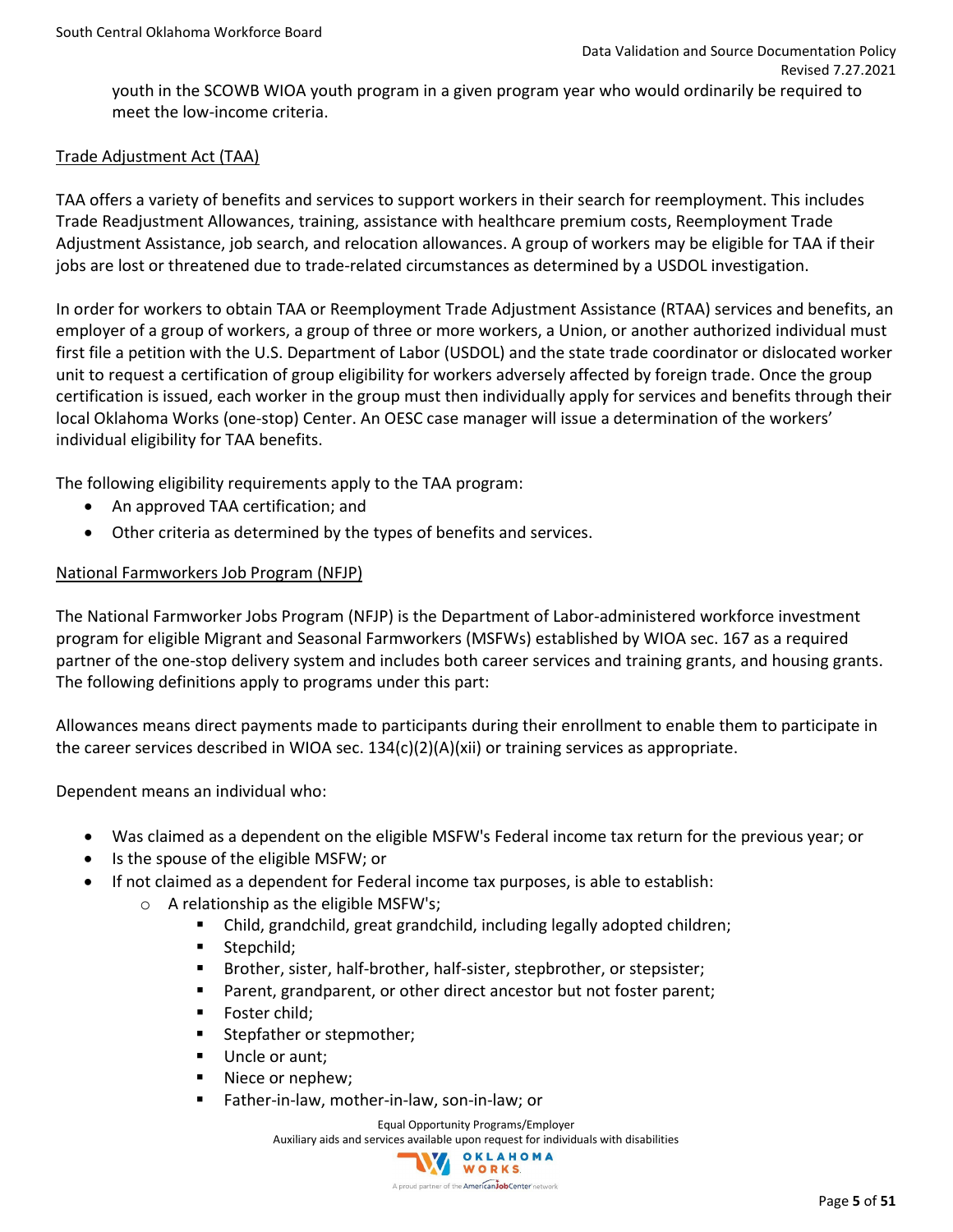youth in the SCOWB WIOA youth program in a given program year who would ordinarily be required to meet the low-income criteria.

### Trade Adjustment Act (TAA)

TAA offers a variety of benefits and services to support workers in their search for reemployment. This includes Trade Readjustment Allowances, training, assistance with healthcare premium costs, Reemployment Trade Adjustment Assistance, job search, and relocation allowances. A group of workers may be eligible for TAA if their jobs are lost or threatened due to trade-related circumstances as determined by a USDOL investigation.

In order for workers to obtain TAA or Reemployment Trade Adjustment Assistance (RTAA) services and benefits, an employer of a group of workers, a group of three or more workers, a Union, or another authorized individual must first file a petition with the U.S. Department of Labor (USDOL) and the state trade coordinator or dislocated worker unit to request a certification of group eligibility for workers adversely affected by foreign trade. Once the group certification is issued, each worker in the group must then individually apply for services and benefits through their local Oklahoma Works (one-stop) Center. An OESC case manager will issue a determination of the workers' individual eligibility for TAA benefits.

The following eligibility requirements apply to the TAA program:

- An approved TAA certification; and
- Other criteria as determined by the types of benefits and services.

### National Farmworkers Job Program (NFJP)

The National Farmworker Jobs Program (NFJP) is the Department of Labor-administered workforce investment program for eligible Migrant and Seasonal Farmworkers (MSFWs) established by WIOA sec. 167 as a required partner of the one-stop delivery system and includes both career services and training grants, and housing grants. The following definitions apply to programs under this part:

Allowances means direct payments made to participants during their enrollment to enable them to participate in the career services described in WIOA sec.  $134(c)(2)(A)(xi)$  or training services as appropriate.

Dependent means an individual who:

- Was claimed as a dependent on the eligible MSFW's Federal income tax return for the previous year; or
- Is the spouse of the eligible MSFW; or
- If not claimed as a dependent for Federal income tax purposes, is able to establish:
	- o A relationship as the eligible MSFW's;
		- Child, grandchild, great grandchild, including legally adopted children;
		- **Stepchild;**
		- Brother, sister, half-brother, half-sister, stepbrother, or stepsister;
		- **Parent, grandparent, or other direct ancestor but not foster parent;**
		- **Foster child:**
		- **Stepfather or stepmother;**
		- Uncle or aunt;
		- Niece or nephew;
		- Father-in-law, mother-in-law, son-in-law; or

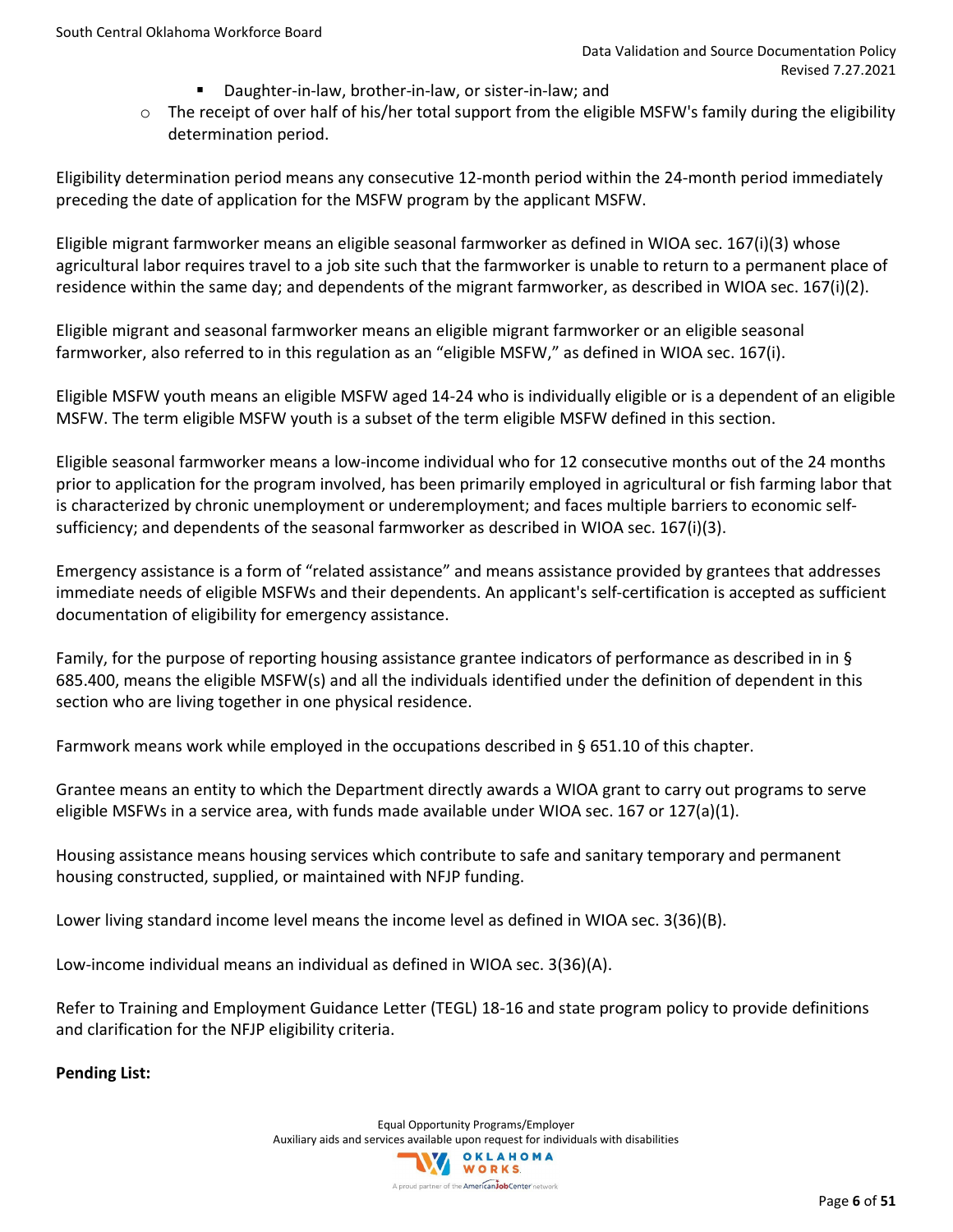- Daughter-in-law, brother-in-law, or sister-in-law; and
- $\circ$  The receipt of over half of his/her total support from the eligible MSFW's family during the eligibility determination period.

Eligibility determination period means any consecutive 12-month period within the 24-month period immediately preceding the date of application for the MSFW program by the applicant MSFW.

Eligible migrant farmworker means an eligible seasonal farmworker as defined in WIOA sec. 167(i)(3) whose agricultural labor requires travel to a job site such that the farmworker is unable to return to a permanent place of residence within the same day; and dependents of the migrant farmworker, as described in WIOA sec. 167(i)(2).

Eligible migrant and seasonal farmworker means an eligible migrant farmworker or an eligible seasonal farmworker, also referred to in this regulation as an "eligible MSFW," as defined in WIOA sec. 167(i).

Eligible MSFW youth means an eligible MSFW aged 14-24 who is individually eligible or is a dependent of an eligible MSFW. The term eligible MSFW youth is a subset of the term eligible MSFW defined in this section.

Eligible seasonal farmworker means a low-income individual who for 12 consecutive months out of the 24 months prior to application for the program involved, has been primarily employed in agricultural or fish farming labor that is characterized by chronic unemployment or underemployment; and faces multiple barriers to economic selfsufficiency; and dependents of the seasonal farmworker as described in WIOA sec. 167(i)(3).

Emergency assistance is a form of "related assistance" and means assistance provided by grantees that addresses immediate needs of eligible MSFWs and their dependents. An applicant's self-certification is accepted as sufficient documentation of eligibility for emergency assistance.

Family, for the purpose of reporting housing assistance grantee indicators of performance as described in in § 685.400, means the eligible MSFW(s) and all the individuals identified under the definition of dependent in this section who are living together in one physical residence.

Farmwork means work while employed in the occupations described in § 651.10 of this chapter.

Grantee means an entity to which the Department directly awards a WIOA grant to carry out programs to serve eligible MSFWs in a service area, with funds made available under WIOA sec. 167 or 127(a)(1).

Housing assistance means housing services which contribute to safe and sanitary temporary and permanent housing constructed, supplied, or maintained with NFJP funding.

Lower living standard income level means the income level as defined in WIOA sec. 3(36)(B).

Low-income individual means an individual as defined in WIOA sec. 3(36)(A).

Refer to Training and Employment Guidance Letter (TEGL) 18-16 and state program policy to provide definitions and clarification for the NFJP eligibility criteria.

**Pending List:**

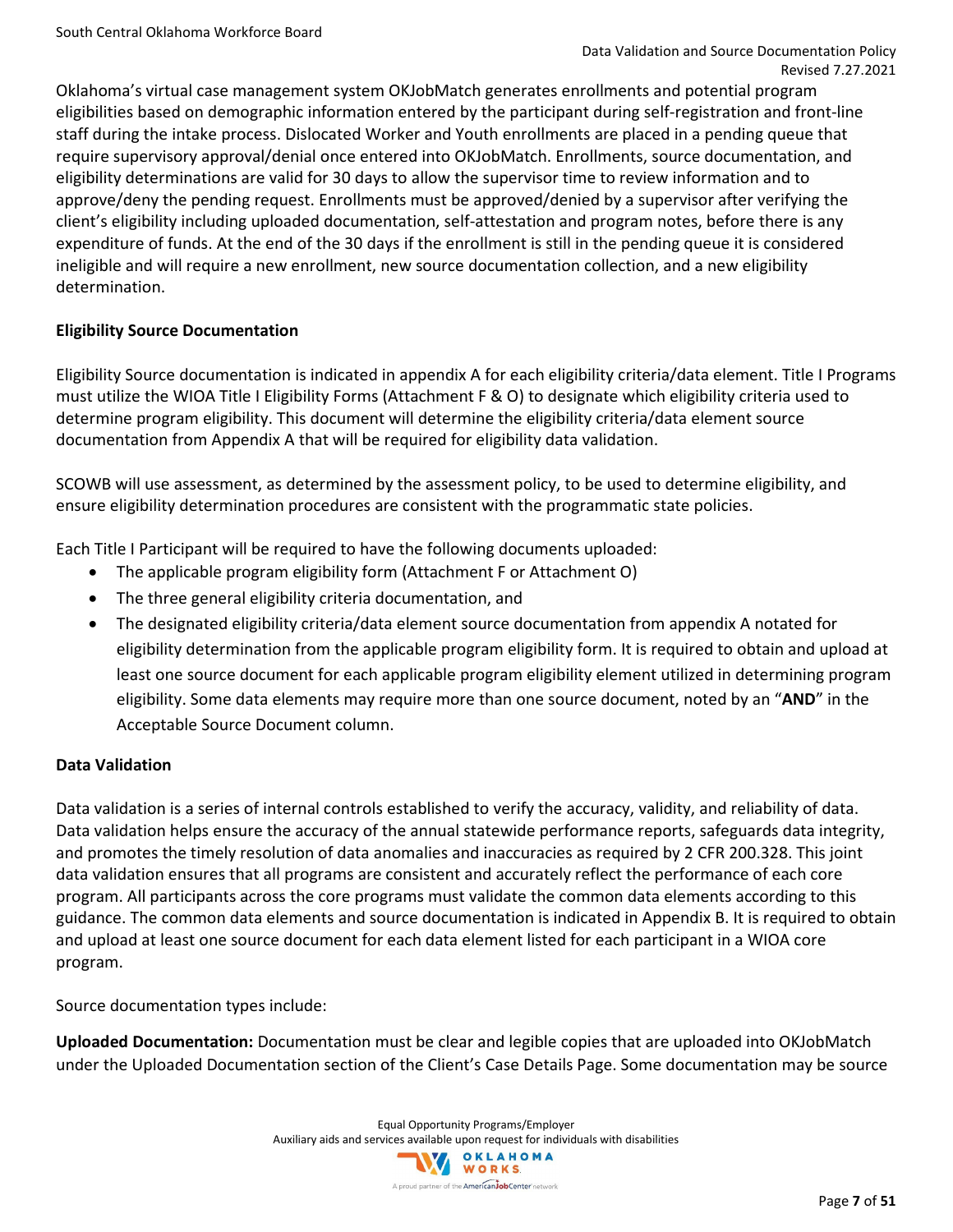Oklahoma's virtual case management system OKJobMatch generates enrollments and potential program eligibilities based on demographic information entered by the participant during self-registration and front-line staff during the intake process. Dislocated Worker and Youth enrollments are placed in a pending queue that require supervisory approval/denial once entered into OKJobMatch. Enrollments, source documentation, and eligibility determinations are valid for 30 days to allow the supervisor time to review information and to approve/deny the pending request. Enrollments must be approved/denied by a supervisor after verifying the client's eligibility including uploaded documentation, self-attestation and program notes, before there is any expenditure of funds. At the end of the 30 days if the enrollment is still in the pending queue it is considered ineligible and will require a new enrollment, new source documentation collection, and a new eligibility determination.

### **Eligibility Source Documentation**

Eligibility Source documentation is indicated in appendix A for each eligibility criteria/data element. Title I Programs must utilize the WIOA Title I Eligibility Forms (Attachment F & O) to designate which eligibility criteria used to determine program eligibility. This document will determine the eligibility criteria/data element source documentation from Appendix A that will be required for eligibility data validation.

SCOWB will use assessment, as determined by the assessment policy, to be used to determine eligibility, and ensure eligibility determination procedures are consistent with the programmatic state policies.

Each Title I Participant will be required to have the following documents uploaded:

- The applicable program eligibility form (Attachment F or Attachment O)
- The three general eligibility criteria documentation, and
- The designated eligibility criteria/data element source documentation from appendix A notated for eligibility determination from the applicable program eligibility form. It is required to obtain and upload at least one source document for each applicable program eligibility element utilized in determining program eligibility. Some data elements may require more than one source document, noted by an "**AND**" in the Acceptable Source Document column.

### **Data Validation**

Data validation is a series of internal controls established to verify the accuracy, validity, and reliability of data. Data validation helps ensure the accuracy of the annual statewide performance reports, safeguards data integrity, and promotes the timely resolution of data anomalies and inaccuracies as required by 2 CFR 200.328. This joint data validation ensures that all programs are consistent and accurately reflect the performance of each core program. All participants across the core programs must validate the common data elements according to this guidance. The common data elements and source documentation is indicated in Appendix B. It is required to obtain and upload at least one source document for each data element listed for each participant in a WIOA core program.

Source documentation types include:

**Uploaded Documentation:** Documentation must be clear and legible copies that are uploaded into OKJobMatch under the Uploaded Documentation section of the Client's Case Details Page. Some documentation may be source

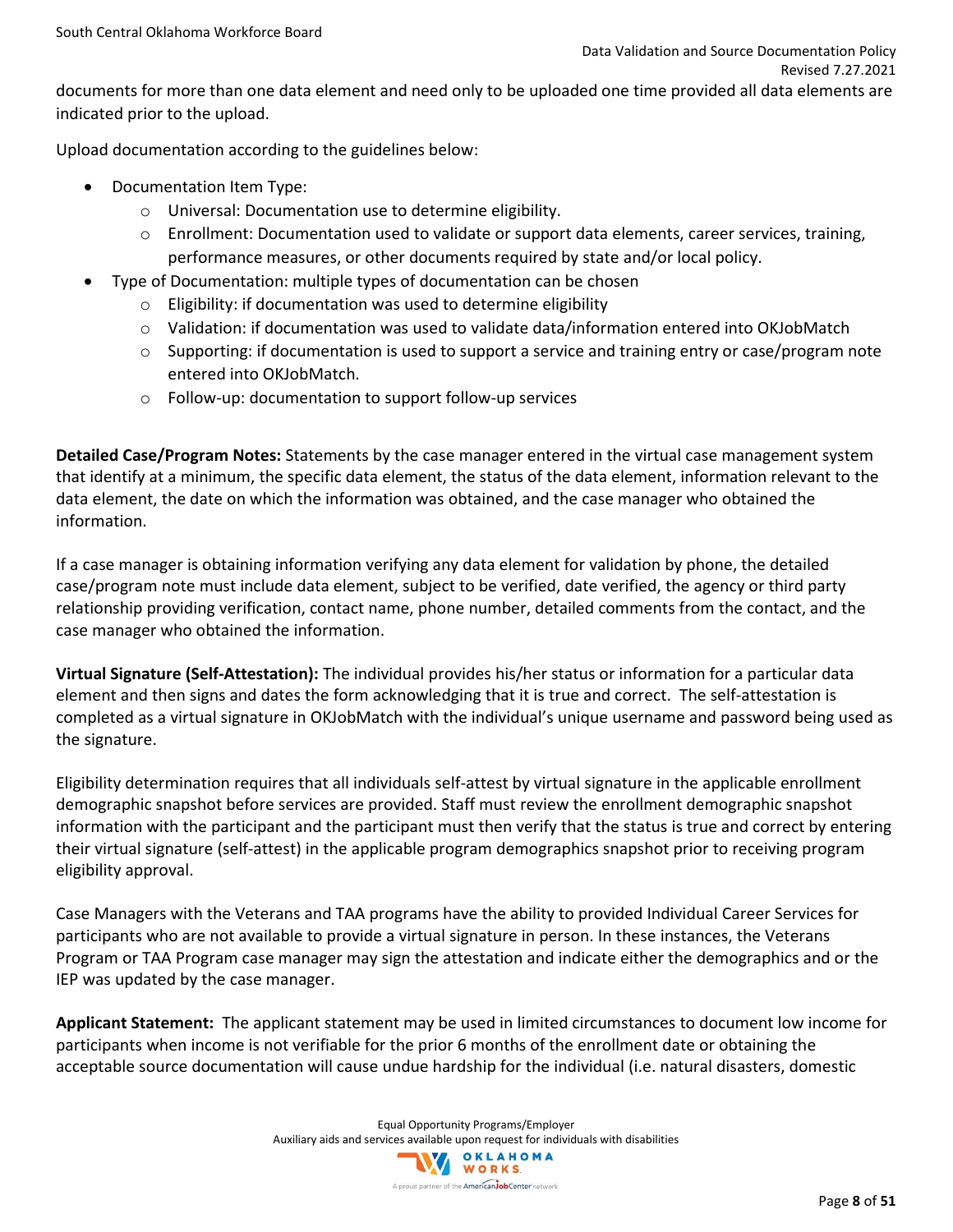documents for more than one data element and need only to be uploaded one time provided all data elements are indicated prior to the upload.

Upload documentation according to the guidelines below:

- Documentation Item Type:
	- o Universal: Documentation use to determine eligibility.
	- $\circ$  Enrollment: Documentation used to validate or support data elements, career services, training, performance measures, or other documents required by state and/or local policy.
- Type of Documentation: multiple types of documentation can be chosen
	- $\circ$  Eligibility: if documentation was used to determine eligibility
	- $\circ$  Validation: if documentation was used to validate data/information entered into OKJobMatch
	- $\circ$  Supporting: if documentation is used to support a service and training entry or case/program note entered into OKJobMatch.
	- o Follow-up: documentation to support follow-up services

**Detailed Case/Program Notes:** Statements by the case manager entered in the virtual case management system that identify at a minimum, the specific data element, the status of the data element, information relevant to the data element, the date on which the information was obtained, and the case manager who obtained the information.

If a case manager is obtaining information verifying any data element for validation by phone, the detailed case/program note must include data element, subject to be verified, date verified, the agency or third party relationship providing verification, contact name, phone number, detailed comments from the contact, and the case manager who obtained the information.

**Virtual Signature (Self-Attestation):** The individual provides his/her status or information for a particular data element and then signs and dates the form acknowledging that it is true and correct. The self-attestation is completed as a virtual signature in OKJobMatch with the individual's unique username and password being used as the signature.

Eligibility determination requires that all individuals self-attest by virtual signature in the applicable enrollment demographic snapshot before services are provided. Staff must review the enrollment demographic snapshot information with the participant and the participant must then verify that the status is true and correct by entering their virtual signature (self-attest) in the applicable program demographics snapshot prior to receiving program eligibility approval.

Case Managers with the Veterans and TAA programs have the ability to provided Individual Career Services for participants who are not available to provide a virtual signature in person. In these instances, the Veterans Program or TAA Program case manager may sign the attestation and indicate either the demographics and or the IEP was updated by the case manager.

**Applicant Statement:** The applicant statement may be used in limited circumstances to document low income for participants when income is not verifiable for the prior 6 months of the enrollment date or obtaining the acceptable source documentation will cause undue hardship for the individual (i.e. natural disasters, domestic

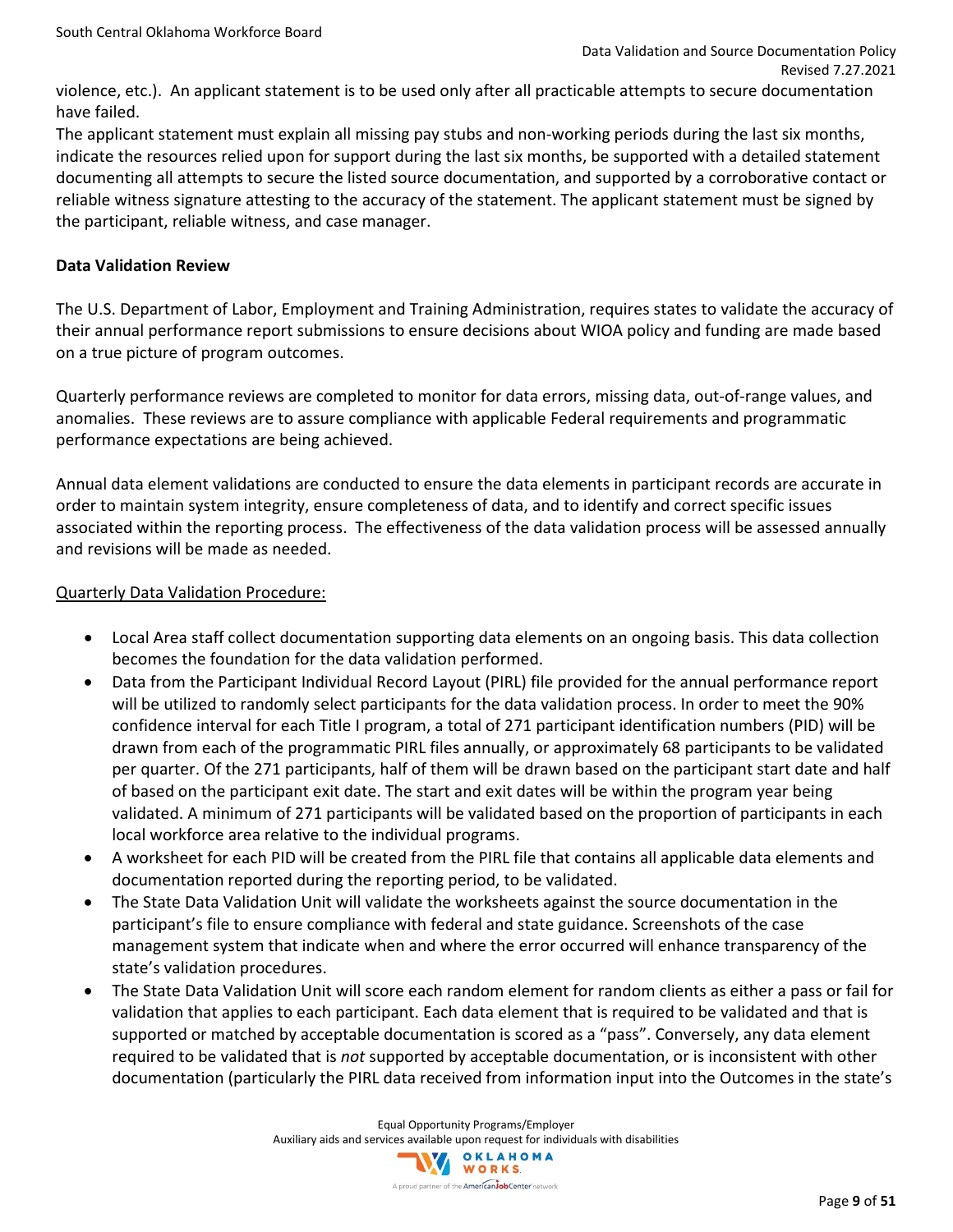violence, etc.). An applicant statement is to be used only after all practicable attempts to secure documentation have failed.

The applicant statement must explain all missing pay stubs and non-working periods during the last six months, indicate the resources relied upon for support during the last six months, be supported with a detailed statement documenting all attempts to secure the listed source documentation, and supported by a corroborative contact or reliable witness signature attesting to the accuracy of the statement. The applicant statement must be signed by the participant, reliable witness, and case manager.

### **Data Validation Review**

The U.S. Department of Labor, Employment and Training Administration, requires states to validate the accuracy of their annual performance report submissions to ensure decisions about WIOA policy and funding are made based on a true picture of program outcomes.

Quarterly performance reviews are completed to monitor for data errors, missing data, out-of-range values, and anomalies. These reviews are to assure compliance with applicable Federal requirements and programmatic performance expectations are being achieved.

Annual data element validations are conducted to ensure the data elements in participant records are accurate in order to maintain system integrity, ensure completeness of data, and to identify and correct specific issues associated within the reporting process. The effectiveness of the data validation process will be assessed annually and revisions will be made as needed.

### Quarterly Data Validation Procedure:

- Local Area staff collect documentation supporting data elements on an ongoing basis. This data collection becomes the foundation for the data validation performed.
- Data from the Participant Individual Record Layout (PIRL) file provided for the annual performance report will be utilized to randomly select participants for the data validation process. In order to meet the 90% confidence interval for each Title I program, a total of 271 participant identification numbers (PID) will be drawn from each of the programmatic PIRL files annually, or approximately 68 participants to be validated per quarter. Of the 271 participants, half of them will be drawn based on the participant start date and half of based on the participant exit date. The start and exit dates will be within the program year being validated. A minimum of 271 participants will be validated based on the proportion of participants in each local workforce area relative to the individual programs.
- A worksheet for each PID will be created from the PIRL file that contains all applicable data elements and documentation reported during the reporting period, to be validated.
- The State Data Validation Unit will validate the worksheets against the source documentation in the participant's file to ensure compliance with federal and state guidance. Screenshots of the case management system that indicate when and where the error occurred will enhance transparency of the state's validation procedures.
- The State Data Validation Unit will score each random element for random clients as either a pass or fail for validation that applies to each participant. Each data element that is required to be validated and that is supported or matched by acceptable documentation is scored as a "pass". Conversely, any data element required to be validated that is *not* supported by acceptable documentation, or is inconsistent with other documentation (particularly the PIRL data received from information input into the Outcomes in the state's

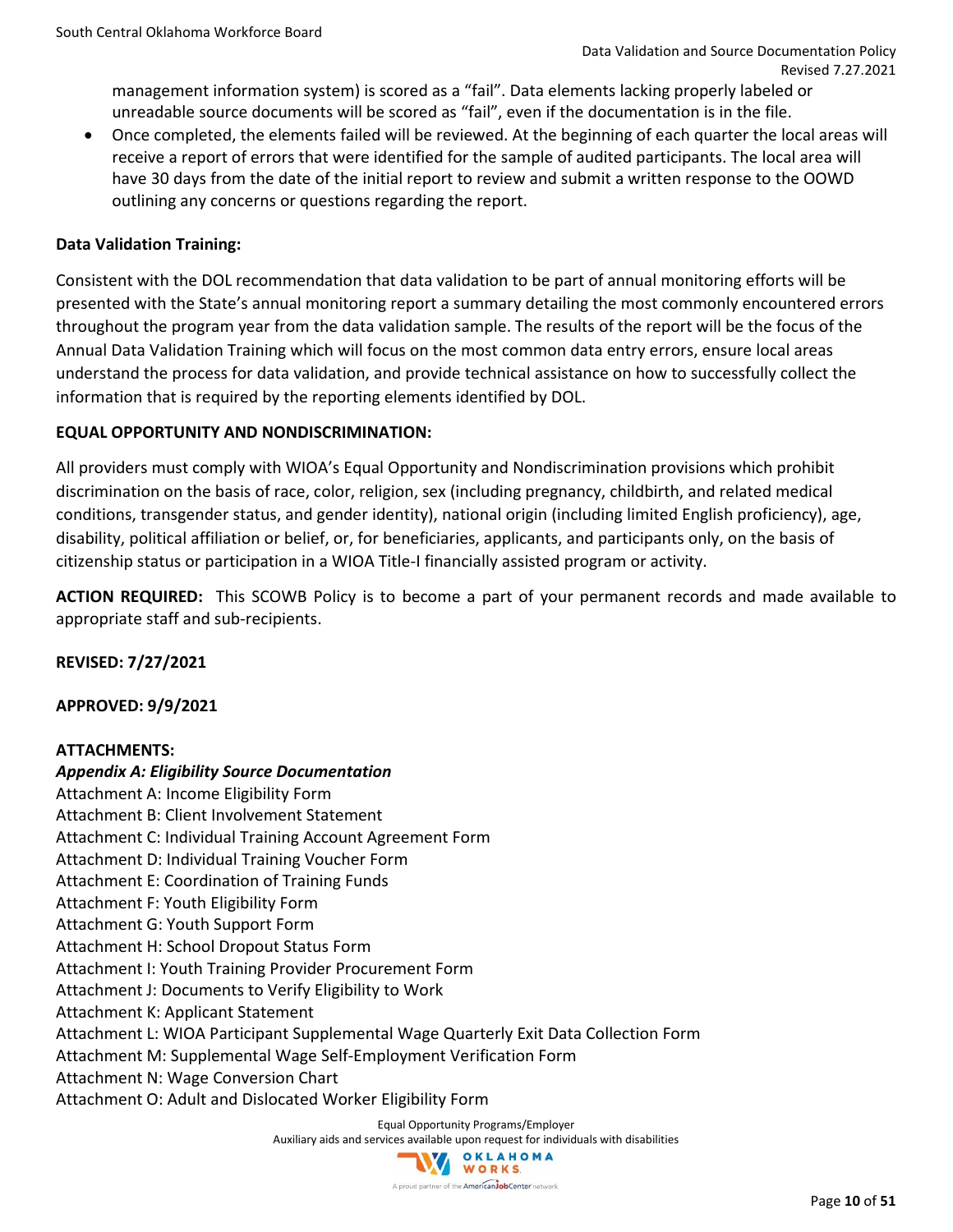management information system) is scored as a "fail". Data elements lacking properly labeled or unreadable source documents will be scored as "fail", even if the documentation is in the file.

• Once completed, the elements failed will be reviewed. At the beginning of each quarter the local areas will receive a report of errors that were identified for the sample of audited participants. The local area will have 30 days from the date of the initial report to review and submit a written response to the OOWD outlining any concerns or questions regarding the report.

### **Data Validation Training:**

Consistent with the DOL recommendation that data validation to be part of annual monitoring efforts will be presented with the State's annual monitoring report a summary detailing the most commonly encountered errors throughout the program year from the data validation sample. The results of the report will be the focus of the Annual Data Validation Training which will focus on the most common data entry errors, ensure local areas understand the process for data validation, and provide technical assistance on how to successfully collect the information that is required by the reporting elements identified by DOL.

### **EQUAL OPPORTUNITY AND NONDISCRIMINATION:**

All providers must comply with WIOA's Equal Opportunity and Nondiscrimination provisions which prohibit discrimination on the basis of race, color, religion, sex (including pregnancy, childbirth, and related medical conditions, transgender status, and gender identity), national origin (including limited English proficiency), age, disability, political affiliation or belief, or, for beneficiaries, applicants, and participants only, on the basis of citizenship status or participation in a WIOA Title-I financially assisted program or activity.

**ACTION REQUIRED:** This SCOWB Policy is to become a part of your permanent records and made available to appropriate staff and sub-recipients.

**REVISED: 7/27/2021**

**APPROVED: 9/9/2021**

### **ATTACHMENTS:**

*Appendix A: Eligibility Source Documentation* Attachment A: Income Eligibility Form Attachment B: Client Involvement Statement Attachment C: Individual Training Account Agreement Form Attachment D: Individual Training Voucher Form Attachment E: Coordination of Training Funds Attachment F: Youth Eligibility Form Attachment G: Youth Support Form Attachment H: School Dropout Status Form Attachment I: Youth Training Provider Procurement Form Attachment J: Documents to Verify Eligibility to Work Attachment K: Applicant Statement Attachment L: WIOA Participant Supplemental Wage Quarterly Exit Data Collection Form Attachment M: Supplemental Wage Self-Employment Verification Form Attachment N: Wage Conversion Chart Attachment O: Adult and Dislocated Worker Eligibility Form

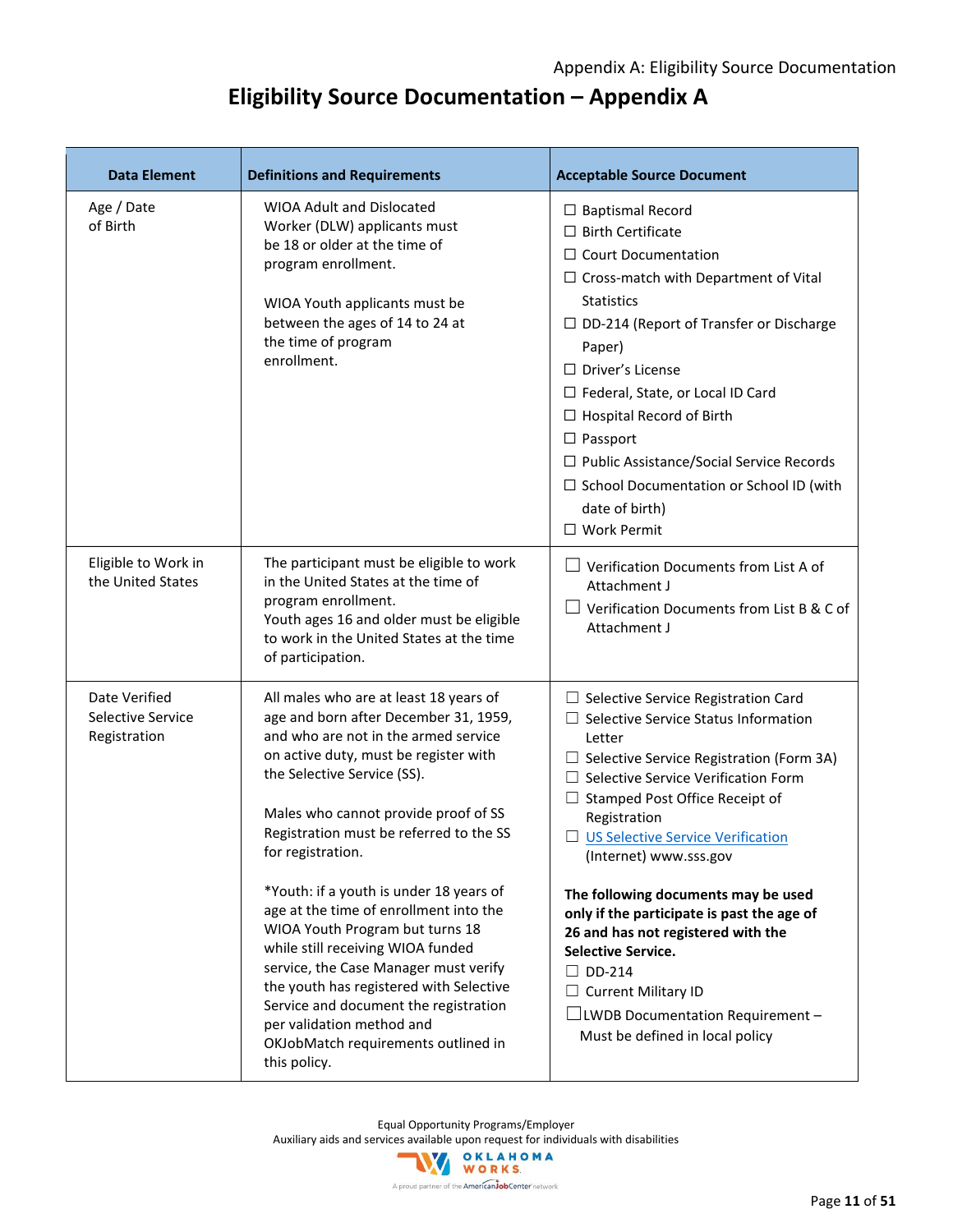## **Eligibility Source Documentation – Appendix A**

| <b>Definitions and Requirements</b>                                                                                                                                                                                                                                                                                                                                                                                                                                                                                                                                                                                            | <b>Acceptable Source Document</b>                                                                                                                                                                                                                                                                                                                                                                                                                                                                                                                                                                           |
|--------------------------------------------------------------------------------------------------------------------------------------------------------------------------------------------------------------------------------------------------------------------------------------------------------------------------------------------------------------------------------------------------------------------------------------------------------------------------------------------------------------------------------------------------------------------------------------------------------------------------------|-------------------------------------------------------------------------------------------------------------------------------------------------------------------------------------------------------------------------------------------------------------------------------------------------------------------------------------------------------------------------------------------------------------------------------------------------------------------------------------------------------------------------------------------------------------------------------------------------------------|
| <b>WIOA Adult and Dislocated</b><br>Worker (DLW) applicants must<br>be 18 or older at the time of<br>program enrollment.<br>WIOA Youth applicants must be<br>between the ages of 14 to 24 at<br>the time of program<br>enrollment.                                                                                                                                                                                                                                                                                                                                                                                             | $\Box$ Baptismal Record<br>$\Box$ Birth Certificate<br>$\Box$ Court Documentation<br>$\Box$ Cross-match with Department of Vital<br><b>Statistics</b><br>$\Box$ DD-214 (Report of Transfer or Discharge<br>Paper)<br>$\Box$ Driver's License<br>$\Box$ Federal, State, or Local ID Card<br>$\Box$ Hospital Record of Birth<br>$\Box$ Passport<br>$\Box$ Public Assistance/Social Service Records<br>□ School Documentation or School ID (with<br>date of birth)<br>□ Work Permit                                                                                                                            |
| The participant must be eligible to work<br>in the United States at the time of<br>program enrollment.<br>Youth ages 16 and older must be eligible<br>to work in the United States at the time<br>of participation.                                                                                                                                                                                                                                                                                                                                                                                                            | Verification Documents from List A of<br>Attachment J<br>Verification Documents from List B & C of<br>Attachment J                                                                                                                                                                                                                                                                                                                                                                                                                                                                                          |
| All males who are at least 18 years of<br>age and born after December 31, 1959,<br>and who are not in the armed service<br>on active duty, must be register with<br>the Selective Service (SS).<br>Males who cannot provide proof of SS<br>Registration must be referred to the SS<br>for registration.<br>*Youth: if a youth is under 18 years of<br>age at the time of enrollment into the<br>WIOA Youth Program but turns 18<br>while still receiving WIOA funded<br>service, the Case Manager must verify<br>the youth has registered with Selective<br>Service and document the registration<br>per validation method and | $\Box$ Selective Service Registration Card<br>$\Box$ Selective Service Status Information<br>Letter<br>$\Box$ Selective Service Registration (Form 3A)<br>Selective Service Verification Form<br>Stamped Post Office Receipt of<br>ш<br>Registration<br><b>US Selective Service Verification</b><br>(Internet) www.sss.gov<br>The following documents may be used<br>only if the participate is past the age of<br>26 and has not registered with the<br>Selective Service.<br>$\square$ DD-214<br><b>Current Military ID</b><br>$\Box$ LWDB Documentation Requirement -<br>Must be defined in local policy |
|                                                                                                                                                                                                                                                                                                                                                                                                                                                                                                                                                                                                                                | OKJobMatch requirements outlined in<br>this policy.                                                                                                                                                                                                                                                                                                                                                                                                                                                                                                                                                         |

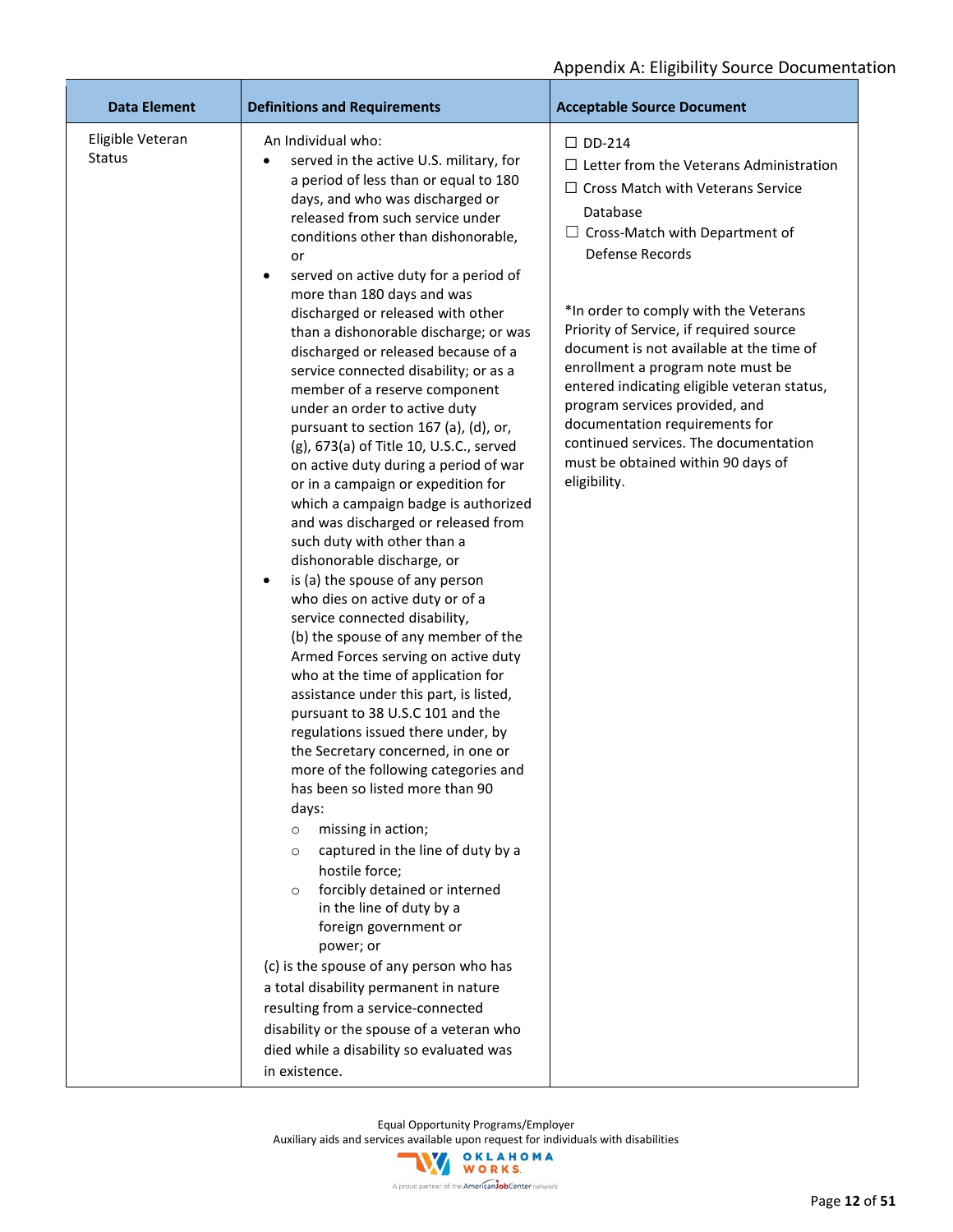| <b>Data Element</b>               | <b>Definitions and Requirements</b>                                                                                                                                                                                                                                                                                                                                                                                                                                                                                                                                                                                                                                                                                                                                                                                                                                                                                                                                                                                                                                                                                                                                                                                                                                                                                                                                                                                                                                                                                                                                                                                                                                                                                                                                                               | <b>Acceptable Source Document</b>                                                                                                                                                                                                                                                                                                                                                                                                                                                                                                                                          |
|-----------------------------------|---------------------------------------------------------------------------------------------------------------------------------------------------------------------------------------------------------------------------------------------------------------------------------------------------------------------------------------------------------------------------------------------------------------------------------------------------------------------------------------------------------------------------------------------------------------------------------------------------------------------------------------------------------------------------------------------------------------------------------------------------------------------------------------------------------------------------------------------------------------------------------------------------------------------------------------------------------------------------------------------------------------------------------------------------------------------------------------------------------------------------------------------------------------------------------------------------------------------------------------------------------------------------------------------------------------------------------------------------------------------------------------------------------------------------------------------------------------------------------------------------------------------------------------------------------------------------------------------------------------------------------------------------------------------------------------------------------------------------------------------------------------------------------------------------|----------------------------------------------------------------------------------------------------------------------------------------------------------------------------------------------------------------------------------------------------------------------------------------------------------------------------------------------------------------------------------------------------------------------------------------------------------------------------------------------------------------------------------------------------------------------------|
| Eligible Veteran<br><b>Status</b> | An Individual who:<br>served in the active U.S. military, for<br>a period of less than or equal to 180<br>days, and who was discharged or<br>released from such service under<br>conditions other than dishonorable,<br>or<br>served on active duty for a period of<br>٠<br>more than 180 days and was<br>discharged or released with other<br>than a dishonorable discharge; or was<br>discharged or released because of a<br>service connected disability; or as a<br>member of a reserve component<br>under an order to active duty<br>pursuant to section 167 (a), (d), or,<br>(g), 673(a) of Title 10, U.S.C., served<br>on active duty during a period of war<br>or in a campaign or expedition for<br>which a campaign badge is authorized<br>and was discharged or released from<br>such duty with other than a<br>dishonorable discharge, or<br>is (a) the spouse of any person<br>$\bullet$<br>who dies on active duty or of a<br>service connected disability,<br>(b) the spouse of any member of the<br>Armed Forces serving on active duty<br>who at the time of application for<br>assistance under this part, is listed,<br>pursuant to 38 U.S.C 101 and the<br>regulations issued there under, by<br>the Secretary concerned, in one or<br>more of the following categories and<br>has been so listed more than 90<br>days:<br>missing in action;<br>$\circ$<br>captured in the line of duty by a<br>$\circ$<br>hostile force;<br>forcibly detained or interned<br>$\circ$<br>in the line of duty by a<br>foreign government or<br>power; or<br>(c) is the spouse of any person who has<br>a total disability permanent in nature<br>resulting from a service-connected<br>disability or the spouse of a veteran who<br>died while a disability so evaluated was<br>in existence. | $\Box$ DD-214<br>$\Box$ Letter from the Veterans Administration<br>$\Box$ Cross Match with Veterans Service<br>Database<br>$\Box$ Cross-Match with Department of<br>Defense Records<br>*In order to comply with the Veterans<br>Priority of Service, if required source<br>document is not available at the time of<br>enrollment a program note must be<br>entered indicating eligible veteran status,<br>program services provided, and<br>documentation requirements for<br>continued services. The documentation<br>must be obtained within 90 days of<br>eligibility. |

Equal Opportunity Programs/Employer

Auxiliary aids and services available upon request for individuals with disabilities<br>
WORKS

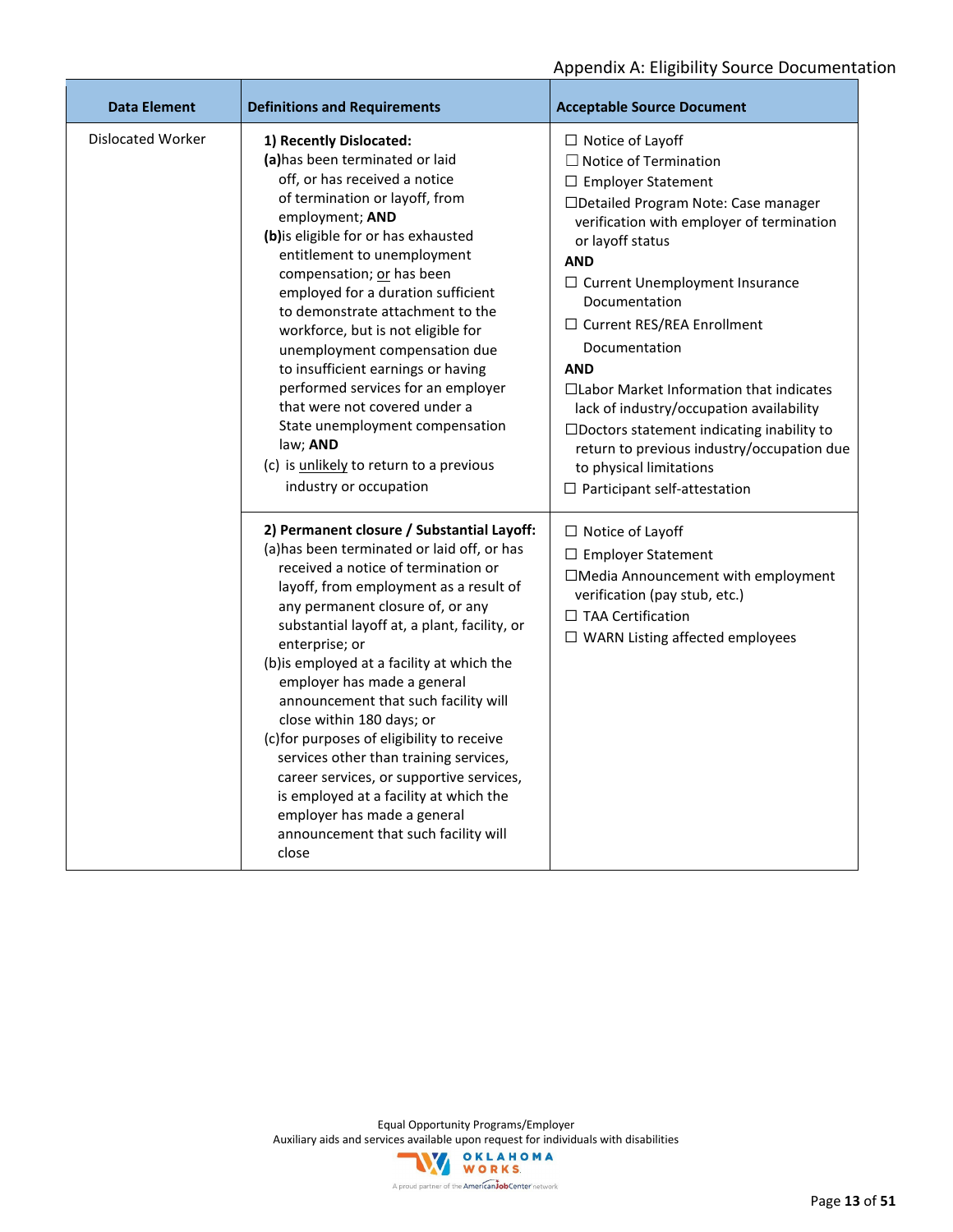| <b>Data Element</b> | <b>Definitions and Requirements</b>                                                                                                                                                                                                                                                                                                                                                                                                                                                                                                                                                                                                                                                              | <b>Acceptable Source Document</b>                                                                                                                                                                                                                                                                                                                                                                                                                                                                                                                                                                         |
|---------------------|--------------------------------------------------------------------------------------------------------------------------------------------------------------------------------------------------------------------------------------------------------------------------------------------------------------------------------------------------------------------------------------------------------------------------------------------------------------------------------------------------------------------------------------------------------------------------------------------------------------------------------------------------------------------------------------------------|-----------------------------------------------------------------------------------------------------------------------------------------------------------------------------------------------------------------------------------------------------------------------------------------------------------------------------------------------------------------------------------------------------------------------------------------------------------------------------------------------------------------------------------------------------------------------------------------------------------|
| Dislocated Worker   | 1) Recently Dislocated:<br>(a) has been terminated or laid<br>off, or has received a notice<br>of termination or layoff, from<br>employment; AND<br>(b) is eligible for or has exhausted<br>entitlement to unemployment<br>compensation; or has been<br>employed for a duration sufficient<br>to demonstrate attachment to the<br>workforce, but is not eligible for<br>unemployment compensation due<br>to insufficient earnings or having<br>performed services for an employer<br>that were not covered under a<br>State unemployment compensation<br>law; AND<br>(c) is unlikely to return to a previous<br>industry or occupation                                                           | $\Box$ Notice of Layoff<br>$\Box$ Notice of Termination<br>□ Employer Statement<br>□Detailed Program Note: Case manager<br>verification with employer of termination<br>or layoff status<br><b>AND</b><br>$\Box$ Current Unemployment Insurance<br>Documentation<br>$\Box$ Current RES/REA Enrollment<br>Documentation<br><b>AND</b><br>$\Box$ Labor Market Information that indicates<br>lack of industry/occupation availability<br>$\square$ Doctors statement indicating inability to<br>return to previous industry/occupation due<br>to physical limitations<br>$\Box$ Participant self-attestation |
|                     | 2) Permanent closure / Substantial Layoff:<br>(a) has been terminated or laid off, or has<br>received a notice of termination or<br>layoff, from employment as a result of<br>any permanent closure of, or any<br>substantial layoff at, a plant, facility, or<br>enterprise; or<br>(b) is employed at a facility at which the<br>employer has made a general<br>announcement that such facility will<br>close within 180 days; or<br>(c) for purposes of eligibility to receive<br>services other than training services,<br>career services, or supportive services,<br>is employed at a facility at which the<br>employer has made a general<br>announcement that such facility will<br>close | $\Box$ Notice of Layoff<br>$\Box$ Employer Statement<br>□Media Announcement with employment<br>verification (pay stub, etc.)<br>□ TAA Certification<br>$\Box$ WARN Listing affected employees                                                                                                                                                                                                                                                                                                                                                                                                             |

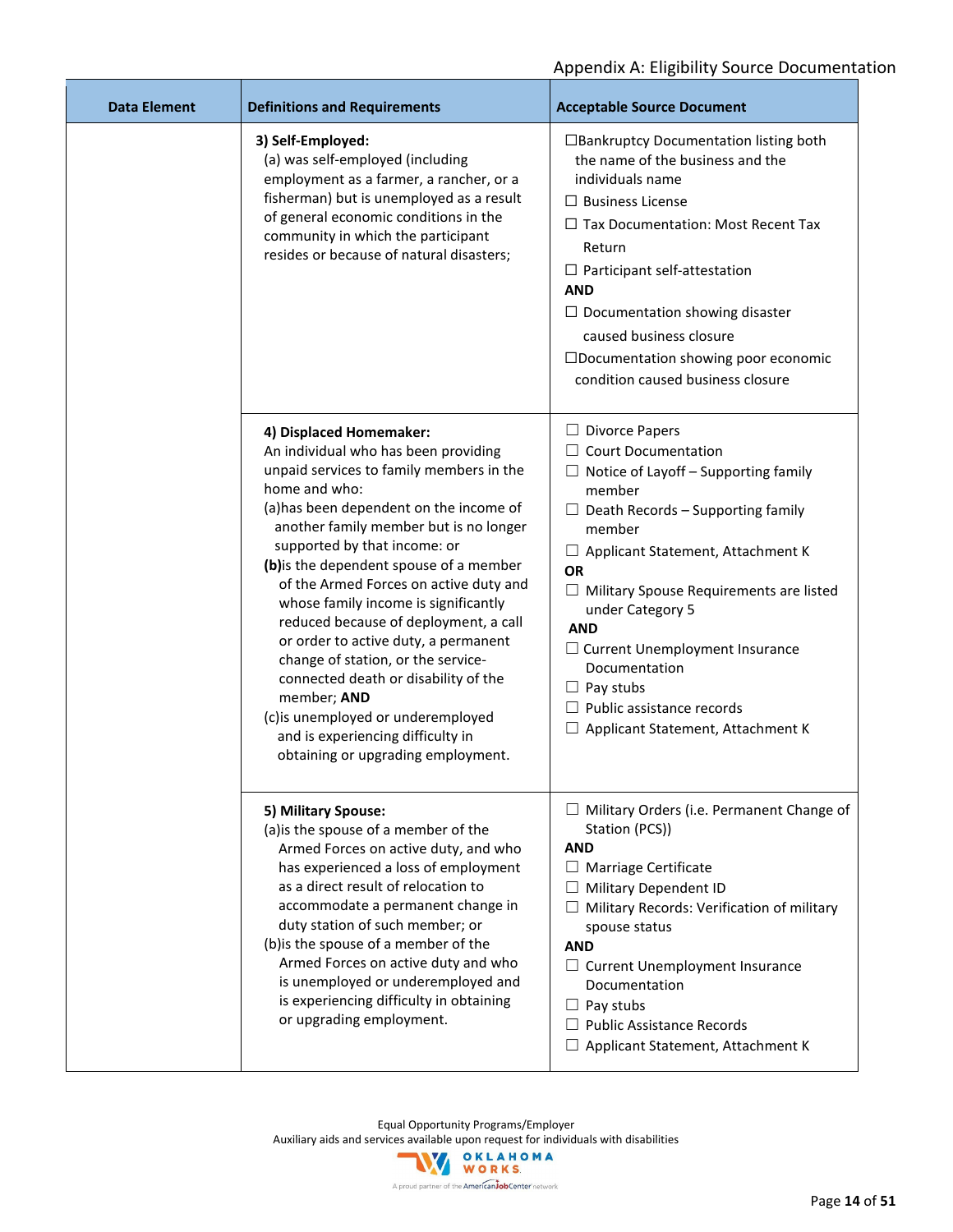| Data Element | <b>Definitions and Requirements</b>                                                                                                                                                                                                                                                                                                                                                                                                                                                                                                                                                                                                                                           | <b>Acceptable Source Document</b>                                                                                                                                                                                                                                                                                                                                                                                                                                      |
|--------------|-------------------------------------------------------------------------------------------------------------------------------------------------------------------------------------------------------------------------------------------------------------------------------------------------------------------------------------------------------------------------------------------------------------------------------------------------------------------------------------------------------------------------------------------------------------------------------------------------------------------------------------------------------------------------------|------------------------------------------------------------------------------------------------------------------------------------------------------------------------------------------------------------------------------------------------------------------------------------------------------------------------------------------------------------------------------------------------------------------------------------------------------------------------|
|              | 3) Self-Employed:<br>(a) was self-employed (including<br>employment as a farmer, a rancher, or a<br>fisherman) but is unemployed as a result<br>of general economic conditions in the<br>community in which the participant<br>resides or because of natural disasters;                                                                                                                                                                                                                                                                                                                                                                                                       | □ Bankruptcy Documentation listing both<br>the name of the business and the<br>individuals name<br>$\Box$ Business License<br>$\Box$ Tax Documentation: Most Recent Tax<br>Return<br>$\Box$ Participant self-attestation<br><b>AND</b><br>$\Box$ Documentation showing disaster<br>caused business closure<br>□Documentation showing poor economic<br>condition caused business closure                                                                                |
|              | 4) Displaced Homemaker:<br>An individual who has been providing<br>unpaid services to family members in the<br>home and who:<br>(a) has been dependent on the income of<br>another family member but is no longer<br>supported by that income: or<br>(b) is the dependent spouse of a member<br>of the Armed Forces on active duty and<br>whose family income is significantly<br>reduced because of deployment, a call<br>or order to active duty, a permanent<br>change of station, or the service-<br>connected death or disability of the<br>member; AND<br>(c) is unemployed or underemployed<br>and is experiencing difficulty in<br>obtaining or upgrading employment. | $\Box$ Divorce Papers<br>$\Box$ Court Documentation<br>$\Box$ Notice of Layoff – Supporting family<br>member<br>$\Box$ Death Records – Supporting family<br>member<br>$\Box$ Applicant Statement, Attachment K<br><b>OR</b><br>$\Box$ Military Spouse Requirements are listed<br>under Category 5<br><b>AND</b><br>$\Box$ Current Unemployment Insurance<br>Documentation<br>$\Box$ Pay stubs<br>Public assistance records<br>$\Box$ Applicant Statement, Attachment K |
|              | 5) Military Spouse:<br>(a) is the spouse of a member of the<br>Armed Forces on active duty, and who<br>has experienced a loss of employment<br>as a direct result of relocation to<br>accommodate a permanent change in<br>duty station of such member; or<br>(b) is the spouse of a member of the<br>Armed Forces on active duty and who<br>is unemployed or underemployed and<br>is experiencing difficulty in obtaining<br>or upgrading employment.                                                                                                                                                                                                                        | $\Box$ Military Orders (i.e. Permanent Change of<br>Station (PCS))<br><b>AND</b><br>$\Box$ Marriage Certificate<br>Military Dependent ID<br>Military Records: Verification of military<br>spouse status<br><b>AND</b><br>□ Current Unemployment Insurance<br>Documentation<br>$\Box$ Pay stubs<br>$\Box$ Public Assistance Records<br>$\Box$ Applicant Statement, Attachment K                                                                                         |

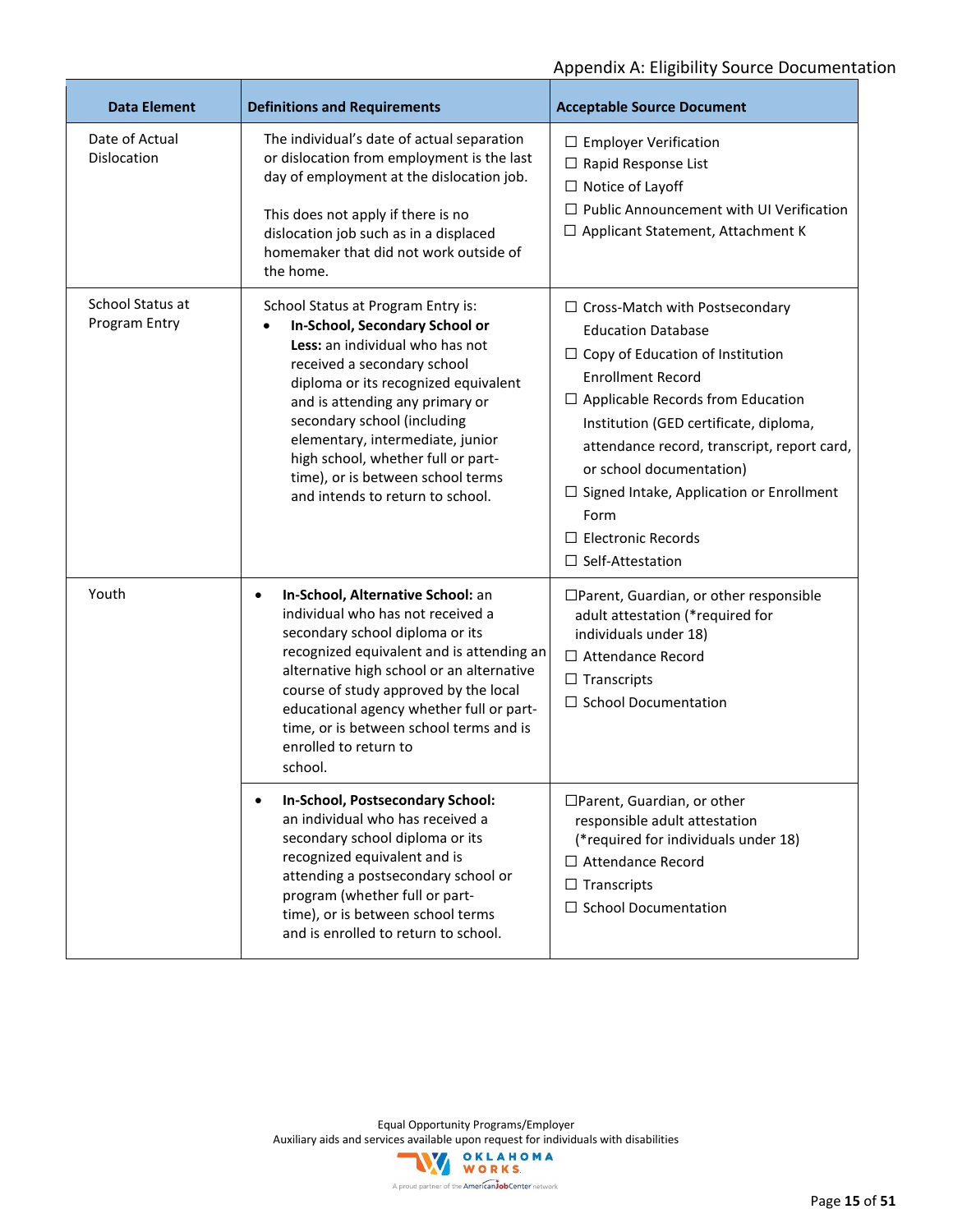| <b>Data Element</b>               | <b>Definitions and Requirements</b>                                                                                                                                                                                                                                                                                                                                                                 | <b>Acceptable Source Document</b>                                                                                                                                                                                                                                                                                                                                                                                             |
|-----------------------------------|-----------------------------------------------------------------------------------------------------------------------------------------------------------------------------------------------------------------------------------------------------------------------------------------------------------------------------------------------------------------------------------------------------|-------------------------------------------------------------------------------------------------------------------------------------------------------------------------------------------------------------------------------------------------------------------------------------------------------------------------------------------------------------------------------------------------------------------------------|
| Date of Actual<br>Dislocation     | The individual's date of actual separation<br>or dislocation from employment is the last<br>day of employment at the dislocation job.<br>This does not apply if there is no<br>dislocation job such as in a displaced<br>homemaker that did not work outside of<br>the home.                                                                                                                        | $\Box$ Employer Verification<br>$\Box$ Rapid Response List<br>$\Box$ Notice of Layoff<br>$\Box$ Public Announcement with UI Verification<br>$\Box$ Applicant Statement, Attachment K                                                                                                                                                                                                                                          |
| School Status at<br>Program Entry | School Status at Program Entry is:<br>In-School, Secondary School or<br>Less: an individual who has not<br>received a secondary school<br>diploma or its recognized equivalent<br>and is attending any primary or<br>secondary school (including<br>elementary, intermediate, junior<br>high school, whether full or part-<br>time), or is between school terms<br>and intends to return to school. | $\Box$ Cross-Match with Postsecondary<br><b>Education Database</b><br>$\Box$ Copy of Education of Institution<br><b>Enrollment Record</b><br>$\Box$ Applicable Records from Education<br>Institution (GED certificate, diploma,<br>attendance record, transcript, report card,<br>or school documentation)<br>$\Box$ Signed Intake, Application or Enrollment<br>Form<br>$\Box$ Electronic Records<br>$\Box$ Self-Attestation |
| Youth                             | In-School, Alternative School: an<br>$\bullet$<br>individual who has not received a<br>secondary school diploma or its<br>recognized equivalent and is attending an<br>alternative high school or an alternative<br>course of study approved by the local<br>educational agency whether full or part-<br>time, or is between school terms and is<br>enrolled to return to<br>school.                | □Parent, Guardian, or other responsible<br>adult attestation (*required for<br>individuals under 18)<br>$\Box$ Attendance Record<br>$\Box$ Transcripts<br>$\Box$ School Documentation                                                                                                                                                                                                                                         |
|                                   | In-School, Postsecondary School:<br>an individual who has received a<br>secondary school diploma or its<br>recognized equivalent and is<br>attending a postsecondary school or<br>program (whether full or part-<br>time), or is between school terms<br>and is enrolled to return to school.                                                                                                       | □Parent, Guardian, or other<br>responsible adult attestation<br>(*required for individuals under 18)<br>$\Box$ Attendance Record<br>$\Box$ Transcripts<br>$\Box$ School Documentation                                                                                                                                                                                                                                         |

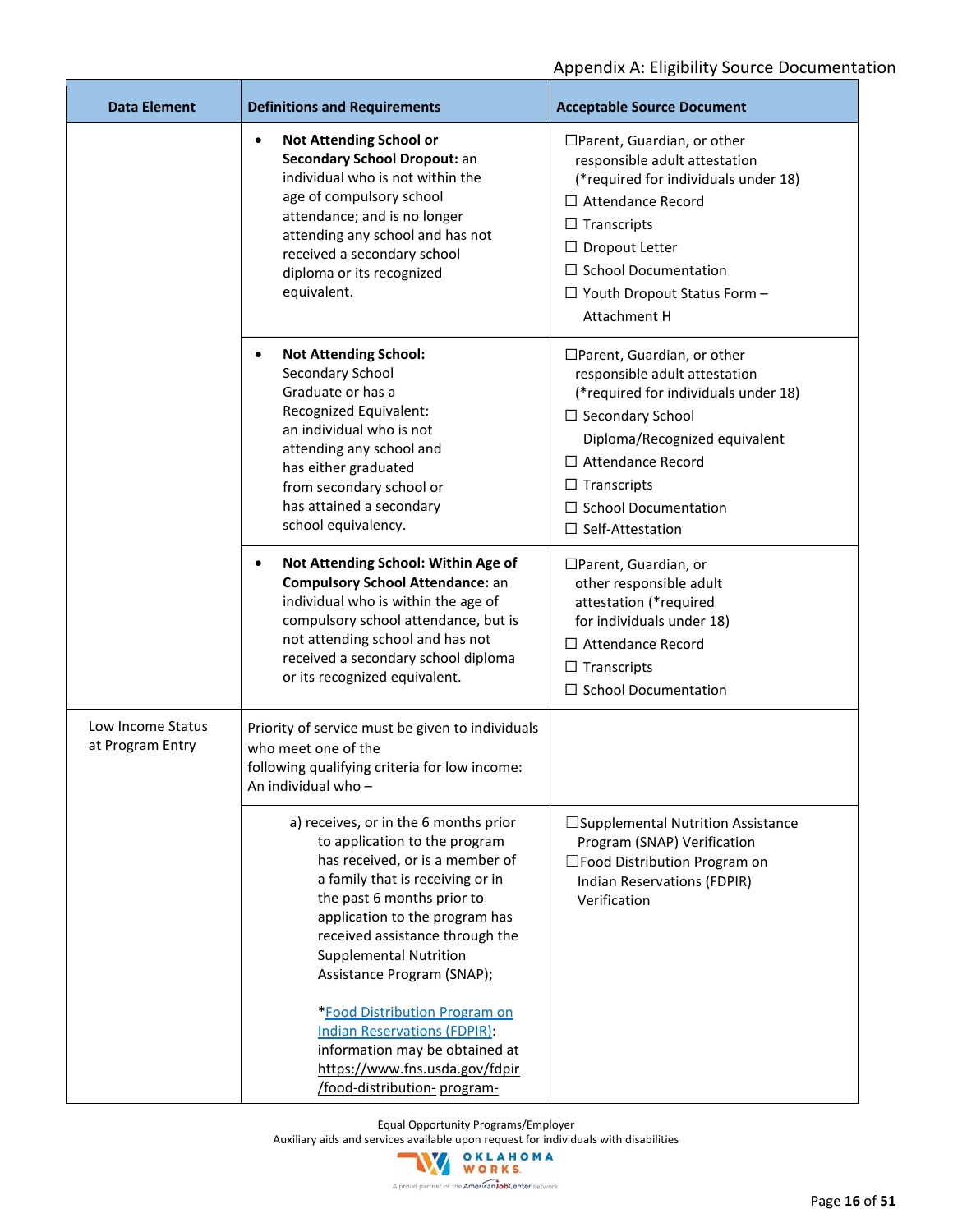| <b>Data Element</b>                   | <b>Definitions and Requirements</b>                                                                                                                                                                                                                                                                                                                                                                                                                         | <b>Acceptable Source Document</b>                                                                                                                                                                                                                                            |
|---------------------------------------|-------------------------------------------------------------------------------------------------------------------------------------------------------------------------------------------------------------------------------------------------------------------------------------------------------------------------------------------------------------------------------------------------------------------------------------------------------------|------------------------------------------------------------------------------------------------------------------------------------------------------------------------------------------------------------------------------------------------------------------------------|
|                                       | <b>Not Attending School or</b><br>$\bullet$<br>Secondary School Dropout: an<br>individual who is not within the<br>age of compulsory school<br>attendance; and is no longer<br>attending any school and has not<br>received a secondary school<br>diploma or its recognized<br>equivalent.                                                                                                                                                                  | □Parent, Guardian, or other<br>responsible adult attestation<br>(*required for individuals under 18)<br>$\Box$ Attendance Record<br>$\Box$ Transcripts<br>$\Box$ Dropout Letter<br>$\Box$ School Documentation<br>$\Box$ Youth Dropout Status Form -<br>Attachment H         |
|                                       | <b>Not Attending School:</b><br>$\bullet$<br>Secondary School<br>Graduate or has a<br>Recognized Equivalent:<br>an individual who is not<br>attending any school and<br>has either graduated<br>from secondary school or<br>has attained a secondary<br>school equivalency.                                                                                                                                                                                 | □Parent, Guardian, or other<br>responsible adult attestation<br>(*required for individuals under 18)<br>$\Box$ Secondary School<br>Diploma/Recognized equivalent<br>$\Box$ Attendance Record<br>$\Box$ Transcripts<br>$\Box$ School Documentation<br>$\Box$ Self-Attestation |
|                                       | Not Attending School: Within Age of<br>$\bullet$<br><b>Compulsory School Attendance: an</b><br>individual who is within the age of<br>compulsory school attendance, but is<br>not attending school and has not<br>received a secondary school diploma<br>or its recognized equivalent.                                                                                                                                                                      | □Parent, Guardian, or<br>other responsible adult<br>attestation (*required<br>for individuals under 18)<br>$\Box$ Attendance Record<br>$\Box$ Transcripts<br>$\Box$ School Documentation                                                                                     |
| Low Income Status<br>at Program Entry | Priority of service must be given to individuals<br>who meet one of the<br>following qualifying criteria for low income:<br>An individual who -                                                                                                                                                                                                                                                                                                             |                                                                                                                                                                                                                                                                              |
|                                       | a) receives, or in the 6 months prior<br>to application to the program<br>has received, or is a member of<br>a family that is receiving or in<br>the past 6 months prior to<br>application to the program has<br>received assistance through the<br><b>Supplemental Nutrition</b><br>Assistance Program (SNAP);<br>*Food Distribution Program on<br><b>Indian Reservations (FDPIR):</b><br>information may be obtained at<br>https://www.fns.usda.gov/fdpir | □Supplemental Nutrition Assistance<br>Program (SNAP) Verification<br>$\square$ Food Distribution Program on<br>Indian Reservations (FDPIR)<br>Verification                                                                                                                   |

Equal Opportunity Programs/Employer

Auxiliary aids and services available upon request for individuals with disabilities<br>
WORKS

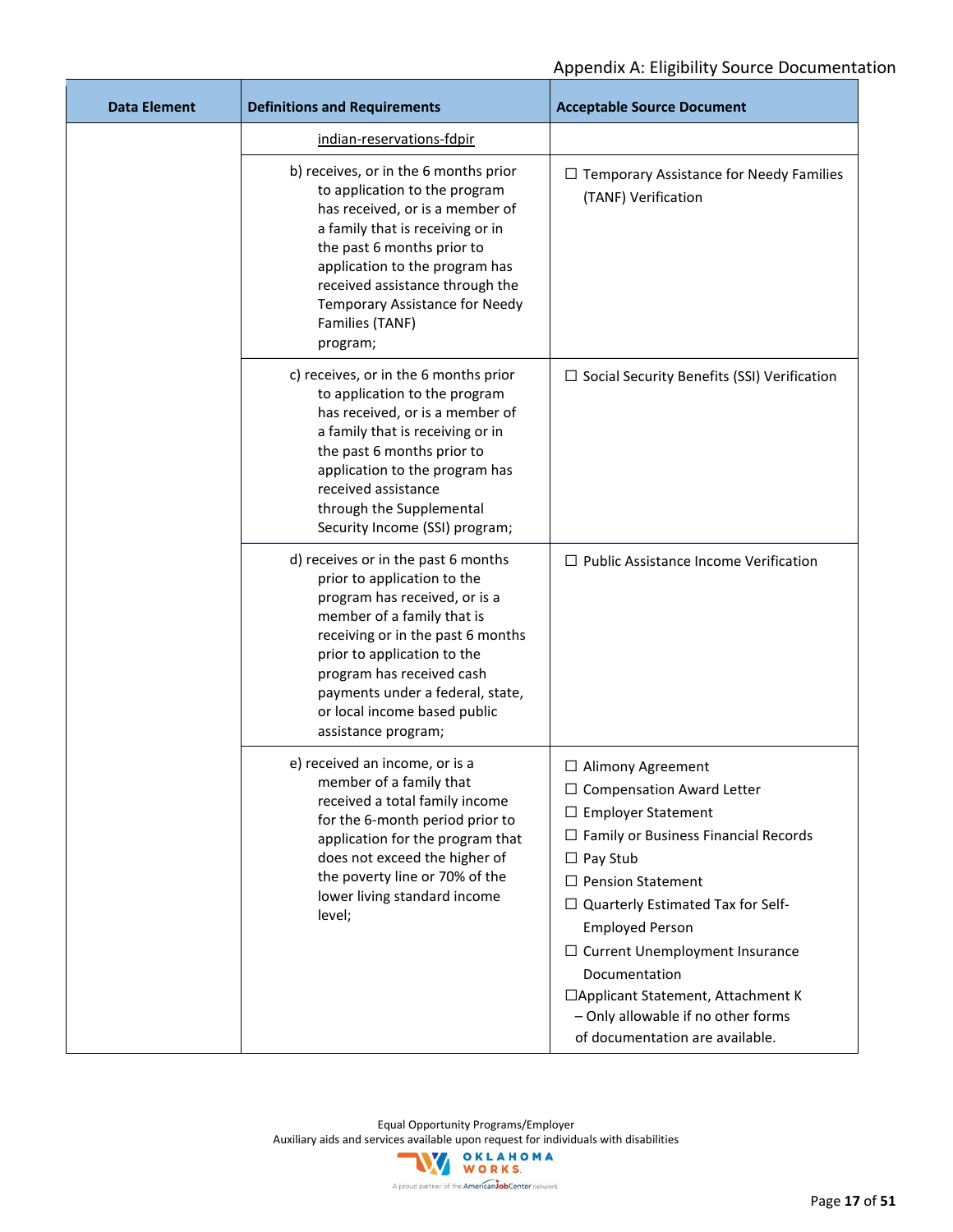| <b>Data Element</b> | <b>Definitions and Requirements</b>                                                                                                                                                                                                                                                                                           | <b>Acceptable Source Document</b>                                                                                                                                                                                                                                                                                                                                                                                                       |
|---------------------|-------------------------------------------------------------------------------------------------------------------------------------------------------------------------------------------------------------------------------------------------------------------------------------------------------------------------------|-----------------------------------------------------------------------------------------------------------------------------------------------------------------------------------------------------------------------------------------------------------------------------------------------------------------------------------------------------------------------------------------------------------------------------------------|
|                     | indian-reservations-fdpir                                                                                                                                                                                                                                                                                                     |                                                                                                                                                                                                                                                                                                                                                                                                                                         |
|                     | b) receives, or in the 6 months prior<br>to application to the program<br>has received, or is a member of<br>a family that is receiving or in<br>the past 6 months prior to<br>application to the program has<br>received assistance through the<br>Temporary Assistance for Needy<br>Families (TANF)<br>program;             | $\Box$ Temporary Assistance for Needy Families<br>(TANF) Verification                                                                                                                                                                                                                                                                                                                                                                   |
|                     | c) receives, or in the 6 months prior<br>to application to the program<br>has received, or is a member of<br>a family that is receiving or in<br>the past 6 months prior to<br>application to the program has<br>received assistance<br>through the Supplemental<br>Security Income (SSI) program;                            | $\Box$ Social Security Benefits (SSI) Verification                                                                                                                                                                                                                                                                                                                                                                                      |
|                     | d) receives or in the past 6 months<br>prior to application to the<br>program has received, or is a<br>member of a family that is<br>receiving or in the past 6 months<br>prior to application to the<br>program has received cash<br>payments under a federal, state,<br>or local income based public<br>assistance program; | $\Box$ Public Assistance Income Verification                                                                                                                                                                                                                                                                                                                                                                                            |
|                     | e) received an income, or is a<br>member of a family that<br>received a total family income<br>for the 6-month period prior to<br>application for the program that<br>does not exceed the higher of<br>the poverty line or 70% of the<br>lower living standard income<br>level;                                               | $\Box$ Alimony Agreement<br>$\Box$ Compensation Award Letter<br>$\Box$ Employer Statement<br>$\Box$ Family or Business Financial Records<br>$\Box$ Pay Stub<br>$\Box$ Pension Statement<br>$\Box$ Quarterly Estimated Tax for Self-<br><b>Employed Person</b><br>$\Box$ Current Unemployment Insurance<br>Documentation<br>□ Applicant Statement, Attachment K<br>- Only allowable if no other forms<br>of documentation are available. |

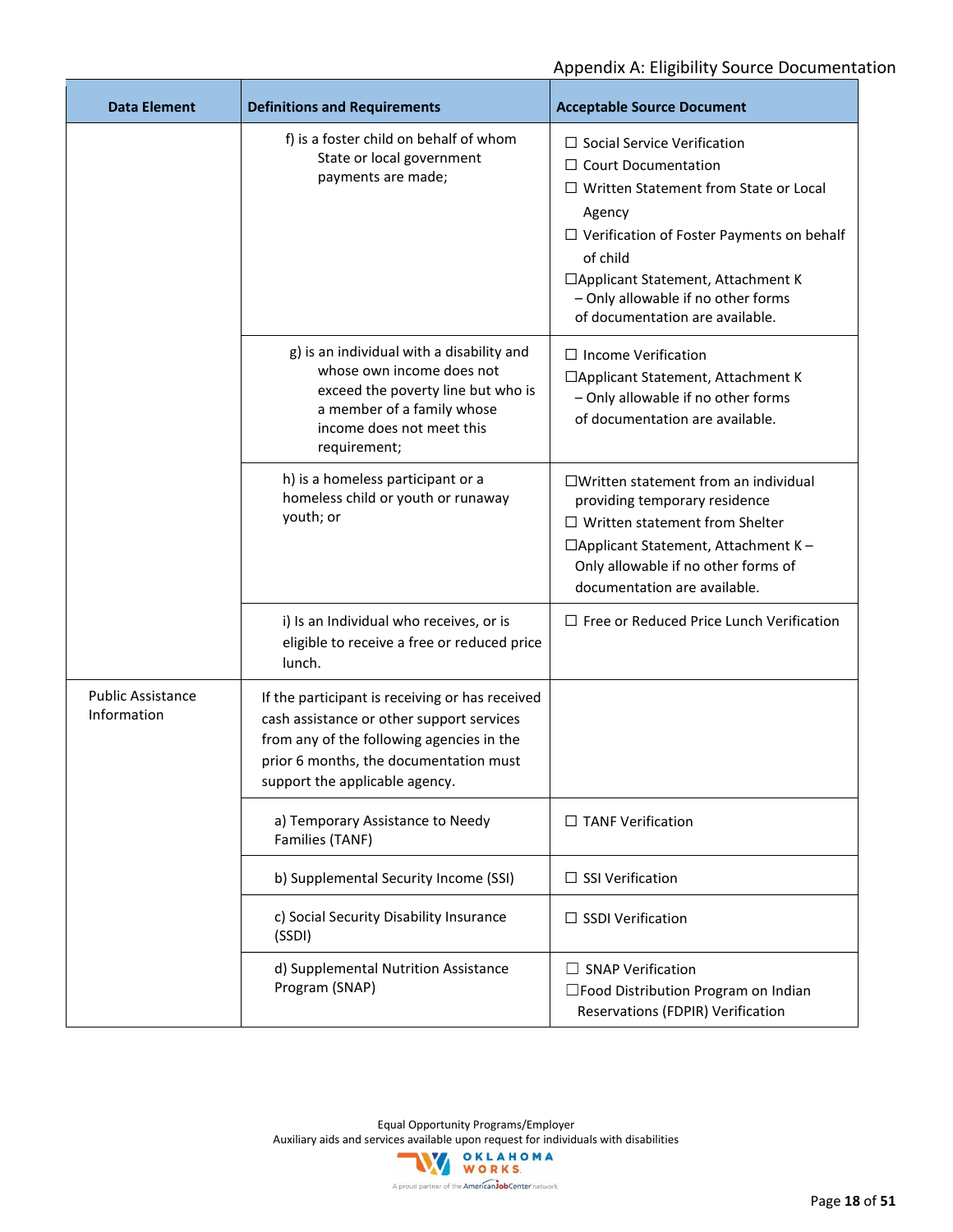| <b>Data Element</b>                     | <b>Definitions and Requirements</b>                                                                                                                                                                                   | <b>Acceptable Source Document</b>                                                                                                                                                                                                                                                                          |
|-----------------------------------------|-----------------------------------------------------------------------------------------------------------------------------------------------------------------------------------------------------------------------|------------------------------------------------------------------------------------------------------------------------------------------------------------------------------------------------------------------------------------------------------------------------------------------------------------|
|                                         | f) is a foster child on behalf of whom<br>State or local government<br>payments are made;                                                                                                                             | $\Box$ Social Service Verification<br>$\Box$ Court Documentation<br>$\Box$ Written Statement from State or Local<br>Agency<br>$\Box$ Verification of Foster Payments on behalf<br>of child<br>□ Applicant Statement, Attachment K<br>- Only allowable if no other forms<br>of documentation are available. |
|                                         | g) is an individual with a disability and<br>whose own income does not<br>exceed the poverty line but who is<br>a member of a family whose<br>income does not meet this<br>requirement;                               | $\Box$ Income Verification<br>□ Applicant Statement, Attachment K<br>- Only allowable if no other forms<br>of documentation are available.                                                                                                                                                                 |
|                                         | h) is a homeless participant or a<br>homeless child or youth or runaway<br>youth; or                                                                                                                                  | □Written statement from an individual<br>providing temporary residence<br>$\Box$ Written statement from Shelter<br>□ Applicant Statement, Attachment K -<br>Only allowable if no other forms of<br>documentation are available.                                                                            |
|                                         | i) Is an Individual who receives, or is<br>eligible to receive a free or reduced price<br>lunch.                                                                                                                      | $\Box$ Free or Reduced Price Lunch Verification                                                                                                                                                                                                                                                            |
| <b>Public Assistance</b><br>Information | If the participant is receiving or has received<br>cash assistance or other support services<br>from any of the following agencies in the<br>prior 6 months, the documentation must<br>support the applicable agency. |                                                                                                                                                                                                                                                                                                            |
|                                         | a) Temporary Assistance to Needy<br>Families (TANF)                                                                                                                                                                   | $\Box$ TANF Verification                                                                                                                                                                                                                                                                                   |
|                                         | b) Supplemental Security Income (SSI)                                                                                                                                                                                 | $\Box$ SSI Verification                                                                                                                                                                                                                                                                                    |
|                                         | c) Social Security Disability Insurance<br>(SSDI)                                                                                                                                                                     | $\Box$ SSDI Verification                                                                                                                                                                                                                                                                                   |
|                                         | d) Supplemental Nutrition Assistance<br>Program (SNAP)                                                                                                                                                                | $\Box$ SNAP Verification<br>□Food Distribution Program on Indian<br>Reservations (FDPIR) Verification                                                                                                                                                                                                      |

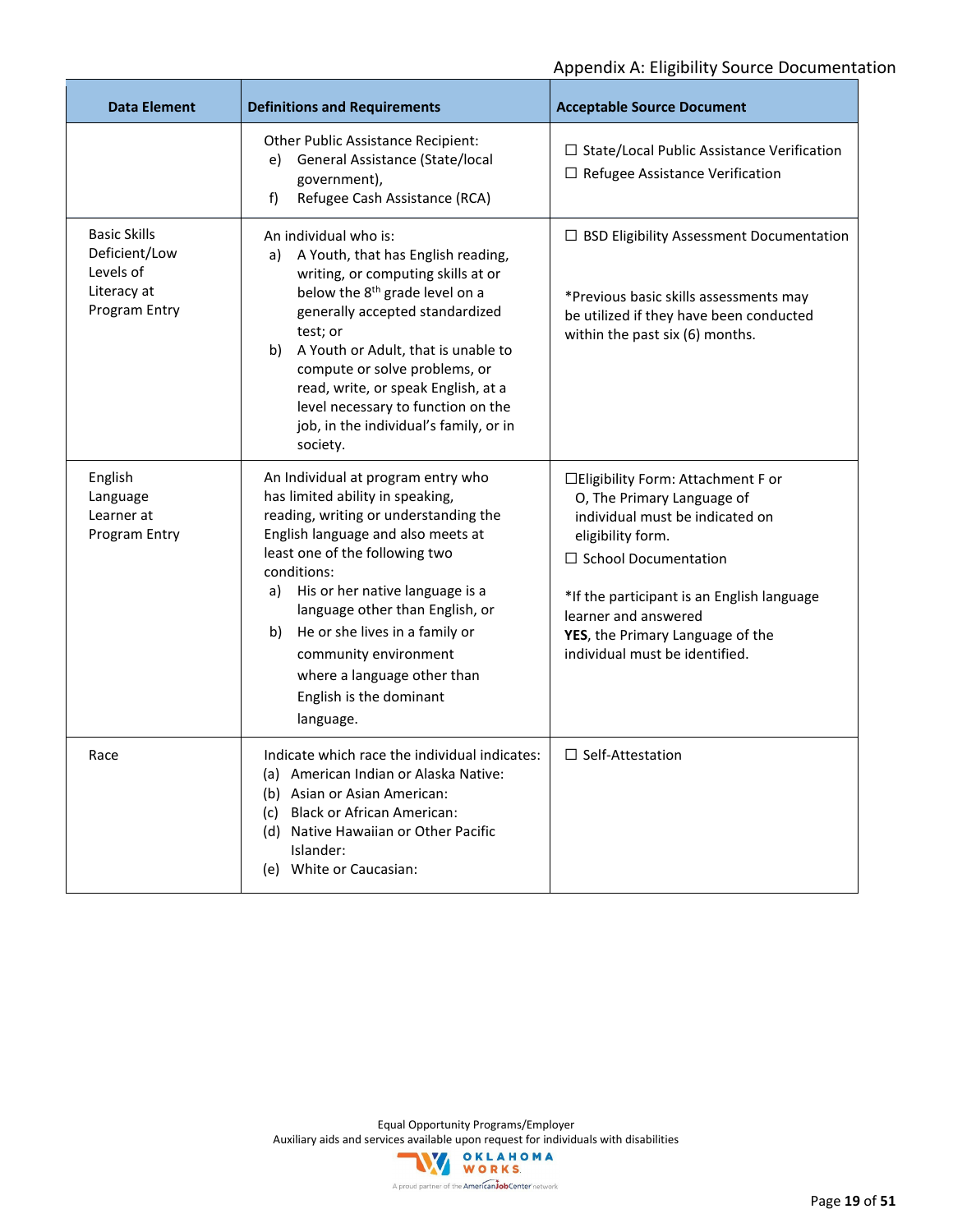| <b>Data Element</b>                                                               | <b>Definitions and Requirements</b>                                                                                                                                                                                                                                                                                                                                                                                  | <b>Acceptable Source Document</b>                                                                                                                                                                                                                                                                    |
|-----------------------------------------------------------------------------------|----------------------------------------------------------------------------------------------------------------------------------------------------------------------------------------------------------------------------------------------------------------------------------------------------------------------------------------------------------------------------------------------------------------------|------------------------------------------------------------------------------------------------------------------------------------------------------------------------------------------------------------------------------------------------------------------------------------------------------|
|                                                                                   | Other Public Assistance Recipient:<br>General Assistance (State/local<br>e)<br>government),<br>Refugee Cash Assistance (RCA)<br>f)                                                                                                                                                                                                                                                                                   | $\Box$ State/Local Public Assistance Verification<br>$\Box$ Refugee Assistance Verification                                                                                                                                                                                                          |
| <b>Basic Skills</b><br>Deficient/Low<br>Levels of<br>Literacy at<br>Program Entry | An individual who is:<br>a) A Youth, that has English reading,<br>writing, or computing skills at or<br>below the 8 <sup>th</sup> grade level on a<br>generally accepted standardized<br>test; or<br>b) A Youth or Adult, that is unable to<br>compute or solve problems, or<br>read, write, or speak English, at a<br>level necessary to function on the<br>job, in the individual's family, or in<br>society.      | $\Box$ BSD Eligibility Assessment Documentation<br>*Previous basic skills assessments may<br>be utilized if they have been conducted<br>within the past six (6) months.                                                                                                                              |
| English<br>Language<br>Learner at<br>Program Entry                                | An Individual at program entry who<br>has limited ability in speaking,<br>reading, writing or understanding the<br>English language and also meets at<br>least one of the following two<br>conditions:<br>a) His or her native language is a<br>language other than English, or<br>b) He or she lives in a family or<br>community environment<br>where a language other than<br>English is the dominant<br>language. | □ Eligibility Form: Attachment F or<br>O, The Primary Language of<br>individual must be indicated on<br>eligibility form.<br>$\Box$ School Documentation<br>*If the participant is an English language<br>learner and answered<br>YES, the Primary Language of the<br>individual must be identified. |
| Race                                                                              | Indicate which race the individual indicates:<br>(a) American Indian or Alaska Native:<br>(b) Asian or Asian American:<br>(c) Black or African American:<br>(d) Native Hawaiian or Other Pacific<br>Islander:<br>(e) White or Caucasian:                                                                                                                                                                             | $\Box$ Self-Attestation                                                                                                                                                                                                                                                                              |

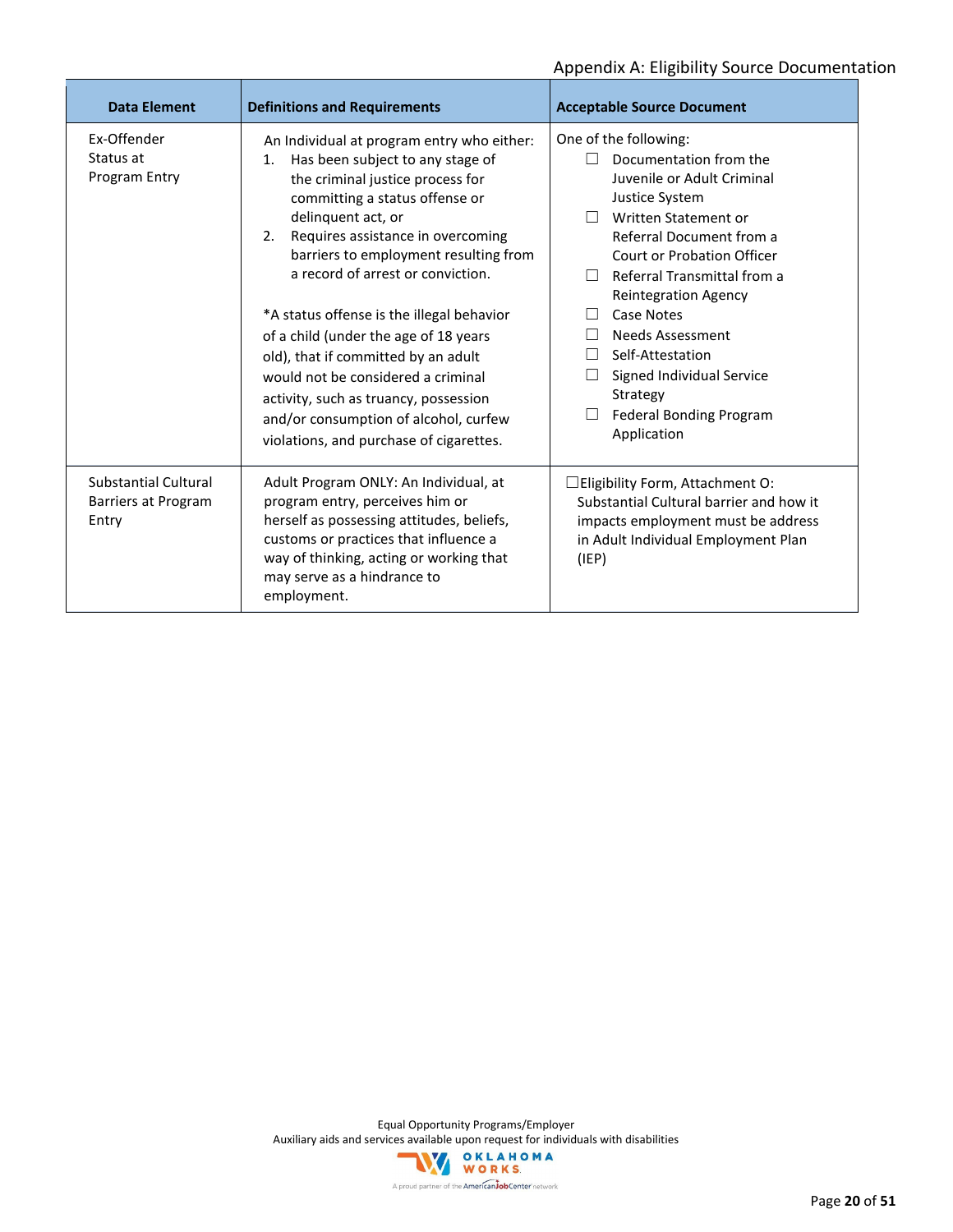| <b>Data Element</b>                                         | <b>Definitions and Requirements</b>                                                                                                                                                                                                                                                                                                                                                                                                                                                                                                                                                                       | <b>Acceptable Source Document</b>                                                                                                                                                                                                                                                                                                                                                                                                    |
|-------------------------------------------------------------|-----------------------------------------------------------------------------------------------------------------------------------------------------------------------------------------------------------------------------------------------------------------------------------------------------------------------------------------------------------------------------------------------------------------------------------------------------------------------------------------------------------------------------------------------------------------------------------------------------------|--------------------------------------------------------------------------------------------------------------------------------------------------------------------------------------------------------------------------------------------------------------------------------------------------------------------------------------------------------------------------------------------------------------------------------------|
| Fx-Offender<br>Status at<br>Program Entry                   | An Individual at program entry who either:<br>Has been subject to any stage of<br>1.<br>the criminal justice process for<br>committing a status offense or<br>delinquent act, or<br>Requires assistance in overcoming<br>2.<br>barriers to employment resulting from<br>a record of arrest or conviction.<br>*A status offense is the illegal behavior<br>of a child (under the age of 18 years<br>old), that if committed by an adult<br>would not be considered a criminal<br>activity, such as truancy, possession<br>and/or consumption of alcohol, curfew<br>violations, and purchase of cigarettes. | One of the following:<br>Documentation from the<br>Juvenile or Adult Criminal<br>Justice System<br>Written Statement or<br>Referral Document from a<br><b>Court or Probation Officer</b><br><b>Referral Transmittal from a</b><br>$\perp$<br><b>Reintegration Agency</b><br>Case Notes<br><b>Needs Assessment</b><br>Self-Attestation<br>Signed Individual Service<br>Strategy<br><b>Federal Bonding Program</b><br>⊔<br>Application |
| <b>Substantial Cultural</b><br>Barriers at Program<br>Entry | Adult Program ONLY: An Individual, at<br>program entry, perceives him or<br>herself as possessing attitudes, beliefs,<br>customs or practices that influence a<br>way of thinking, acting or working that<br>may serve as a hindrance to<br>employment.                                                                                                                                                                                                                                                                                                                                                   | □ Eligibility Form, Attachment O:<br>Substantial Cultural barrier and how it<br>impacts employment must be address<br>in Adult Individual Employment Plan<br>(IEP)                                                                                                                                                                                                                                                                   |

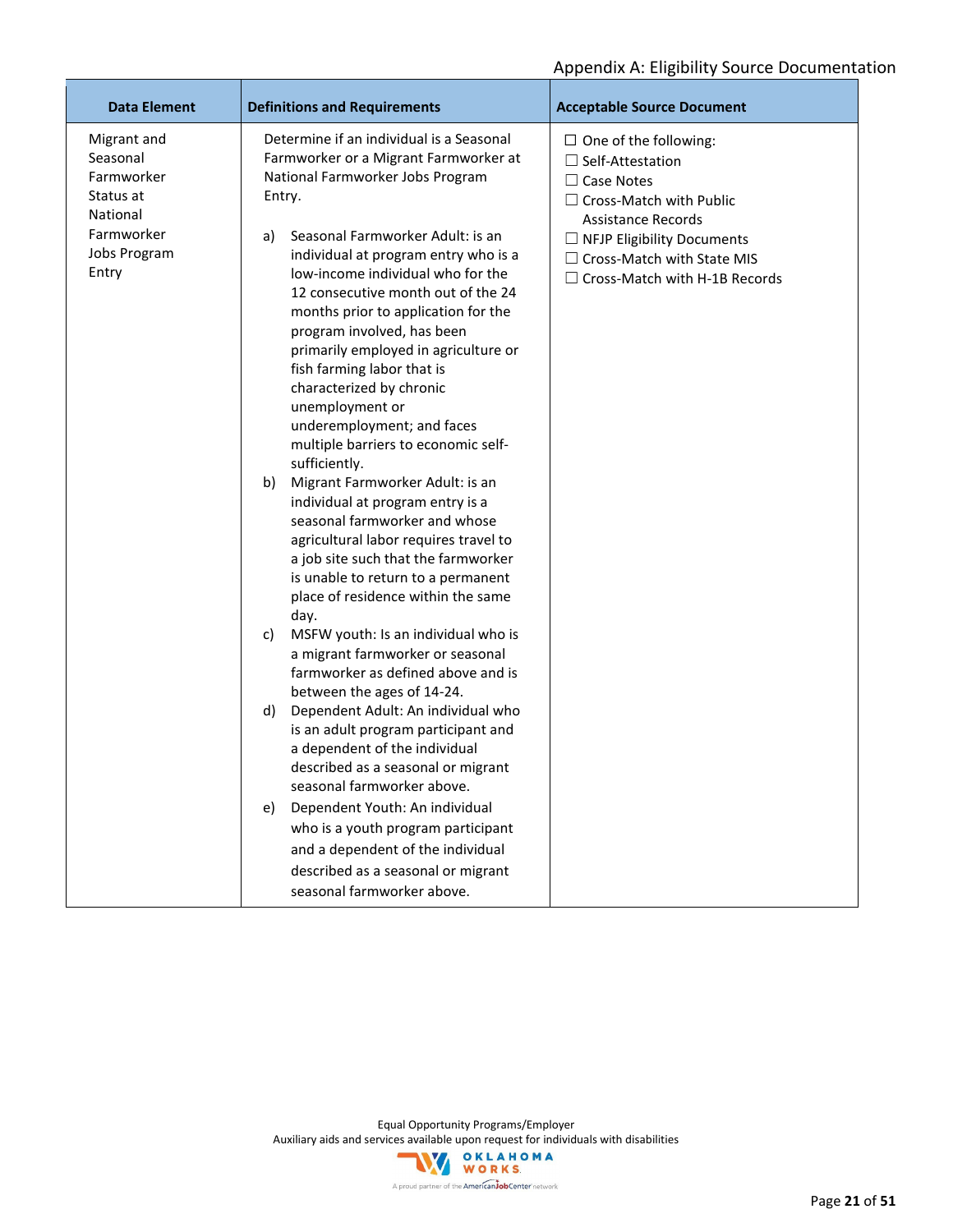| <b>Data Element</b>                                                                                   | <b>Definitions and Requirements</b>                                                                                                                                                                                                                                                                                                                                                                                                                                                                                                                                                                                                                                                                                                                                                                                                                                                                                                                                                                                                                                                                                                                                                                                                                                                                                                                                                                | <b>Acceptable Source Document</b>                                                                                                                                                                                                                             |
|-------------------------------------------------------------------------------------------------------|----------------------------------------------------------------------------------------------------------------------------------------------------------------------------------------------------------------------------------------------------------------------------------------------------------------------------------------------------------------------------------------------------------------------------------------------------------------------------------------------------------------------------------------------------------------------------------------------------------------------------------------------------------------------------------------------------------------------------------------------------------------------------------------------------------------------------------------------------------------------------------------------------------------------------------------------------------------------------------------------------------------------------------------------------------------------------------------------------------------------------------------------------------------------------------------------------------------------------------------------------------------------------------------------------------------------------------------------------------------------------------------------------|---------------------------------------------------------------------------------------------------------------------------------------------------------------------------------------------------------------------------------------------------------------|
| Migrant and<br>Seasonal<br>Farmworker<br>Status at<br>National<br>Farmworker<br>Jobs Program<br>Entry | Determine if an individual is a Seasonal<br>Farmworker or a Migrant Farmworker at<br>National Farmworker Jobs Program<br>Entry.<br>Seasonal Farmworker Adult: is an<br>a)<br>individual at program entry who is a<br>low-income individual who for the<br>12 consecutive month out of the 24<br>months prior to application for the<br>program involved, has been<br>primarily employed in agriculture or<br>fish farming labor that is<br>characterized by chronic<br>unemployment or<br>underemployment; and faces<br>multiple barriers to economic self-<br>sufficiently.<br>b)<br>Migrant Farmworker Adult: is an<br>individual at program entry is a<br>seasonal farmworker and whose<br>agricultural labor requires travel to<br>a job site such that the farmworker<br>is unable to return to a permanent<br>place of residence within the same<br>day.<br>MSFW youth: Is an individual who is<br>C)<br>a migrant farmworker or seasonal<br>farmworker as defined above and is<br>between the ages of 14-24.<br>Dependent Adult: An individual who<br>d)<br>is an adult program participant and<br>a dependent of the individual<br>described as a seasonal or migrant<br>seasonal farmworker above.<br>Dependent Youth: An individual<br>e)<br>who is a youth program participant<br>and a dependent of the individual<br>described as a seasonal or migrant<br>seasonal farmworker above. | $\Box$ One of the following:<br>$\Box$ Self-Attestation<br>$\Box$ Case Notes<br>$\Box$ Cross-Match with Public<br><b>Assistance Records</b><br>$\Box$ NFJP Eligibility Documents<br>$\Box$ Cross-Match with State MIS<br>$\Box$ Cross-Match with H-1B Records |

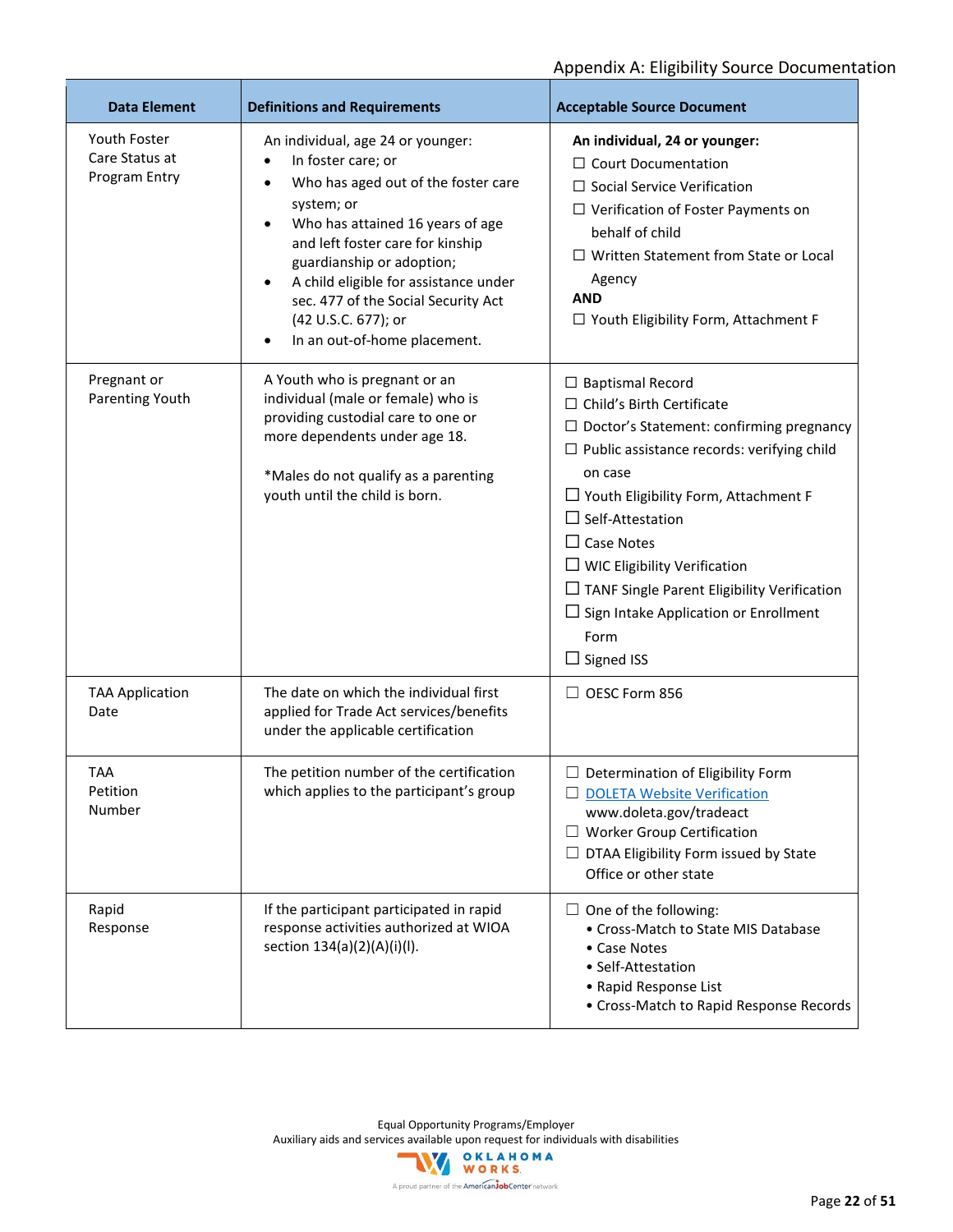| <b>Data Element</b>                             | <b>Definitions and Requirements</b>                                                                                                                                                                                                                                                                                                                                                | <b>Acceptable Source Document</b>                                                                                                                                                                                                                                                                                                                                                                                                                       |
|-------------------------------------------------|------------------------------------------------------------------------------------------------------------------------------------------------------------------------------------------------------------------------------------------------------------------------------------------------------------------------------------------------------------------------------------|---------------------------------------------------------------------------------------------------------------------------------------------------------------------------------------------------------------------------------------------------------------------------------------------------------------------------------------------------------------------------------------------------------------------------------------------------------|
| Youth Foster<br>Care Status at<br>Program Entry | An individual, age 24 or younger:<br>In foster care; or<br>$\bullet$<br>Who has aged out of the foster care<br>$\bullet$<br>system; or<br>Who has attained 16 years of age<br>and left foster care for kinship<br>guardianship or adoption;<br>A child eligible for assistance under<br>sec. 477 of the Social Security Act<br>(42 U.S.C. 677); or<br>In an out-of-home placement. | An individual, 24 or younger:<br>$\Box$ Court Documentation<br>$\Box$ Social Service Verification<br>$\Box$ Verification of Foster Payments on<br>behalf of child<br>$\Box$ Written Statement from State or Local<br>Agency<br><b>AND</b><br>□ Youth Eligibility Form, Attachment F                                                                                                                                                                     |
| Pregnant or<br>Parenting Youth                  | A Youth who is pregnant or an<br>individual (male or female) who is<br>providing custodial care to one or<br>more dependents under age 18.<br>*Males do not qualify as a parenting<br>youth until the child is born.                                                                                                                                                               | $\Box$ Baptismal Record<br>$\Box$ Child's Birth Certificate<br>$\Box$ Doctor's Statement: confirming pregnancy<br>$\Box$ Public assistance records: verifying child<br>on case<br>$\Box$ Youth Eligibility Form, Attachment F<br>$\Box$ Self-Attestation<br>$\Box$ Case Notes<br>$\Box$ WIC Eligibility Verification<br>$\Box$ TANF Single Parent Eligibility Verification<br>$\Box$ Sign Intake Application or Enrollment<br>Form<br>$\Box$ Signed ISS |
| <b>TAA Application</b><br>Date                  | The date on which the individual first<br>applied for Trade Act services/benefits<br>under the applicable certification                                                                                                                                                                                                                                                            | $\Box$ OESC Form 856                                                                                                                                                                                                                                                                                                                                                                                                                                    |
| <b>TAA</b><br>Petition<br>Number                | The petition number of the certification<br>which applies to the participant's group                                                                                                                                                                                                                                                                                               | $\Box$ Determination of Eligibility Form<br><b>DOLETA Website Verification</b><br>www.doleta.gov/tradeact<br><b>Worker Group Certification</b><br>DTAA Eligibility Form issued by State<br>Office or other state                                                                                                                                                                                                                                        |
| Rapid<br>Response                               | If the participant participated in rapid<br>response activities authorized at WIOA<br>section 134(a)(2)(A)(i)(l).                                                                                                                                                                                                                                                                  | $\Box$ One of the following:<br>• Cross-Match to State MIS Database<br>• Case Notes<br>• Self-Attestation<br>• Rapid Response List<br>• Cross-Match to Rapid Response Records                                                                                                                                                                                                                                                                           |

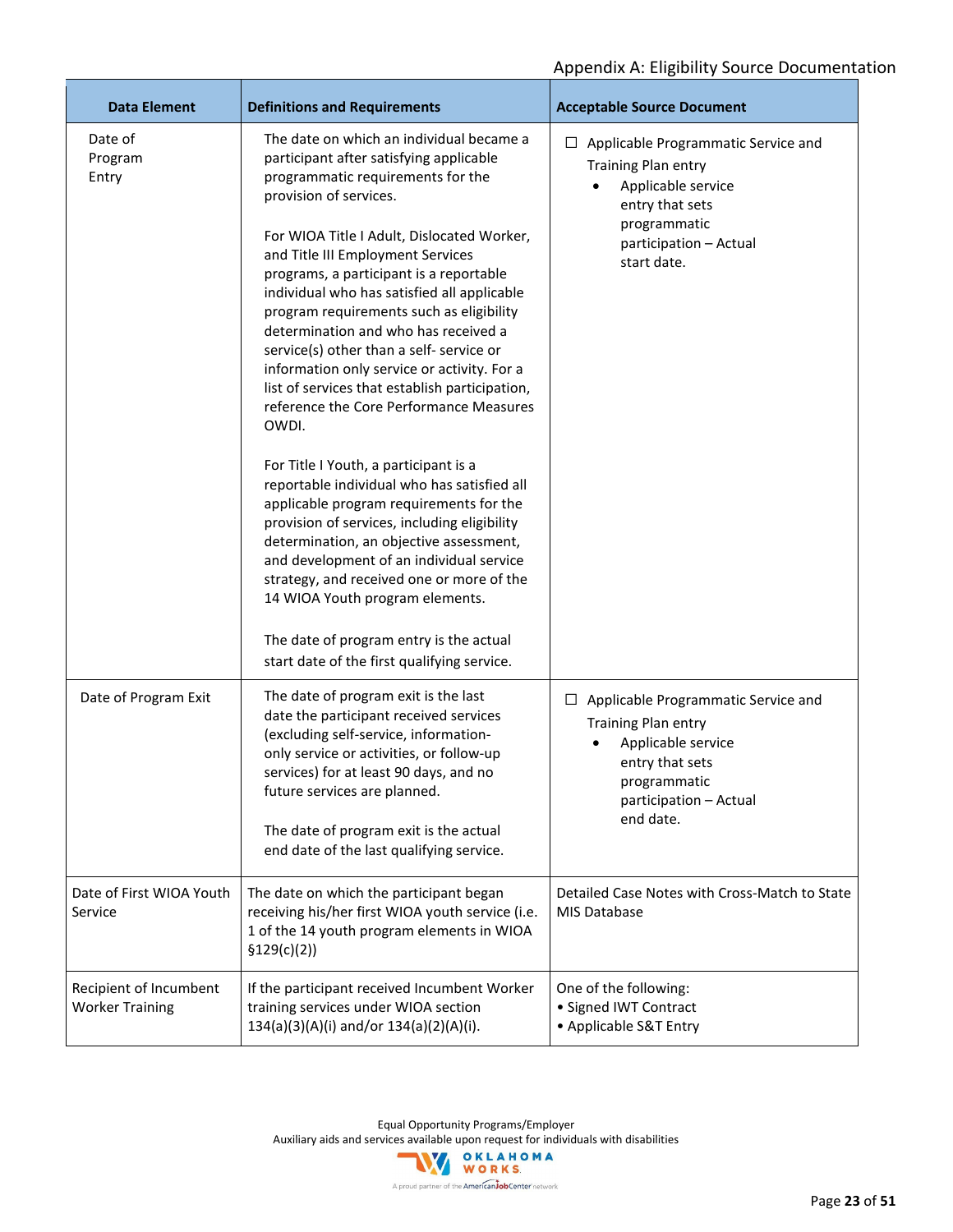| <b>Data Element</b>                              | <b>Definitions and Requirements</b>                                                                                                                                                                                                                                                                                                                                                                                                                                                                                                                                                                                                                           | <b>Acceptable Source Document</b>                                                                                                                                 |
|--------------------------------------------------|---------------------------------------------------------------------------------------------------------------------------------------------------------------------------------------------------------------------------------------------------------------------------------------------------------------------------------------------------------------------------------------------------------------------------------------------------------------------------------------------------------------------------------------------------------------------------------------------------------------------------------------------------------------|-------------------------------------------------------------------------------------------------------------------------------------------------------------------|
| Date of<br>Program<br>Entry                      | The date on which an individual became a<br>participant after satisfying applicable<br>programmatic requirements for the<br>provision of services.<br>For WIOA Title I Adult, Dislocated Worker,<br>and Title III Employment Services<br>programs, a participant is a reportable<br>individual who has satisfied all applicable<br>program requirements such as eligibility<br>determination and who has received a<br>service(s) other than a self- service or<br>information only service or activity. For a<br>list of services that establish participation,<br>reference the Core Performance Measures<br>OWDI.<br>For Title I Youth, a participant is a | Applicable Programmatic Service and<br>⊔<br>Training Plan entry<br>Applicable service<br>entry that sets<br>programmatic<br>participation - Actual<br>start date. |
|                                                  | reportable individual who has satisfied all<br>applicable program requirements for the<br>provision of services, including eligibility<br>determination, an objective assessment,<br>and development of an individual service<br>strategy, and received one or more of the<br>14 WIOA Youth program elements.<br>The date of program entry is the actual                                                                                                                                                                                                                                                                                                      |                                                                                                                                                                   |
|                                                  | start date of the first qualifying service.                                                                                                                                                                                                                                                                                                                                                                                                                                                                                                                                                                                                                   |                                                                                                                                                                   |
| Date of Program Exit                             | The date of program exit is the last<br>date the participant received services<br>(excluding self-service, information-<br>only service or activities, or follow-up<br>services) for at least 90 days, and no<br>future services are planned.<br>The date of program exit is the actual<br>end date of the last qualifying service.                                                                                                                                                                                                                                                                                                                           | $\Box$ Applicable Programmatic Service and<br>Training Plan entry<br>Applicable service<br>entry that sets<br>programmatic<br>participation - Actual<br>end date. |
| Date of First WIOA Youth<br>Service              | The date on which the participant began<br>receiving his/her first WIOA youth service (i.e.<br>1 of the 14 youth program elements in WIOA<br>\$129(c)(2))                                                                                                                                                                                                                                                                                                                                                                                                                                                                                                     | Detailed Case Notes with Cross-Match to State<br>MIS Database                                                                                                     |
| Recipient of Incumbent<br><b>Worker Training</b> | If the participant received Incumbent Worker<br>training services under WIOA section<br>134(a)(3)(A)(i) and/or 134(a)(2)(A)(i).                                                                                                                                                                                                                                                                                                                                                                                                                                                                                                                               | One of the following:<br>• Signed IWT Contract<br>• Applicable S&T Entry                                                                                          |

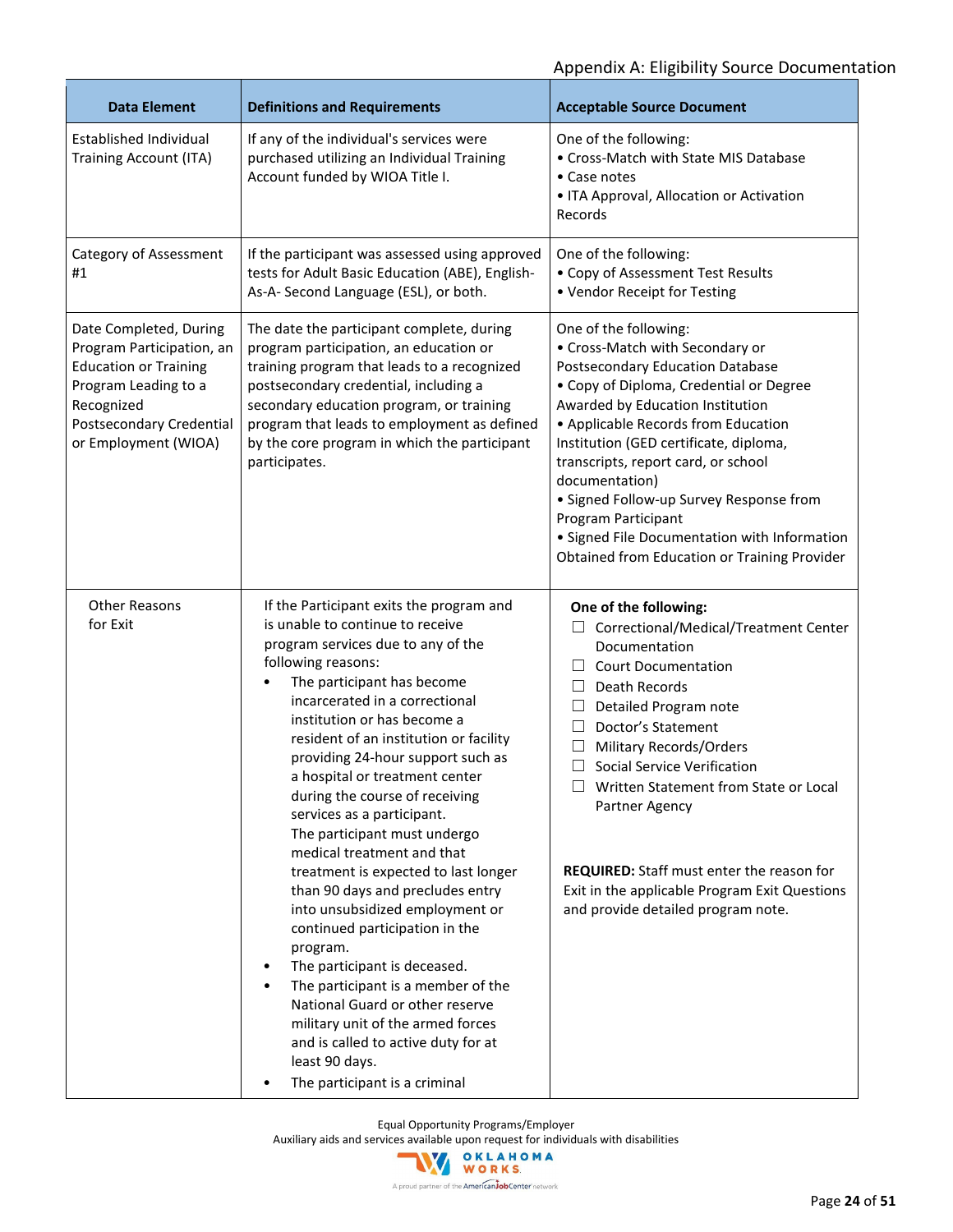| <b>Data Element</b>                                                                                                                                                           | <b>Definitions and Requirements</b>                                                                                                                                                                                                                                                                                                                                                                                                                                                                                                                                                                                                                                                                                                                                                                                                                                                                      | <b>Acceptable Source Document</b>                                                                                                                                                                                                                                                                                                                                                                                                                                                          |
|-------------------------------------------------------------------------------------------------------------------------------------------------------------------------------|----------------------------------------------------------------------------------------------------------------------------------------------------------------------------------------------------------------------------------------------------------------------------------------------------------------------------------------------------------------------------------------------------------------------------------------------------------------------------------------------------------------------------------------------------------------------------------------------------------------------------------------------------------------------------------------------------------------------------------------------------------------------------------------------------------------------------------------------------------------------------------------------------------|--------------------------------------------------------------------------------------------------------------------------------------------------------------------------------------------------------------------------------------------------------------------------------------------------------------------------------------------------------------------------------------------------------------------------------------------------------------------------------------------|
| Established Individual<br><b>Training Account (ITA)</b>                                                                                                                       | If any of the individual's services were<br>purchased utilizing an Individual Training<br>Account funded by WIOA Title I.                                                                                                                                                                                                                                                                                                                                                                                                                                                                                                                                                                                                                                                                                                                                                                                | One of the following:<br>• Cross-Match with State MIS Database<br>• Case notes<br>• ITA Approval, Allocation or Activation<br>Records                                                                                                                                                                                                                                                                                                                                                      |
| Category of Assessment<br>#1                                                                                                                                                  | If the participant was assessed using approved<br>tests for Adult Basic Education (ABE), English-<br>As-A- Second Language (ESL), or both.                                                                                                                                                                                                                                                                                                                                                                                                                                                                                                                                                                                                                                                                                                                                                               | One of the following:<br>• Copy of Assessment Test Results<br>• Vendor Receipt for Testing                                                                                                                                                                                                                                                                                                                                                                                                 |
| Date Completed, During<br>Program Participation, an<br><b>Education or Training</b><br>Program Leading to a<br>Recognized<br>Postsecondary Credential<br>or Employment (WIOA) | The date the participant complete, during<br>program participation, an education or<br>training program that leads to a recognized<br>postsecondary credential, including a<br>secondary education program, or training<br>program that leads to employment as defined<br>by the core program in which the participant<br>participates.                                                                                                                                                                                                                                                                                                                                                                                                                                                                                                                                                                  | One of the following:<br>• Cross-Match with Secondary or<br>Postsecondary Education Database<br>• Copy of Diploma, Credential or Degree<br>Awarded by Education Institution<br>• Applicable Records from Education<br>Institution (GED certificate, diploma,<br>transcripts, report card, or school<br>documentation)<br>· Signed Follow-up Survey Response from<br>Program Participant<br>· Signed File Documentation with Information<br>Obtained from Education or Training Provider    |
| <b>Other Reasons</b><br>for Exit                                                                                                                                              | If the Participant exits the program and<br>is unable to continue to receive<br>program services due to any of the<br>following reasons:<br>The participant has become<br>incarcerated in a correctional<br>institution or has become a<br>resident of an institution or facility<br>providing 24-hour support such as<br>a hospital or treatment center<br>during the course of receiving<br>services as a participant.<br>The participant must undergo<br>medical treatment and that<br>treatment is expected to last longer<br>than 90 days and precludes entry<br>into unsubsidized employment or<br>continued participation in the<br>program.<br>The participant is deceased.<br>The participant is a member of the<br>$\bullet$<br>National Guard or other reserve<br>military unit of the armed forces<br>and is called to active duty for at<br>least 90 days.<br>The participant is a criminal | One of the following:<br>Correctional/Medical/Treatment Center<br>Documentation<br><b>Court Documentation</b><br>$\Box$<br>Death Records<br>$\Box$<br>$\Box$<br>Detailed Program note<br>Doctor's Statement<br>$\Box$<br>Military Records/Orders<br>□<br><b>Social Service Verification</b><br>Written Statement from State or Local<br>Partner Agency<br>REQUIRED: Staff must enter the reason for<br>Exit in the applicable Program Exit Questions<br>and provide detailed program note. |

Equal Opportunity Programs/Employer

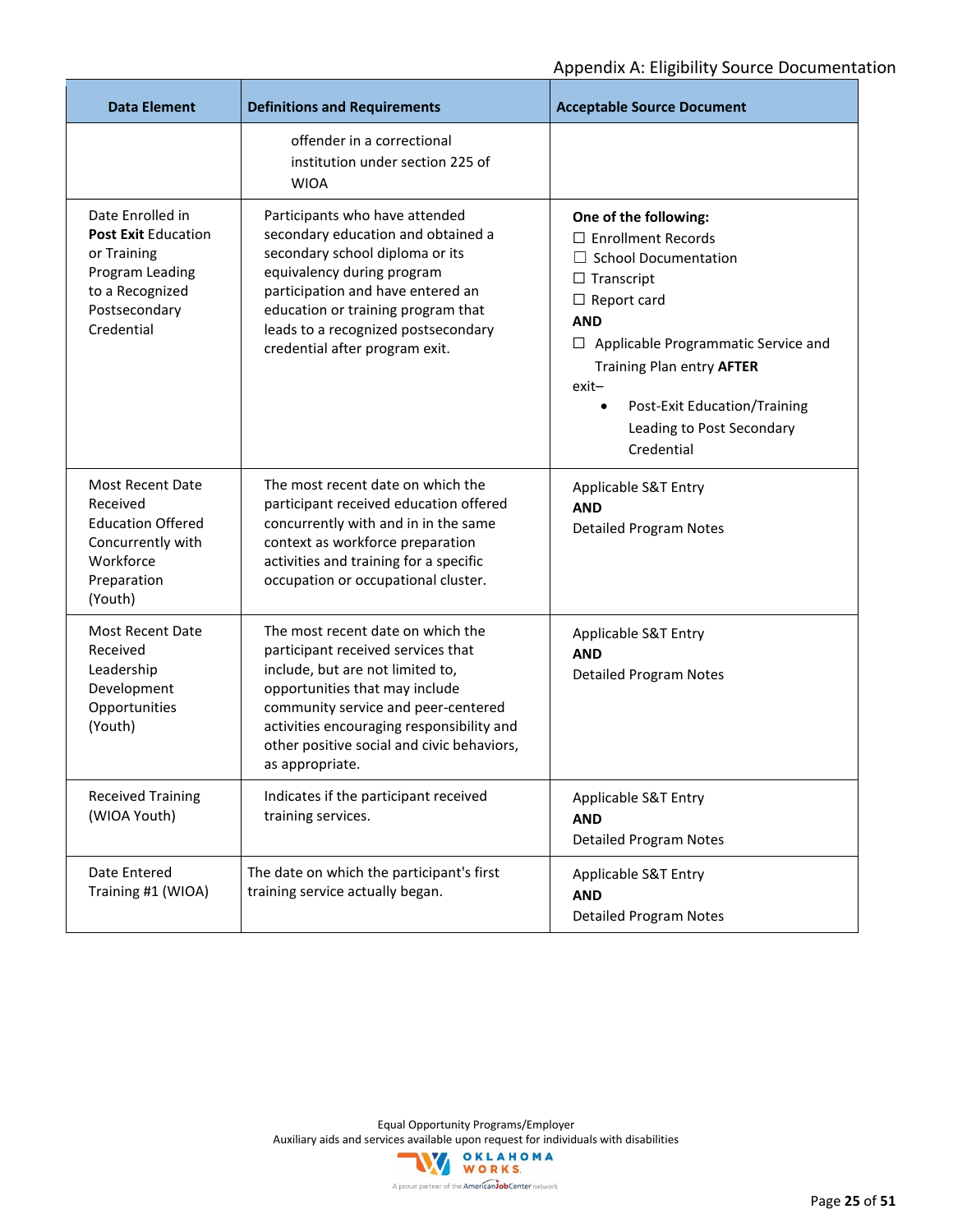| <b>Data Element</b>                                                                                                                | <b>Definitions and Requirements</b>                                                                                                                                                                                                                                                                | <b>Acceptable Source Document</b>                                                                                                                                                                                                                                                                                        |
|------------------------------------------------------------------------------------------------------------------------------------|----------------------------------------------------------------------------------------------------------------------------------------------------------------------------------------------------------------------------------------------------------------------------------------------------|--------------------------------------------------------------------------------------------------------------------------------------------------------------------------------------------------------------------------------------------------------------------------------------------------------------------------|
|                                                                                                                                    | offender in a correctional<br>institution under section 225 of<br><b>WIOA</b>                                                                                                                                                                                                                      |                                                                                                                                                                                                                                                                                                                          |
| Date Enrolled in<br><b>Post Exit Education</b><br>or Training<br>Program Leading<br>to a Recognized<br>Postsecondary<br>Credential | Participants who have attended<br>secondary education and obtained a<br>secondary school diploma or its<br>equivalency during program<br>participation and have entered an<br>education or training program that<br>leads to a recognized postsecondary<br>credential after program exit.          | One of the following:<br>$\Box$ Enrollment Records<br>$\Box$ School Documentation<br>$\Box$ Transcript<br>$\Box$ Report card<br><b>AND</b><br>$\Box$ Applicable Programmatic Service and<br>Training Plan entry AFTER<br>$exit-$<br>Post-Exit Education/Training<br>$\bullet$<br>Leading to Post Secondary<br>Credential |
| Most Recent Date<br>Received<br><b>Education Offered</b><br>Concurrently with<br>Workforce<br>Preparation<br>(Youth)               | The most recent date on which the<br>participant received education offered<br>concurrently with and in in the same<br>context as workforce preparation<br>activities and training for a specific<br>occupation or occupational cluster.                                                           | Applicable S&T Entry<br><b>AND</b><br><b>Detailed Program Notes</b>                                                                                                                                                                                                                                                      |
| Most Recent Date<br>Received<br>Leadership<br>Development<br>Opportunities<br>(Youth)                                              | The most recent date on which the<br>participant received services that<br>include, but are not limited to,<br>opportunities that may include<br>community service and peer-centered<br>activities encouraging responsibility and<br>other positive social and civic behaviors,<br>as appropriate. | Applicable S&T Entry<br><b>AND</b><br><b>Detailed Program Notes</b>                                                                                                                                                                                                                                                      |
| <b>Received Training</b><br>(WIOA Youth)                                                                                           | Indicates if the participant received<br>training services.                                                                                                                                                                                                                                        | Applicable S&T Entry<br><b>AND</b><br><b>Detailed Program Notes</b>                                                                                                                                                                                                                                                      |
| Date Entered<br>Training #1 (WIOA)                                                                                                 | The date on which the participant's first<br>training service actually began.                                                                                                                                                                                                                      | Applicable S&T Entry<br><b>AND</b><br><b>Detailed Program Notes</b>                                                                                                                                                                                                                                                      |

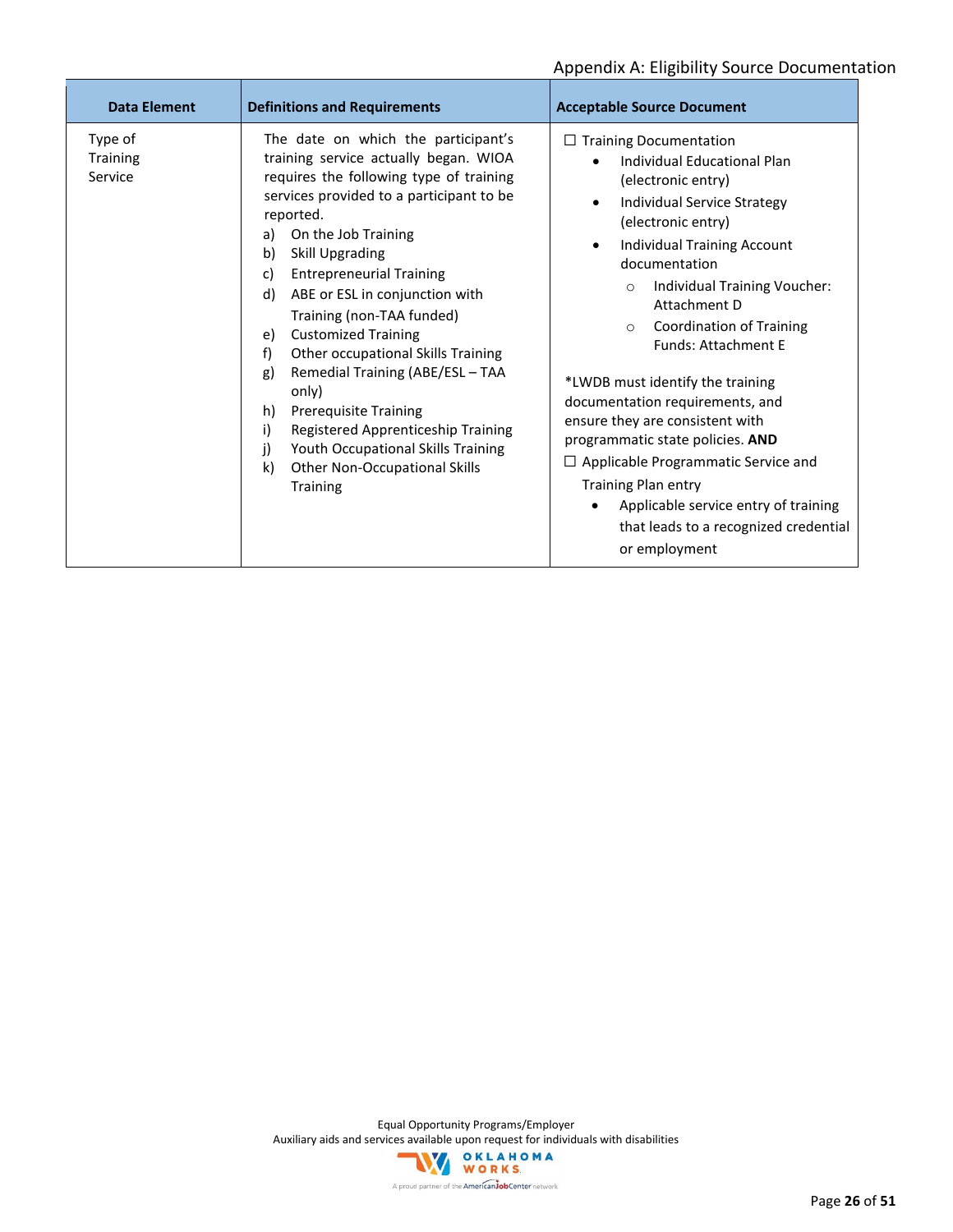| <b>Data Element</b>                   | <b>Definitions and Requirements</b>                                                                                                                                                                                                                                                                                                                                                                                                                                                                                                                                                                                                                                      | <b>Acceptable Source Document</b>                                                                                                                                                                                                                                                                                                                                                                                                                                                                                                                                                                                                                                                                 |
|---------------------------------------|--------------------------------------------------------------------------------------------------------------------------------------------------------------------------------------------------------------------------------------------------------------------------------------------------------------------------------------------------------------------------------------------------------------------------------------------------------------------------------------------------------------------------------------------------------------------------------------------------------------------------------------------------------------------------|---------------------------------------------------------------------------------------------------------------------------------------------------------------------------------------------------------------------------------------------------------------------------------------------------------------------------------------------------------------------------------------------------------------------------------------------------------------------------------------------------------------------------------------------------------------------------------------------------------------------------------------------------------------------------------------------------|
| Type of<br><b>Training</b><br>Service | The date on which the participant's<br>training service actually began. WIOA<br>requires the following type of training<br>services provided to a participant to be<br>reported.<br>On the Job Training<br>a)<br>Skill Upgrading<br>b)<br><b>Entrepreneurial Training</b><br>c)<br>ABE or ESL in conjunction with<br>d)<br>Training (non-TAA funded)<br><b>Customized Training</b><br>e)<br>Other occupational Skills Training<br>f)<br>Remedial Training (ABE/ESL - TAA<br>g)<br>only)<br><b>Prerequisite Training</b><br>h)<br>Registered Apprenticeship Training<br>i)<br>Youth Occupational Skills Training<br>j)<br>k)<br>Other Non-Occupational Skills<br>Training | $\Box$ Training Documentation<br>Individual Educational Plan<br>$\bullet$<br>(electronic entry)<br>Individual Service Strategy<br>$\bullet$<br>(electronic entry)<br><b>Individual Training Account</b><br>$\bullet$<br>documentation<br>Individual Training Voucher:<br>$\circ$<br>Attachment D<br>Coordination of Training<br>$\circ$<br><b>Funds: Attachment E</b><br>*LWDB must identify the training<br>documentation requirements, and<br>ensure they are consistent with<br>programmatic state policies. AND<br>$\Box$ Applicable Programmatic Service and<br><b>Training Plan entry</b><br>Applicable service entry of training<br>that leads to a recognized credential<br>or employment |

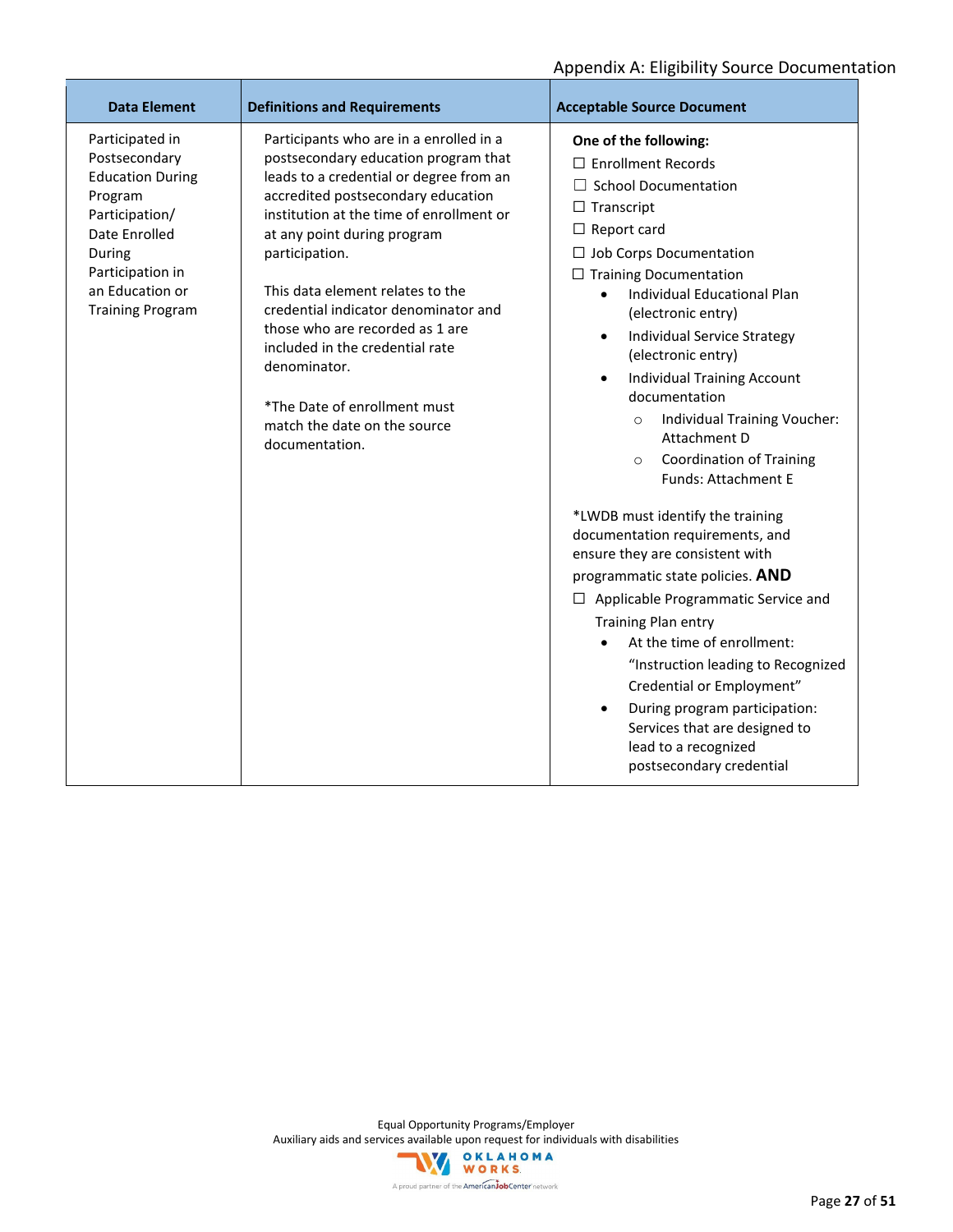| <b>Data Element</b>                                                                                                                                                                   | <b>Definitions and Requirements</b>                                                                                                                                                                                                                                                                                                                                                                                                                                                                               | <b>Acceptable Source Document</b>                                                                                                                                                                                                                                                                                                                                                                                                                                                                                                                                                                                                                                                                                                                                                                                                                                                                                                                                                             |
|---------------------------------------------------------------------------------------------------------------------------------------------------------------------------------------|-------------------------------------------------------------------------------------------------------------------------------------------------------------------------------------------------------------------------------------------------------------------------------------------------------------------------------------------------------------------------------------------------------------------------------------------------------------------------------------------------------------------|-----------------------------------------------------------------------------------------------------------------------------------------------------------------------------------------------------------------------------------------------------------------------------------------------------------------------------------------------------------------------------------------------------------------------------------------------------------------------------------------------------------------------------------------------------------------------------------------------------------------------------------------------------------------------------------------------------------------------------------------------------------------------------------------------------------------------------------------------------------------------------------------------------------------------------------------------------------------------------------------------|
| Participated in<br>Postsecondary<br><b>Education During</b><br>Program<br>Participation/<br>Date Enrolled<br>During<br>Participation in<br>an Education or<br><b>Training Program</b> | Participants who are in a enrolled in a<br>postsecondary education program that<br>leads to a credential or degree from an<br>accredited postsecondary education<br>institution at the time of enrollment or<br>at any point during program<br>participation.<br>This data element relates to the<br>credential indicator denominator and<br>those who are recorded as 1 are<br>included in the credential rate<br>denominator.<br>*The Date of enrollment must<br>match the date on the source<br>documentation. | One of the following:<br>$\Box$ Enrollment Records<br><b>School Documentation</b><br>$\Box$ Transcript<br>$\Box$ Report card<br>$\Box$ Job Corps Documentation<br>$\Box$ Training Documentation<br>Individual Educational Plan<br>$\bullet$<br>(electronic entry)<br>Individual Service Strategy<br>٠<br>(electronic entry)<br><b>Individual Training Account</b><br>$\bullet$<br>documentation<br>Individual Training Voucher:<br>$\circ$<br>Attachment D<br><b>Coordination of Training</b><br>$\circ$<br><b>Funds: Attachment E</b><br>*LWDB must identify the training<br>documentation requirements, and<br>ensure they are consistent with<br>programmatic state policies. AND<br>$\Box$ Applicable Programmatic Service and<br>Training Plan entry<br>At the time of enrollment:<br>"Instruction leading to Recognized<br>Credential or Employment"<br>During program participation:<br>$\bullet$<br>Services that are designed to<br>lead to a recognized<br>postsecondary credential |

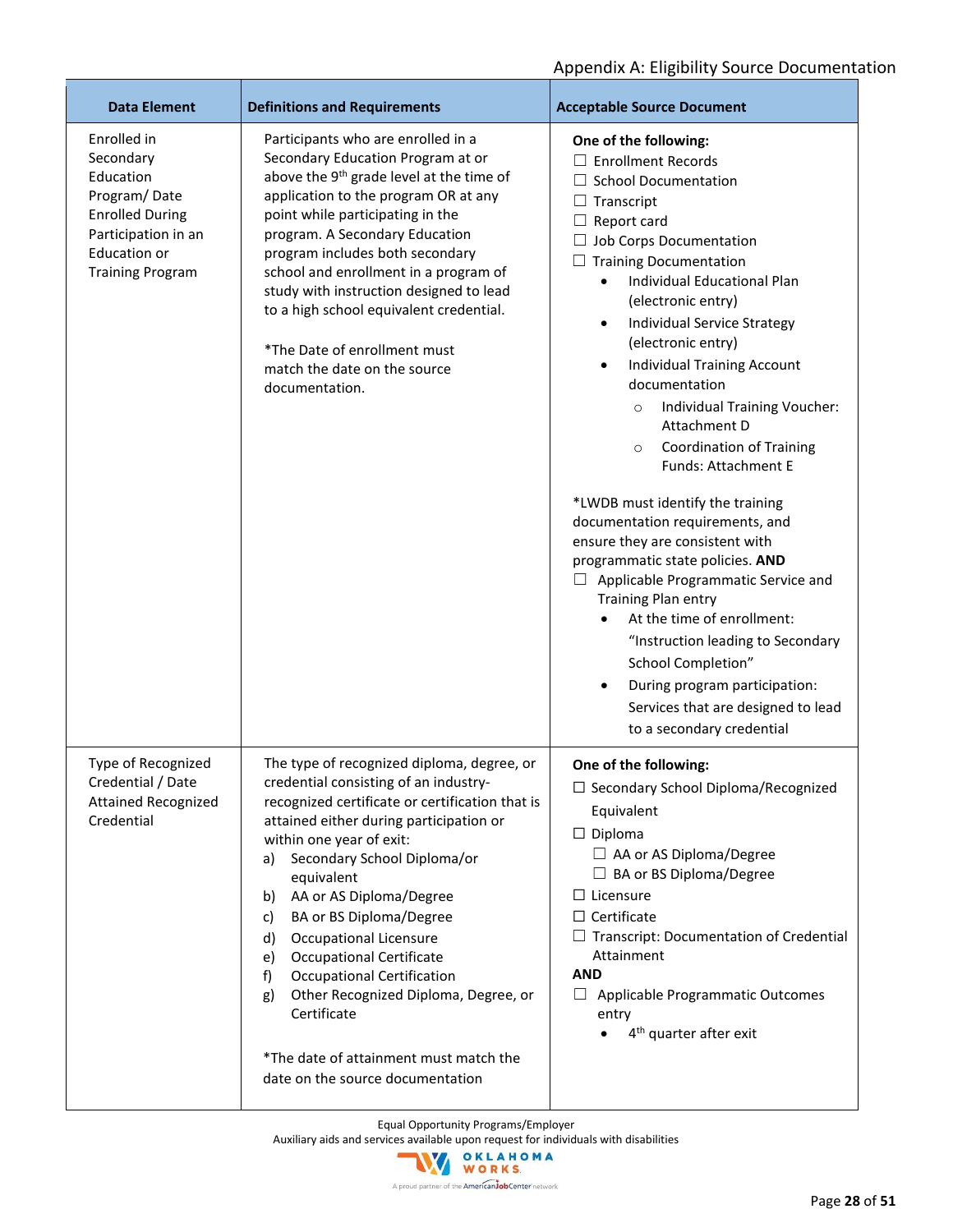| <b>Data Element</b>                                                                                                                                      | <b>Definitions and Requirements</b>                                                                                                                                                                                                                                                                                                                                                                                                                                                                                                                                                               | <b>Acceptable Source Document</b>                                                                                                                                                                                                                                                                                                                                                                                                                                                                                                                                                                                                                                                                                                                                                                                                                                                                                                         |
|----------------------------------------------------------------------------------------------------------------------------------------------------------|---------------------------------------------------------------------------------------------------------------------------------------------------------------------------------------------------------------------------------------------------------------------------------------------------------------------------------------------------------------------------------------------------------------------------------------------------------------------------------------------------------------------------------------------------------------------------------------------------|-------------------------------------------------------------------------------------------------------------------------------------------------------------------------------------------------------------------------------------------------------------------------------------------------------------------------------------------------------------------------------------------------------------------------------------------------------------------------------------------------------------------------------------------------------------------------------------------------------------------------------------------------------------------------------------------------------------------------------------------------------------------------------------------------------------------------------------------------------------------------------------------------------------------------------------------|
| Enrolled in<br>Secondary<br>Education<br>Program/Date<br><b>Enrolled During</b><br>Participation in an<br><b>Education or</b><br><b>Training Program</b> | Participants who are enrolled in a<br>Secondary Education Program at or<br>above the 9 <sup>th</sup> grade level at the time of<br>application to the program OR at any<br>point while participating in the<br>program. A Secondary Education<br>program includes both secondary<br>school and enrollment in a program of<br>study with instruction designed to lead<br>to a high school equivalent credential.<br>*The Date of enrollment must<br>match the date on the source<br>documentation.                                                                                                 | One of the following:<br>$\Box$ Enrollment Records<br>$\Box$ School Documentation<br>$\Box$ Transcript<br>$\Box$ Report card<br>$\Box$ Job Corps Documentation<br>$\Box$ Training Documentation<br>Individual Educational Plan<br>(electronic entry)<br>Individual Service Strategy<br>(electronic entry)<br><b>Individual Training Account</b><br>٠<br>documentation<br>Individual Training Voucher:<br>$\circ$<br>Attachment D<br><b>Coordination of Training</b><br>O<br>Funds: Attachment E<br>*LWDB must identify the training<br>documentation requirements, and<br>ensure they are consistent with<br>programmatic state policies. AND<br>Applicable Programmatic Service and<br><b>Training Plan entry</b><br>At the time of enrollment:<br>$\bullet$<br>"Instruction leading to Secondary<br>School Completion"<br>During program participation:<br>$\bullet$<br>Services that are designed to lead<br>to a secondary credential |
| Type of Recognized<br>Credential / Date<br><b>Attained Recognized</b><br>Credential                                                                      | The type of recognized diploma, degree, or<br>credential consisting of an industry-<br>recognized certificate or certification that is<br>attained either during participation or<br>within one year of exit:<br>Secondary School Diploma/or<br>a)<br>equivalent<br>AA or AS Diploma/Degree<br>b)<br>BA or BS Diploma/Degree<br>c)<br>Occupational Licensure<br>d)<br><b>Occupational Certificate</b><br>e)<br><b>Occupational Certification</b><br>f)<br>Other Recognized Diploma, Degree, or<br>g)<br>Certificate<br>*The date of attainment must match the<br>date on the source documentation | One of the following:<br>□ Secondary School Diploma/Recognized<br>Equivalent<br>$\Box$ Diploma<br>$\Box$ AA or AS Diploma/Degree<br>$\Box$ BA or BS Diploma/Degree<br>$\Box$ Licensure<br>$\Box$ Certificate<br>$\Box$ Transcript: Documentation of Credential<br>Attainment<br><b>AND</b><br>$\Box$ Applicable Programmatic Outcomes<br>entry<br>4 <sup>th</sup> quarter after exit                                                                                                                                                                                                                                                                                                                                                                                                                                                                                                                                                      |

Equal Opportunity Programs/Employer

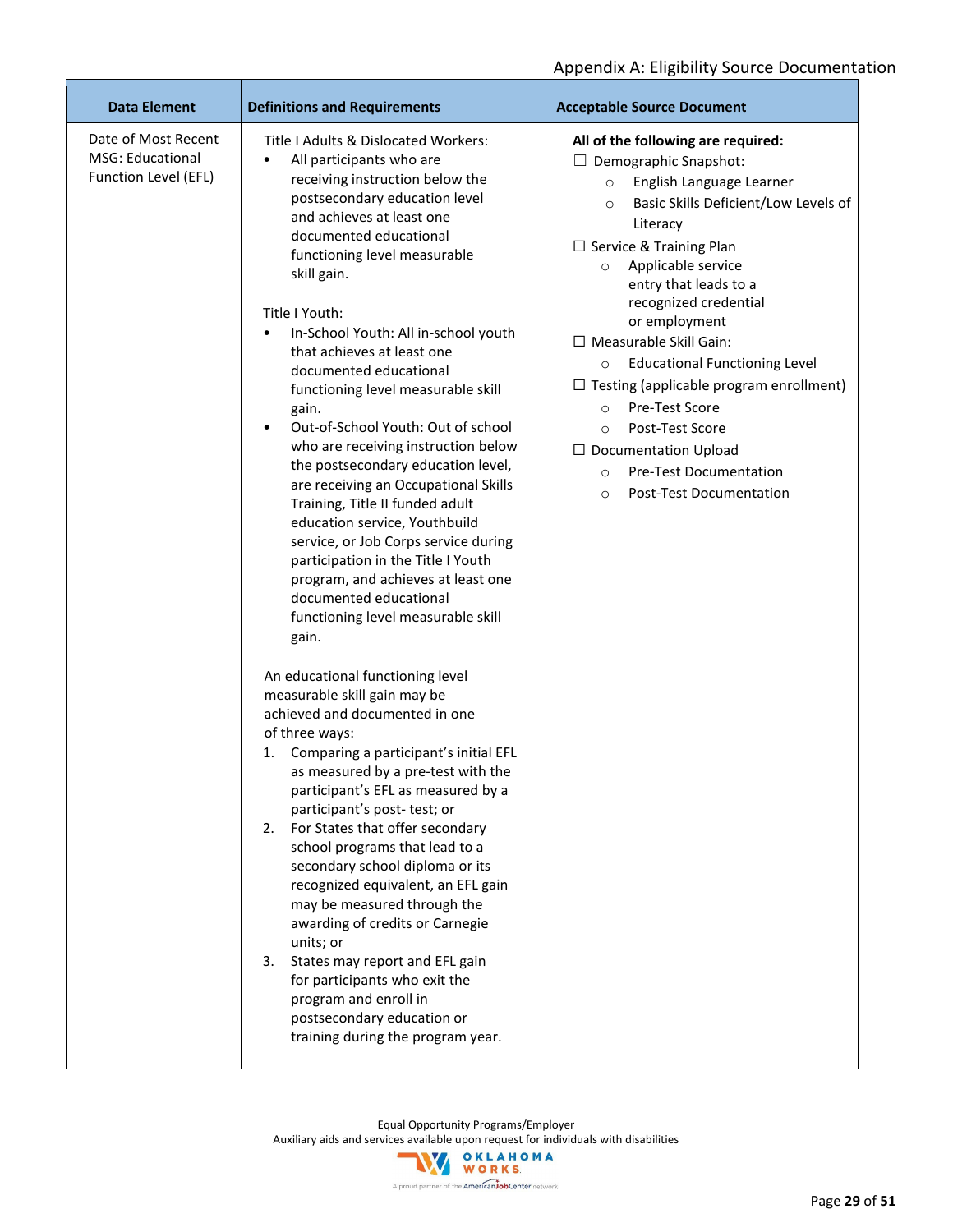| <b>Data Element</b>                                                    | <b>Definitions and Requirements</b>                                                                                                                                                                                                                                                                                                                                                                                                                                                                                                                                                                                                                                                                                                                                                                                                                                                                                                                                                                                                                                                                                                                                                                                                                                                                                                                                                                                                                                                                                                                                       | <b>Acceptable Source Document</b>                                                                                                                                                                                                                                                                                                                                                                                                                                                                                                                                                                                                       |
|------------------------------------------------------------------------|---------------------------------------------------------------------------------------------------------------------------------------------------------------------------------------------------------------------------------------------------------------------------------------------------------------------------------------------------------------------------------------------------------------------------------------------------------------------------------------------------------------------------------------------------------------------------------------------------------------------------------------------------------------------------------------------------------------------------------------------------------------------------------------------------------------------------------------------------------------------------------------------------------------------------------------------------------------------------------------------------------------------------------------------------------------------------------------------------------------------------------------------------------------------------------------------------------------------------------------------------------------------------------------------------------------------------------------------------------------------------------------------------------------------------------------------------------------------------------------------------------------------------------------------------------------------------|-----------------------------------------------------------------------------------------------------------------------------------------------------------------------------------------------------------------------------------------------------------------------------------------------------------------------------------------------------------------------------------------------------------------------------------------------------------------------------------------------------------------------------------------------------------------------------------------------------------------------------------------|
| Date of Most Recent<br><b>MSG: Educational</b><br>Function Level (EFL) | Title I Adults & Dislocated Workers:<br>All participants who are<br>$\bullet$<br>receiving instruction below the<br>postsecondary education level<br>and achieves at least one<br>documented educational<br>functioning level measurable<br>skill gain.<br>Title I Youth:<br>In-School Youth: All in-school youth<br>$\bullet$<br>that achieves at least one<br>documented educational<br>functioning level measurable skill<br>gain.<br>Out-of-School Youth: Out of school<br>$\bullet$<br>who are receiving instruction below<br>the postsecondary education level,<br>are receiving an Occupational Skills<br>Training, Title II funded adult<br>education service, Youthbuild<br>service, or Job Corps service during<br>participation in the Title I Youth<br>program, and achieves at least one<br>documented educational<br>functioning level measurable skill<br>gain.<br>An educational functioning level<br>measurable skill gain may be<br>achieved and documented in one<br>of three ways:<br>Comparing a participant's initial EFL<br>1.<br>as measured by a pre-test with the<br>participant's EFL as measured by a<br>participant's post- test; or<br>For States that offer secondary<br>2.<br>school programs that lead to a<br>secondary school diploma or its<br>recognized equivalent, an EFL gain<br>may be measured through the<br>awarding of credits or Carnegie<br>units; or<br>States may report and EFL gain<br>3.<br>for participants who exit the<br>program and enroll in<br>postsecondary education or<br>training during the program year. | All of the following are required:<br>$\Box$ Demographic Snapshot:<br>English Language Learner<br>$\circ$<br>Basic Skills Deficient/Low Levels of<br>$\circ$<br>Literacy<br>$\Box$ Service & Training Plan<br>Applicable service<br>$\circ$<br>entry that leads to a<br>recognized credential<br>or employment<br>$\Box$ Measurable Skill Gain:<br><b>Educational Functioning Level</b><br>$\circ$<br>$\Box$ Testing (applicable program enrollment)<br>Pre-Test Score<br>$\circ$<br>Post-Test Score<br>$\circ$<br>$\Box$ Documentation Upload<br><b>Pre-Test Documentation</b><br>$\circ$<br><b>Post-Test Documentation</b><br>$\circ$ |

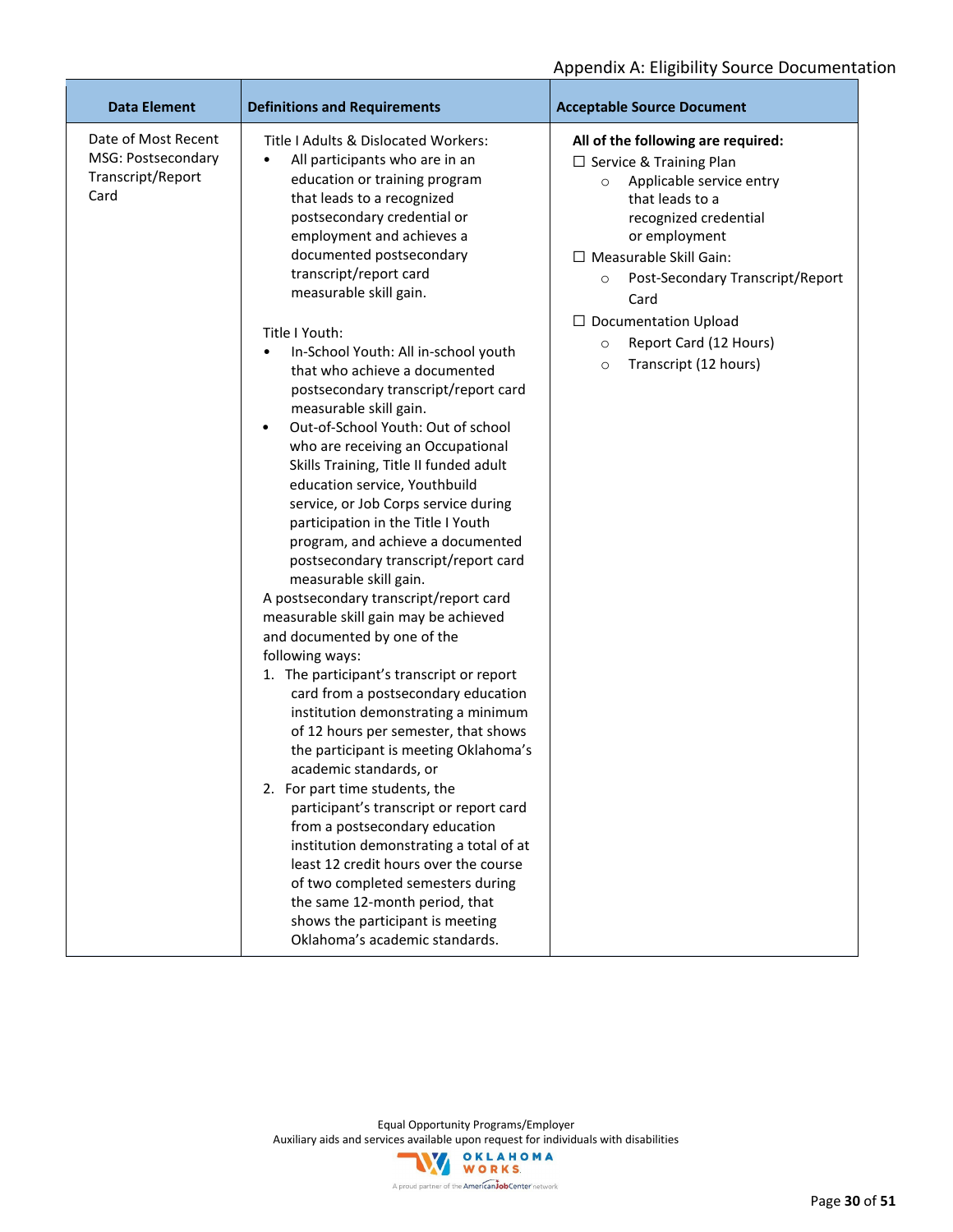| Date of Most Recent<br>MSG: Postsecondary<br>Transcript/Report<br>Card | Title I Adults & Dislocated Workers:<br>All participants who are in an<br>$\bullet$<br>education or training program<br>that leads to a recognized<br>postsecondary credential or                                                                                                                                                                                                                                                                                                                                                                                                                                                                                                                                                                      | All of the following are required:<br>$\Box$ Service & Training Plan<br>Applicable service entry<br>$\circ$                                                                                                                                          |
|------------------------------------------------------------------------|--------------------------------------------------------------------------------------------------------------------------------------------------------------------------------------------------------------------------------------------------------------------------------------------------------------------------------------------------------------------------------------------------------------------------------------------------------------------------------------------------------------------------------------------------------------------------------------------------------------------------------------------------------------------------------------------------------------------------------------------------------|------------------------------------------------------------------------------------------------------------------------------------------------------------------------------------------------------------------------------------------------------|
|                                                                        | employment and achieves a<br>documented postsecondary<br>transcript/report card<br>measurable skill gain.<br>Title I Youth:<br>In-School Youth: All in-school youth<br>$\bullet$<br>that who achieve a documented<br>postsecondary transcript/report card<br>measurable skill gain.<br>Out-of-School Youth: Out of school<br>٠<br>who are receiving an Occupational<br>Skills Training, Title II funded adult<br>education service, Youthbuild<br>service, or Job Corps service during<br>participation in the Title I Youth<br>program, and achieve a documented<br>postsecondary transcript/report card<br>measurable skill gain.<br>A postsecondary transcript/report card<br>measurable skill gain may be achieved<br>and documented by one of the | that leads to a<br>recognized credential<br>or employment<br>□ Measurable Skill Gain:<br>Post-Secondary Transcript/Report<br>$\circ$<br>Card<br>$\Box$ Documentation Upload<br>Report Card (12 Hours)<br>$\circ$<br>Transcript (12 hours)<br>$\circ$ |
|                                                                        | following ways:<br>1. The participant's transcript or report<br>card from a postsecondary education<br>institution demonstrating a minimum<br>of 12 hours per semester, that shows<br>the participant is meeting Oklahoma's<br>academic standards, or<br>2. For part time students, the<br>participant's transcript or report card<br>from a postsecondary education<br>institution demonstrating a total of at<br>least 12 credit hours over the course<br>of two completed semesters during<br>the same 12-month period, that<br>shows the participant is meeting                                                                                                                                                                                    |                                                                                                                                                                                                                                                      |

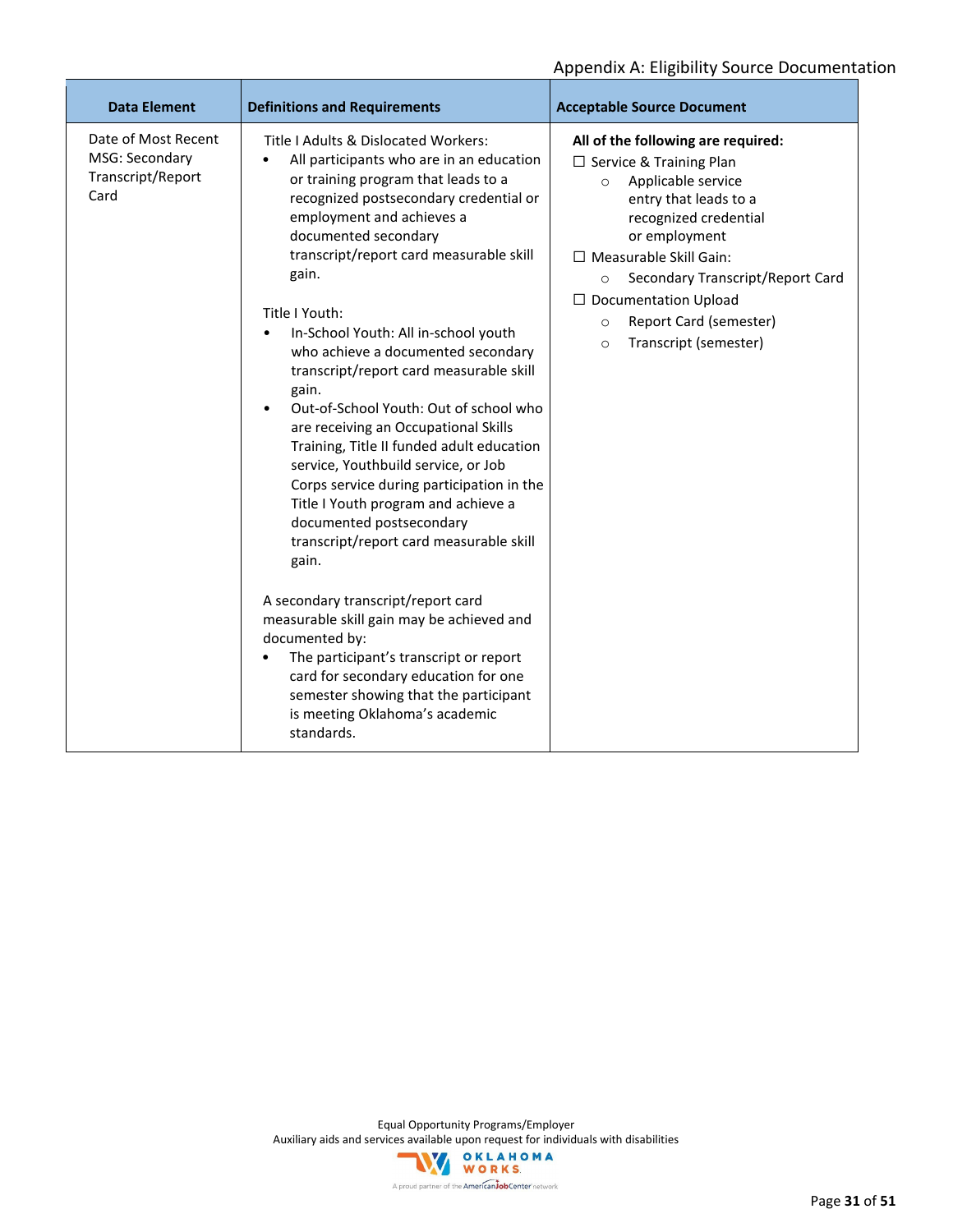| <b>Data Element</b>                                                | <b>Definitions and Requirements</b>                                                                                                                                                                                                                                                                                                                                                                                                                                                                                                                                                                                                                                                                                                                                                                | <b>Acceptable Source Document</b>                                                                                                                                                                                                                                                                                                                            |
|--------------------------------------------------------------------|----------------------------------------------------------------------------------------------------------------------------------------------------------------------------------------------------------------------------------------------------------------------------------------------------------------------------------------------------------------------------------------------------------------------------------------------------------------------------------------------------------------------------------------------------------------------------------------------------------------------------------------------------------------------------------------------------------------------------------------------------------------------------------------------------|--------------------------------------------------------------------------------------------------------------------------------------------------------------------------------------------------------------------------------------------------------------------------------------------------------------------------------------------------------------|
| Date of Most Recent<br>MSG: Secondary<br>Transcript/Report<br>Card | Title I Adults & Dislocated Workers:<br>All participants who are in an education<br>$\bullet$<br>or training program that leads to a<br>recognized postsecondary credential or<br>employment and achieves a<br>documented secondary<br>transcript/report card measurable skill<br>gain.<br>Title I Youth:<br>In-School Youth: All in-school youth<br>$\bullet$<br>who achieve a documented secondary<br>transcript/report card measurable skill<br>gain.<br>Out-of-School Youth: Out of school who<br>are receiving an Occupational Skills<br>Training, Title II funded adult education<br>service, Youthbuild service, or Job<br>Corps service during participation in the<br>Title I Youth program and achieve a<br>documented postsecondary<br>transcript/report card measurable skill<br>gain. | All of the following are required:<br>$\Box$ Service & Training Plan<br>Applicable service<br>$\circ$<br>entry that leads to a<br>recognized credential<br>or employment<br>□ Measurable Skill Gain:<br>Secondary Transcript/Report Card<br>$\Omega$<br>$\Box$ Documentation Upload<br>Report Card (semester)<br>$\circ$<br>Transcript (semester)<br>$\circ$ |
|                                                                    | A secondary transcript/report card<br>measurable skill gain may be achieved and<br>documented by:<br>The participant's transcript or report<br>$\bullet$<br>card for secondary education for one<br>semester showing that the participant<br>is meeting Oklahoma's academic<br>standards.                                                                                                                                                                                                                                                                                                                                                                                                                                                                                                          |                                                                                                                                                                                                                                                                                                                                                              |

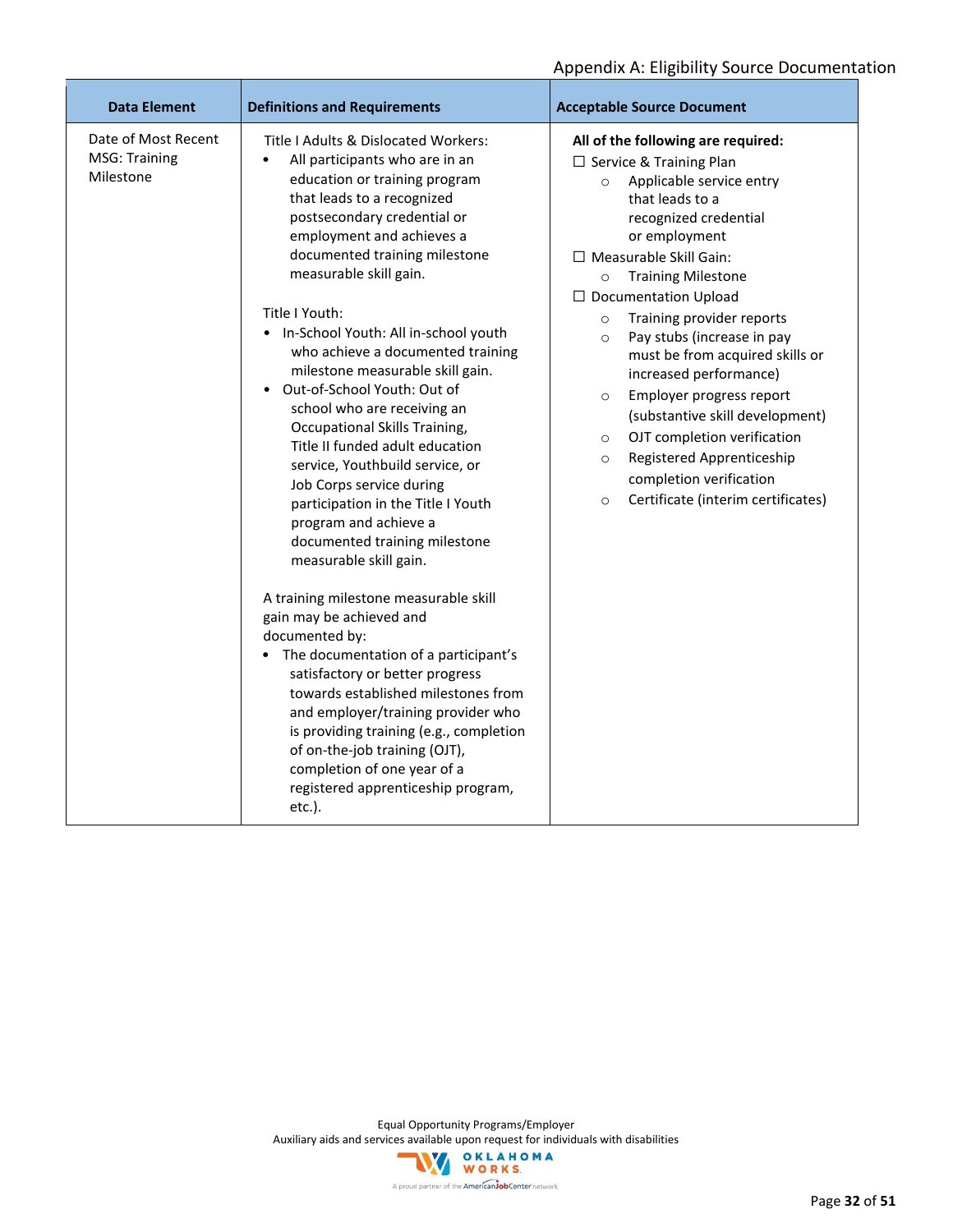| <b>Data Element</b>                               | <b>Definitions and Requirements</b>                                                                                                                                                                                                                                                                                                                                                                                                                                                                                                                                                                                                                                                                                                                                                                                                                                                                                                                                                                                                                                                                                                                     | <b>Acceptable Source Document</b>                                                                                                                                                                                                                                                                                                                                                                                                                                                                                                                                                                                                                                      |
|---------------------------------------------------|---------------------------------------------------------------------------------------------------------------------------------------------------------------------------------------------------------------------------------------------------------------------------------------------------------------------------------------------------------------------------------------------------------------------------------------------------------------------------------------------------------------------------------------------------------------------------------------------------------------------------------------------------------------------------------------------------------------------------------------------------------------------------------------------------------------------------------------------------------------------------------------------------------------------------------------------------------------------------------------------------------------------------------------------------------------------------------------------------------------------------------------------------------|------------------------------------------------------------------------------------------------------------------------------------------------------------------------------------------------------------------------------------------------------------------------------------------------------------------------------------------------------------------------------------------------------------------------------------------------------------------------------------------------------------------------------------------------------------------------------------------------------------------------------------------------------------------------|
| Date of Most Recent<br>MSG: Training<br>Milestone | Title I Adults & Dislocated Workers:<br>All participants who are in an<br>$\bullet$<br>education or training program<br>that leads to a recognized<br>postsecondary credential or<br>employment and achieves a<br>documented training milestone<br>measurable skill gain.<br>Title I Youth:<br>• In-School Youth: All in-school youth<br>who achieve a documented training<br>milestone measurable skill gain.<br>• Out-of-School Youth: Out of<br>school who are receiving an<br>Occupational Skills Training,<br>Title II funded adult education<br>service, Youthbuild service, or<br>Job Corps service during<br>participation in the Title I Youth<br>program and achieve a<br>documented training milestone<br>measurable skill gain.<br>A training milestone measurable skill<br>gain may be achieved and<br>documented by:<br>• The documentation of a participant's<br>satisfactory or better progress<br>towards established milestones from<br>and employer/training provider who<br>is providing training (e.g., completion<br>of on-the-job training (OJT),<br>completion of one year of a<br>registered apprenticeship program,<br>etc.). | All of the following are required:<br>$\Box$ Service & Training Plan<br>Applicable service entry<br>$\circ$<br>that leads to a<br>recognized credential<br>or employment<br>$\Box$ Measurable Skill Gain:<br><b>Training Milestone</b><br>$\circ$<br>$\Box$ Documentation Upload<br>Training provider reports<br>$\circ$<br>Pay stubs (increase in pay<br>$\circ$<br>must be from acquired skills or<br>increased performance)<br>Employer progress report<br>$\circ$<br>(substantive skill development)<br>OJT completion verification<br>$\circ$<br>Registered Apprenticeship<br>$\circ$<br>completion verification<br>Certificate (interim certificates)<br>$\circ$ |

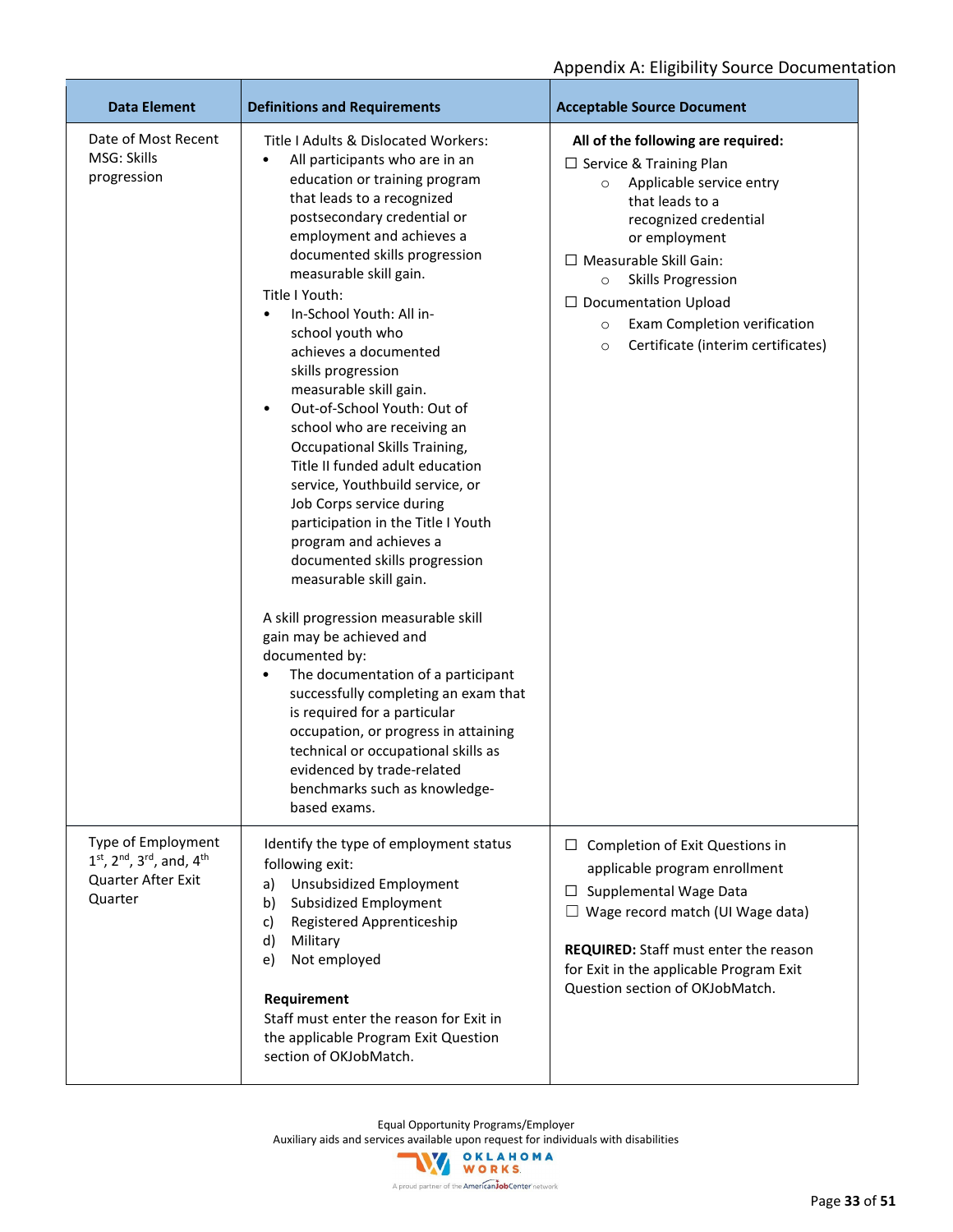| <b>Data Element</b>                                                                   | <b>Definitions and Requirements</b>                                                                                                                                                                                                                                                                                                                                                                                                                                                                                                                                                                                                                                                                                                                                                                                                                                                                                                                                                                                                                                                                                                                       | <b>Acceptable Source Document</b>                                                                                                                                                                                                                                                                                                                                       |
|---------------------------------------------------------------------------------------|-----------------------------------------------------------------------------------------------------------------------------------------------------------------------------------------------------------------------------------------------------------------------------------------------------------------------------------------------------------------------------------------------------------------------------------------------------------------------------------------------------------------------------------------------------------------------------------------------------------------------------------------------------------------------------------------------------------------------------------------------------------------------------------------------------------------------------------------------------------------------------------------------------------------------------------------------------------------------------------------------------------------------------------------------------------------------------------------------------------------------------------------------------------|-------------------------------------------------------------------------------------------------------------------------------------------------------------------------------------------------------------------------------------------------------------------------------------------------------------------------------------------------------------------------|
| Date of Most Recent<br>MSG: Skills<br>progression                                     | Title I Adults & Dislocated Workers:<br>All participants who are in an<br>$\bullet$<br>education or training program<br>that leads to a recognized<br>postsecondary credential or<br>employment and achieves a<br>documented skills progression<br>measurable skill gain.<br>Title I Youth:<br>In-School Youth: All in-<br>$\bullet$<br>school youth who<br>achieves a documented<br>skills progression<br>measurable skill gain.<br>Out-of-School Youth: Out of<br>$\bullet$<br>school who are receiving an<br>Occupational Skills Training,<br>Title II funded adult education<br>service, Youthbuild service, or<br>Job Corps service during<br>participation in the Title I Youth<br>program and achieves a<br>documented skills progression<br>measurable skill gain.<br>A skill progression measurable skill<br>gain may be achieved and<br>documented by:<br>The documentation of a participant<br>$\bullet$<br>successfully completing an exam that<br>is required for a particular<br>occupation, or progress in attaining<br>technical or occupational skills as<br>evidenced by trade-related<br>benchmarks such as knowledge-<br>based exams. | All of the following are required:<br>$\Box$ Service & Training Plan<br>Applicable service entry<br>$\circ$<br>that leads to a<br>recognized credential<br>or employment<br>□ Measurable Skill Gain:<br><b>Skills Progression</b><br>$\circ$<br>$\Box$ Documentation Upload<br>Exam Completion verification<br>$\circ$<br>Certificate (interim certificates)<br>$\circ$ |
| Type of Employment<br>1st, 2nd, 3rd, and, 4th<br><b>Quarter After Exit</b><br>Quarter | Identify the type of employment status<br>following exit:<br><b>Unsubsidized Employment</b><br>a)<br>Subsidized Employment<br>b)<br>Registered Apprenticeship<br>c)<br>d)<br>Military<br>Not employed<br>e)<br>Requirement<br>Staff must enter the reason for Exit in<br>the applicable Program Exit Question<br>section of OKJobMatch.                                                                                                                                                                                                                                                                                                                                                                                                                                                                                                                                                                                                                                                                                                                                                                                                                   | Completion of Exit Questions in<br>⊔.<br>applicable program enrollment<br>Supplemental Wage Data<br>ப<br>$\Box$ Wage record match (UI Wage data)<br><b>REQUIRED:</b> Staff must enter the reason<br>for Exit in the applicable Program Exit<br>Question section of OKJobMatch.                                                                                          |

Equal Opportunity Programs/Employer

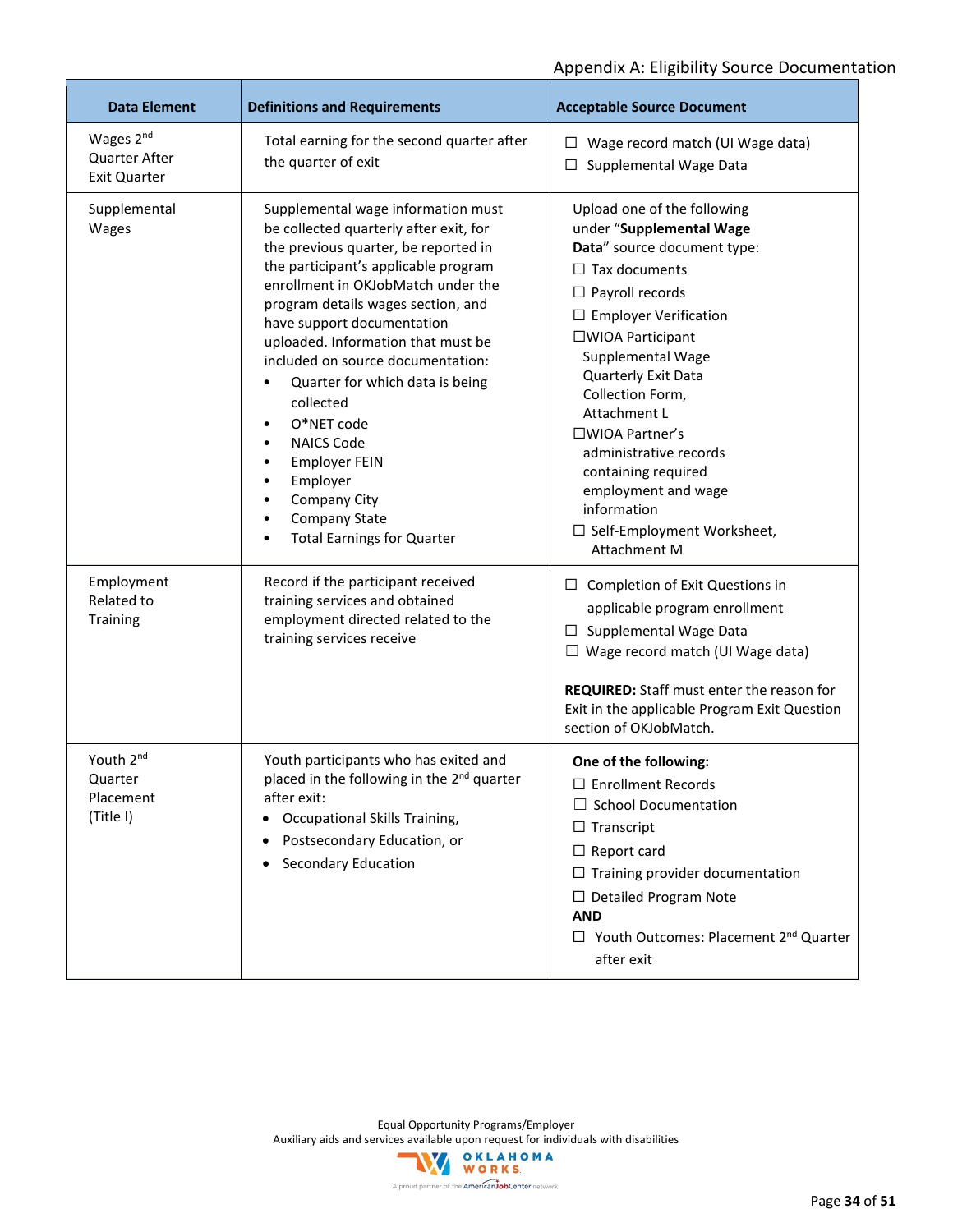| <b>Data Element</b>                                                  | <b>Definitions and Requirements</b>                                                                                                                                                                                                                                                                                                                                                                                                                                                                                                            | <b>Acceptable Source Document</b>                                                                                                                                                                                                                                                                                                                                                                                                              |
|----------------------------------------------------------------------|------------------------------------------------------------------------------------------------------------------------------------------------------------------------------------------------------------------------------------------------------------------------------------------------------------------------------------------------------------------------------------------------------------------------------------------------------------------------------------------------------------------------------------------------|------------------------------------------------------------------------------------------------------------------------------------------------------------------------------------------------------------------------------------------------------------------------------------------------------------------------------------------------------------------------------------------------------------------------------------------------|
| Wages 2 <sup>nd</sup><br><b>Quarter After</b><br><b>Exit Quarter</b> | Total earning for the second quarter after<br>the quarter of exit                                                                                                                                                                                                                                                                                                                                                                                                                                                                              | Wage record match (UI Wage data)<br>⊔<br>Supplemental Wage Data<br>⊔                                                                                                                                                                                                                                                                                                                                                                           |
| Supplemental<br>Wages                                                | Supplemental wage information must<br>be collected quarterly after exit, for<br>the previous quarter, be reported in<br>the participant's applicable program<br>enrollment in OKJobMatch under the<br>program details wages section, and<br>have support documentation<br>uploaded. Information that must be<br>included on source documentation:<br>Quarter for which data is being<br>collected<br>O*NET code<br><b>NAICS Code</b><br><b>Employer FEIN</b><br>Employer<br>Company City<br>Company State<br><b>Total Earnings for Quarter</b> | Upload one of the following<br>under "Supplemental Wage<br>Data" source document type:<br>$\Box$ Tax documents<br>$\Box$ Payroll records<br>$\Box$ Employer Verification<br>□WIOA Participant<br>Supplemental Wage<br>Quarterly Exit Data<br>Collection Form,<br>Attachment L<br>□WIOA Partner's<br>administrative records<br>containing required<br>employment and wage<br>information<br>□ Self-Employment Worksheet,<br><b>Attachment M</b> |
| Employment<br>Related to<br>Training                                 | Record if the participant received<br>training services and obtained<br>employment directed related to the<br>training services receive                                                                                                                                                                                                                                                                                                                                                                                                        | $\Box$ Completion of Exit Questions in<br>applicable program enrollment<br>Supplemental Wage Data<br>ப<br>$\Box$ Wage record match (UI Wage data)<br>REQUIRED: Staff must enter the reason for<br>Exit in the applicable Program Exit Question<br>section of OKJobMatch.                                                                                                                                                                       |
| Youth 2 <sup>nd</sup><br>Quarter<br>Placement<br>(Title I)           | Youth participants who has exited and<br>placed in the following in the 2 <sup>nd</sup> quarter<br>after exit:<br>Occupational Skills Training,<br>٠<br>Postsecondary Education, or<br>٠<br>Secondary Education                                                                                                                                                                                                                                                                                                                                | One of the following:<br>□ Enrollment Records<br><b>School Documentation</b><br>$\Box$ Transcript<br>$\Box$ Report card<br>$\Box$ Training provider documentation<br>$\Box$ Detailed Program Note<br><b>AND</b><br>□ Youth Outcomes: Placement 2 <sup>nd</sup> Quarter<br>after exit                                                                                                                                                           |

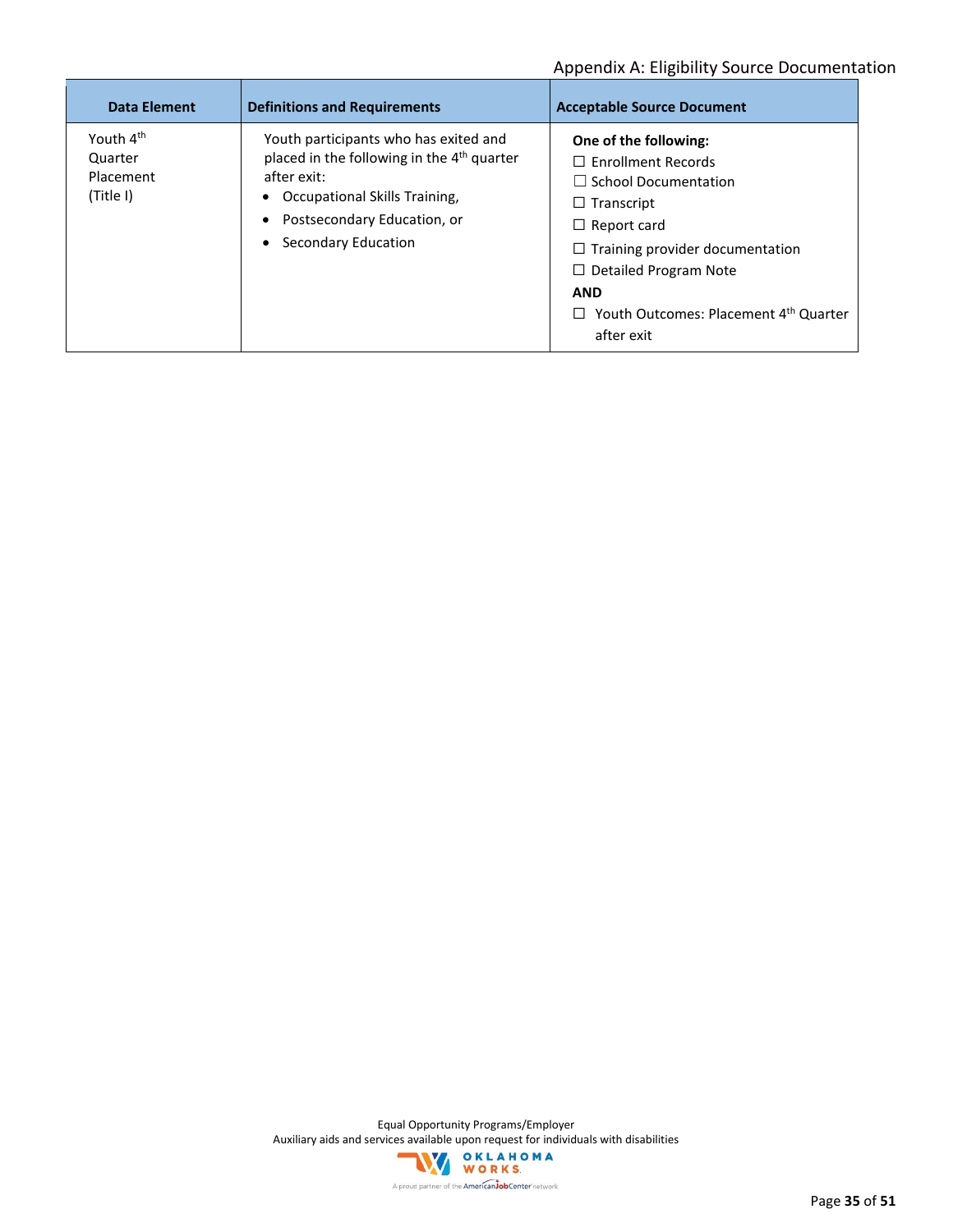| Data Element                                               | <b>Definitions and Requirements</b>                                                                                                                                                                                             | <b>Acceptable Source Document</b>                                                                                                                                                                                                                                                              |
|------------------------------------------------------------|---------------------------------------------------------------------------------------------------------------------------------------------------------------------------------------------------------------------------------|------------------------------------------------------------------------------------------------------------------------------------------------------------------------------------------------------------------------------------------------------------------------------------------------|
| Youth 4 <sup>th</sup><br>Quarter<br>Placement<br>(Title I) | Youth participants who has exited and<br>placed in the following in the 4 <sup>th</sup> quarter<br>after exit:<br>Occupational Skills Training,<br>Postsecondary Education, or<br>$\bullet$<br>Secondary Education<br>$\bullet$ | One of the following:<br>$\Box$ Enrollment Records<br>$\Box$ School Documentation<br>$\Box$ Transcript<br>$\Box$ Report card<br>$\Box$ Training provider documentation<br>$\Box$ Detailed Program Note<br><b>AND</b><br>$\Box$ Youth Outcomes: Placement 4 <sup>th</sup> Quarter<br>after exit |

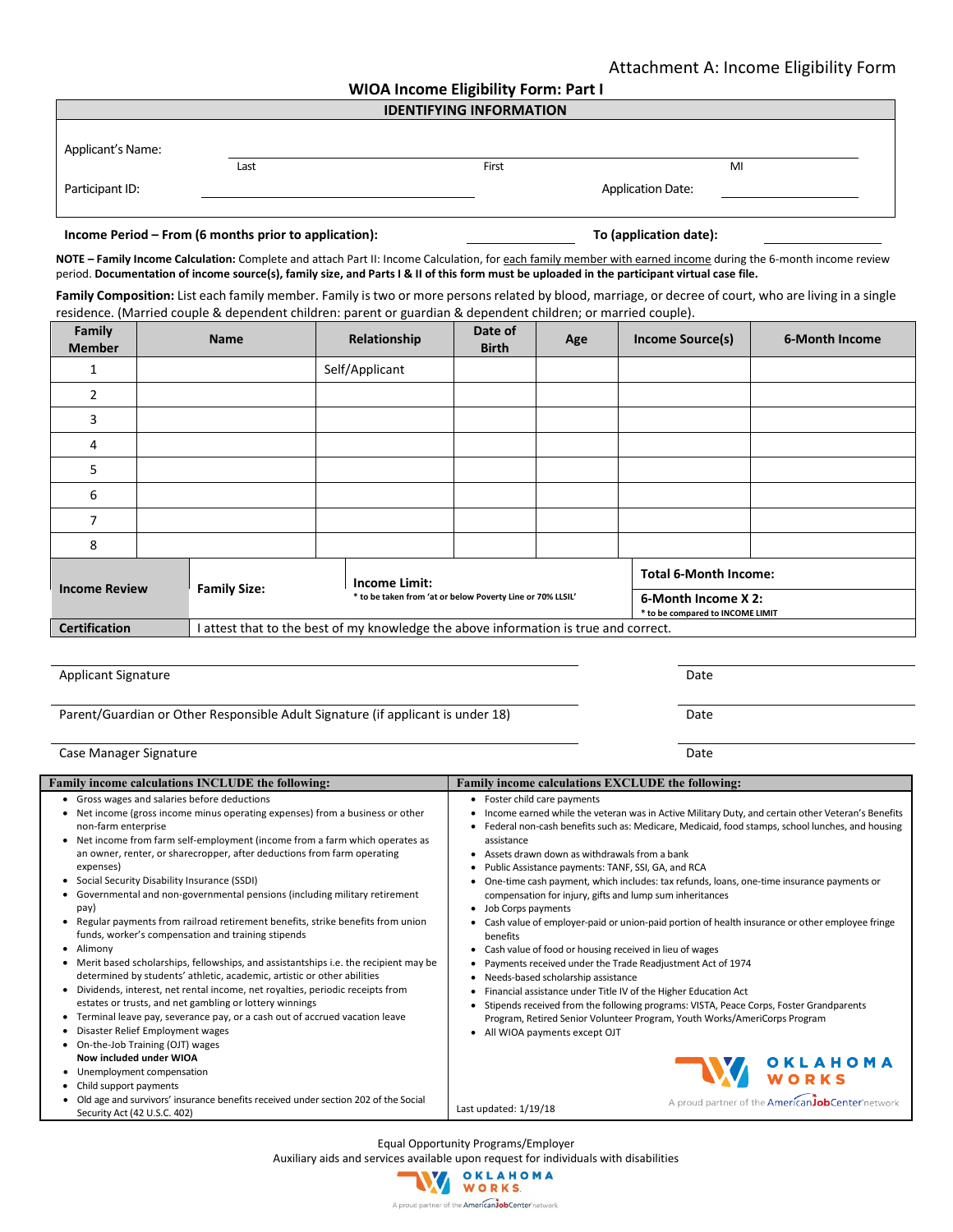| <b>WIOA Income Eligibility Form: Part I</b> |  |  |
|---------------------------------------------|--|--|
|---------------------------------------------|--|--|

| <b>IDENTIFYING INFORMATION</b> |      |                          |  |    |  |  |  |  |
|--------------------------------|------|--------------------------|--|----|--|--|--|--|
|                                |      |                          |  |    |  |  |  |  |
| Applicant's Name:              |      |                          |  |    |  |  |  |  |
|                                | Last | First                    |  | MI |  |  |  |  |
| Participant ID:                |      | <b>Application Date:</b> |  |    |  |  |  |  |

#### **Income Period – From (6 months prior to application): To (application date):**

**NOTE – Family Income Calculation:** Complete and attach Part II: Income Calculation, for each family member with earned income during the 6-month income review period. **Documentation of income source(s), family size, and Parts I & II of this form must be uploaded in the participant virtual case file.**

**Family Composition:** List each family member. Family is two or more persons related by blood, marriage, or decree of court, who are living in a single residence. (Married couple & dependent children: parent or guardian & dependent children; or married couple).

| Family<br><b>Member</b>                     |  | <b>Name</b>   | Relationship                                                                                                             | Date of<br><b>Birth</b> | Age                                                 | Income Source(s) | 6-Month Income |
|---------------------------------------------|--|---------------|--------------------------------------------------------------------------------------------------------------------------|-------------------------|-----------------------------------------------------|------------------|----------------|
|                                             |  |               | Self/Applicant                                                                                                           |                         |                                                     |                  |                |
| $\overline{2}$                              |  |               |                                                                                                                          |                         |                                                     |                  |                |
| 3                                           |  |               |                                                                                                                          |                         |                                                     |                  |                |
| 4                                           |  |               |                                                                                                                          |                         |                                                     |                  |                |
| 5                                           |  |               |                                                                                                                          |                         |                                                     |                  |                |
| 6                                           |  |               |                                                                                                                          |                         |                                                     |                  |                |
| 7                                           |  |               |                                                                                                                          |                         |                                                     |                  |                |
| 8                                           |  |               |                                                                                                                          |                         |                                                     |                  |                |
| <b>Income Review</b><br><b>Family Size:</b> |  | Income Limit: | * to be taken from 'at or below Poverty Line or 70% LLSIL'                                                               |                         | <b>Total 6-Month Income:</b><br>6-Month Income X 2: |                  |                |
| <b>Certification</b>                        |  |               | * to be compared to INCOME LIMIT<br>I attest that to the best of my knowledge the above information is true and correct. |                         |                                                     |                  |                |

Applicant Signature Date of the Contract of the Contract of the Contract of the Contract of the Date of the Date

Parent/Guardian or Other Responsible Adult Signature (if applicant is under 18) Date

| Case Manager Signature | Date |
|------------------------|------|
|------------------------|------|

Equal Opportunity Programs/Employer

Auxiliary aids and services available upon request for individuals with disabilities

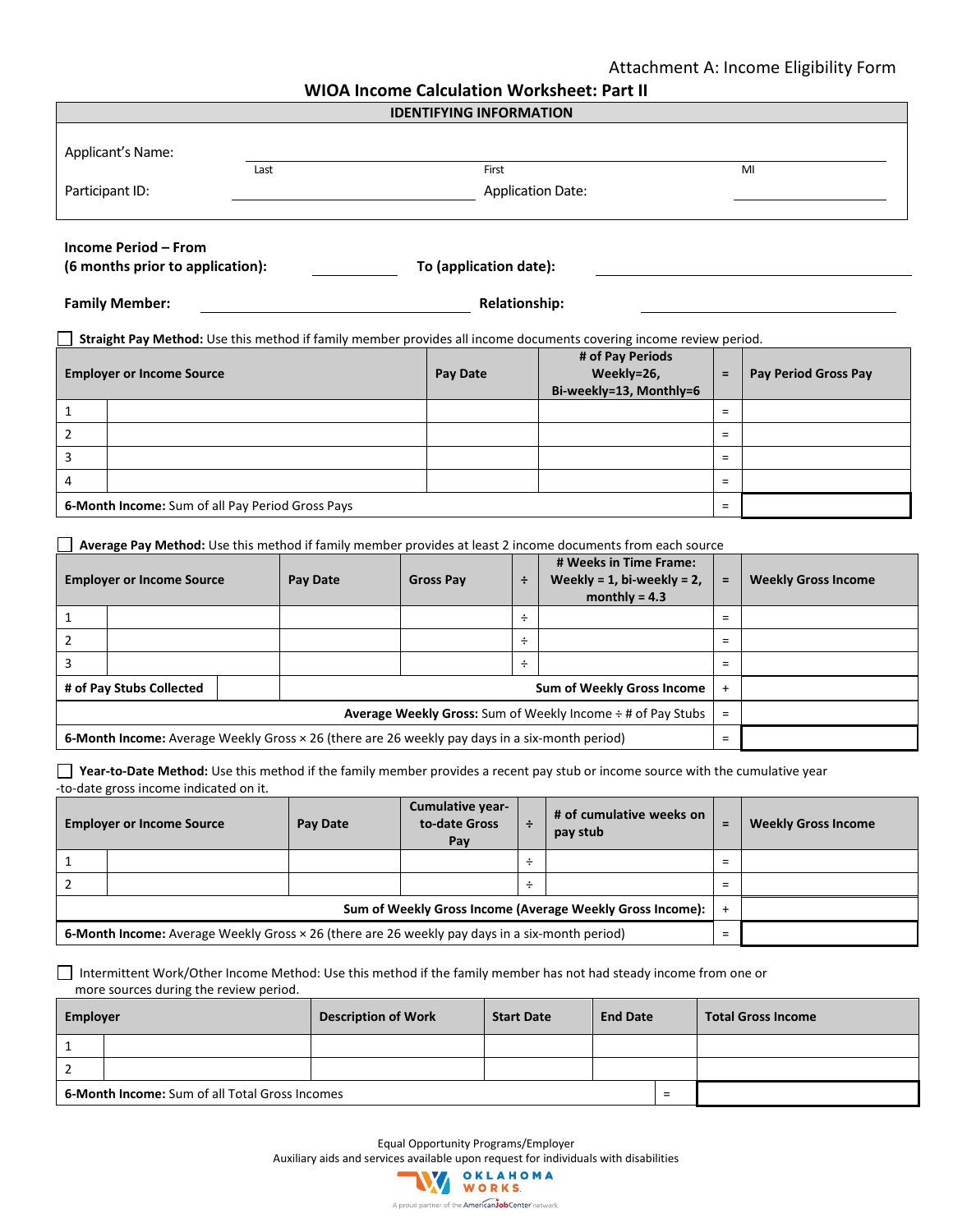### Attachment A: Income Eligibility Form

| <b>WIOA Income Calculation Worksheet: Part II</b> |  |  |  |
|---------------------------------------------------|--|--|--|
|---------------------------------------------------|--|--|--|

|                                                                                                |                                                                                                            |      |                 |          | <b>IDENTIFYING INFORMATION</b> |   | UA MCUNIC CAICUIACIUM VVULNSIICCI. FAIL M                                                                                      |                      |                            |
|------------------------------------------------------------------------------------------------|------------------------------------------------------------------------------------------------------------|------|-----------------|----------|--------------------------------|---|--------------------------------------------------------------------------------------------------------------------------------|----------------------|----------------------------|
|                                                                                                |                                                                                                            |      |                 |          |                                |   |                                                                                                                                |                      |                            |
|                                                                                                | Applicant's Name:                                                                                          |      |                 |          |                                |   |                                                                                                                                |                      |                            |
|                                                                                                |                                                                                                            | Last |                 |          | First                          |   |                                                                                                                                |                      | MI                         |
|                                                                                                | Participant ID:                                                                                            |      |                 |          |                                |   | <b>Application Date:</b>                                                                                                       |                      |                            |
|                                                                                                |                                                                                                            |      |                 |          |                                |   |                                                                                                                                |                      |                            |
|                                                                                                | <b>Income Period - From</b><br>(6 months prior to application):                                            |      |                 |          | To (application date):         |   |                                                                                                                                |                      |                            |
|                                                                                                |                                                                                                            |      |                 |          |                                |   |                                                                                                                                |                      |                            |
|                                                                                                | <b>Family Member:</b>                                                                                      |      |                 |          | <b>Relationship:</b>           |   |                                                                                                                                |                      |                            |
|                                                                                                |                                                                                                            |      |                 |          |                                |   | Straight Pay Method: Use this method if family member provides all income documents covering income review period.             |                      |                            |
|                                                                                                |                                                                                                            |      |                 |          |                                |   | # of Pay Periods                                                                                                               |                      |                            |
|                                                                                                | <b>Employer or Income Source</b>                                                                           |      |                 |          | <b>Pay Date</b>                |   | Weekly=26,                                                                                                                     | $\equiv$             | Pay Period Gross Pay       |
|                                                                                                |                                                                                                            |      |                 |          |                                |   | Bi-weekly=13, Monthly=6                                                                                                        |                      |                            |
| $\mathbf{1}$                                                                                   |                                                                                                            |      |                 |          |                                |   |                                                                                                                                | $\equiv$             |                            |
| $\overline{2}$                                                                                 |                                                                                                            |      |                 |          |                                |   |                                                                                                                                | $\equiv$<br>$\equiv$ |                            |
| 3<br>4                                                                                         |                                                                                                            |      |                 |          |                                |   |                                                                                                                                | $\equiv$             |                            |
|                                                                                                |                                                                                                            |      |                 |          |                                |   |                                                                                                                                |                      |                            |
|                                                                                                | 6-Month Income: Sum of all Pay Period Gross Pays                                                           |      |                 |          |                                |   |                                                                                                                                | $\equiv$             |                            |
|                                                                                                |                                                                                                            |      |                 |          |                                |   | Average Pay Method: Use this method if family member provides at least 2 income documents from each source                     |                      |                            |
|                                                                                                |                                                                                                            |      |                 |          |                                |   | # Weeks in Time Frame:                                                                                                         |                      |                            |
|                                                                                                | <b>Employer or Income Source</b>                                                                           |      | Pay Date        |          | <b>Gross Pay</b>               | ÷ | Weekly = $1$ , bi-weekly = $2$ ,<br>monthly = $4.3$                                                                            | $\equiv$             | <b>Weekly Gross Income</b> |
| $\mathbf{1}$                                                                                   |                                                                                                            |      |                 |          |                                | ÷ |                                                                                                                                | $\equiv$             |                            |
| $\overline{2}$                                                                                 |                                                                                                            |      |                 |          |                                | ÷ |                                                                                                                                | $\equiv$             |                            |
| 3                                                                                              |                                                                                                            |      |                 |          |                                | ÷ |                                                                                                                                | $\equiv$             |                            |
|                                                                                                | # of Pay Stubs Collected                                                                                   |      |                 |          |                                |   | Sum of Weekly Gross Income                                                                                                     | $\ddot{}$            |                            |
|                                                                                                |                                                                                                            |      |                 |          |                                |   | Average Weekly Gross: Sum of Weekly Income ÷ # of Pay Stubs                                                                    | $\equiv$             |                            |
| 6-Month Income: Average Weekly Gross × 26 (there are 26 weekly pay days in a six-month period) |                                                                                                            |      |                 | $\equiv$ |                                |   |                                                                                                                                |                      |                            |
|                                                                                                |                                                                                                            |      |                 |          |                                |   |                                                                                                                                |                      |                            |
|                                                                                                | -to-date gross income indicated on it.                                                                     |      |                 |          |                                |   | Year-to-Date Method: Use this method if the family member provides a recent pay stub or income source with the cumulative year |                      |                            |
|                                                                                                |                                                                                                            |      |                 |          | Cumulative year-               |   | # of cumulative weeks on                                                                                                       |                      |                            |
|                                                                                                | <b>Employer or Income Source</b>                                                                           |      | <b>Pay Date</b> |          | to-date Gross<br>Pay           | ÷ | pay stub                                                                                                                       | $\equiv$             | <b>Weekly Gross Income</b> |
| $\mathbf{1}$                                                                                   |                                                                                                            |      |                 |          |                                | ÷ |                                                                                                                                | $\equiv$             |                            |
| $\overline{2}$                                                                                 |                                                                                                            |      |                 |          |                                | ÷ |                                                                                                                                | $\equiv$             |                            |
|                                                                                                | Sum of Weekly Gross Income (Average Weekly Gross Income):<br>$\ddot{}$                                     |      |                 |          |                                |   |                                                                                                                                |                      |                            |
|                                                                                                | 6-Month Income: Average Weekly Gross × 26 (there are 26 weekly pay days in a six-month period)<br>$\equiv$ |      |                 |          |                                |   |                                                                                                                                |                      |                            |

 Intermittent Work/Other Income Method: Use this method if the family member has not had steady income from one or more sources during the review period.

| Employer                                                                               |  | <b>Description of Work</b> | <b>Start Date</b> |  | <b>End Date</b> | <b>Total Gross Income</b> |
|----------------------------------------------------------------------------------------|--|----------------------------|-------------------|--|-----------------|---------------------------|
|                                                                                        |  |                            |                   |  |                 |                           |
|                                                                                        |  |                            |                   |  |                 |                           |
| <b>6-Month Income:</b> Sum of all Total Gross Incomes<br>$\overline{\phantom{0}}$<br>= |  |                            |                   |  |                 |                           |

Equal Opportunity Programs/Employer

Auxiliary aids and services available upon request for individuals with disabilities<br>
WORKS

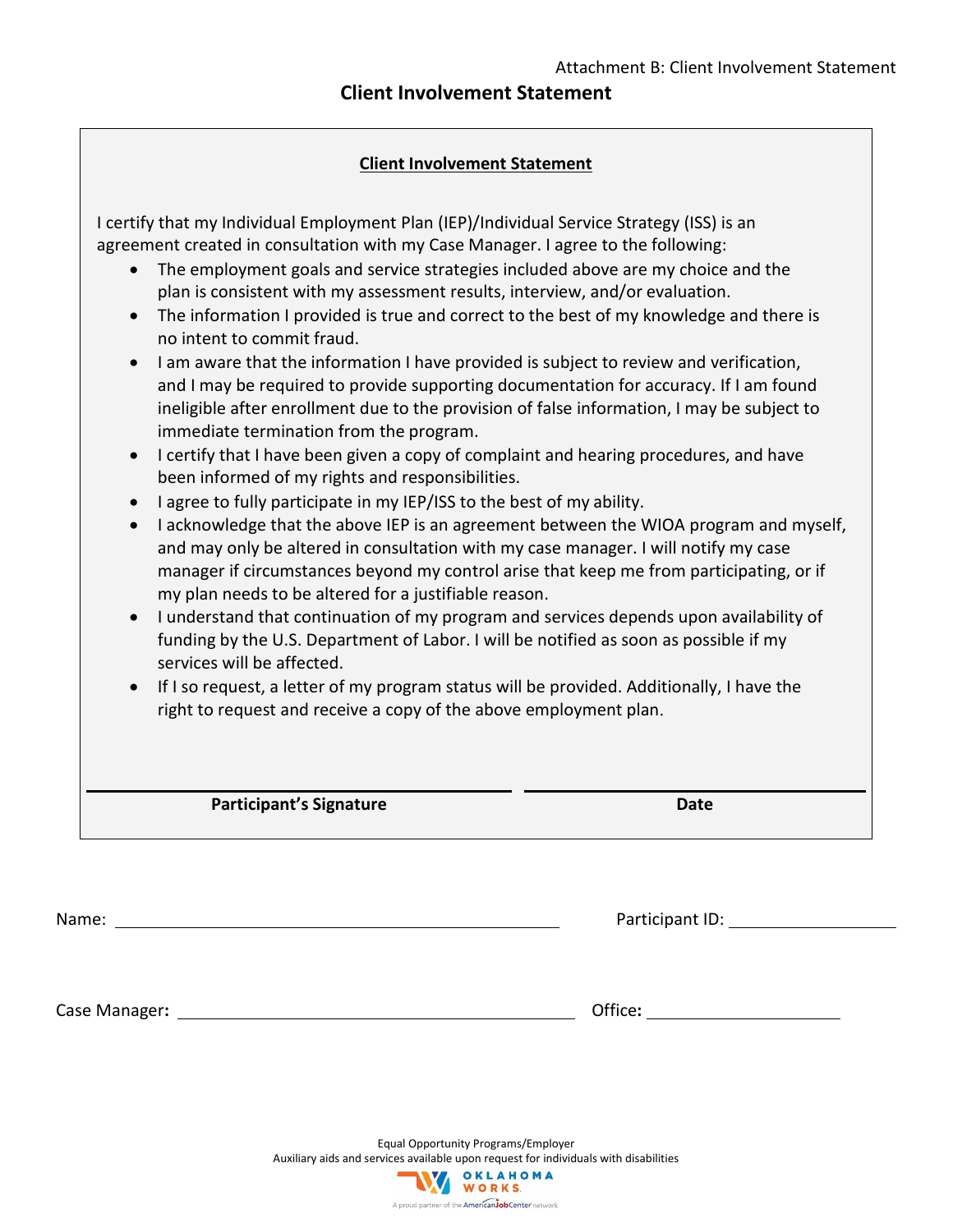## **Client Involvement Statement**

## **Client Involvement Statement**

|           | <b>Participant's Signature</b>                                                                                                                                                 | <b>Date</b> |
|-----------|--------------------------------------------------------------------------------------------------------------------------------------------------------------------------------|-------------|
|           |                                                                                                                                                                                |             |
|           | right to request and receive a copy of the above employment plan.                                                                                                              |             |
| $\bullet$ | services will be affected.<br>If I so request, a letter of my program status will be provided. Additionally, I have the                                                        |             |
|           | funding by the U.S. Department of Labor. I will be notified as soon as possible if my                                                                                          |             |
| $\bullet$ | I understand that continuation of my program and services depends upon availability of                                                                                         |             |
|           | my plan needs to be altered for a justifiable reason.                                                                                                                          |             |
|           | and may only be altered in consultation with my case manager. I will notify my case<br>manager if circumstances beyond my control arise that keep me from participating, or if |             |
| $\bullet$ | I acknowledge that the above IEP is an agreement between the WIOA program and myself,                                                                                          |             |
| $\bullet$ | I agree to fully participate in my IEP/ISS to the best of my ability.                                                                                                          |             |
|           | been informed of my rights and responsibilities.                                                                                                                               |             |
| $\bullet$ | I certify that I have been given a copy of complaint and hearing procedures, and have                                                                                          |             |
|           | ineligible after enrollment due to the provision of false information, I may be subject to<br>immediate termination from the program.                                          |             |
|           | and I may be required to provide supporting documentation for accuracy. If I am found                                                                                          |             |
| $\bullet$ | I am aware that the information I have provided is subject to review and verification,                                                                                         |             |
|           | no intent to commit fraud.                                                                                                                                                     |             |
| $\bullet$ | The information I provided is true and correct to the best of my knowledge and there is                                                                                        |             |
|           | plan is consistent with my assessment results, interview, and/or evaluation.                                                                                                   |             |
|           | agreement created in consultation with my Case Manager. I agree to the following:<br>The employment goals and service strategies included above are my choice and the          |             |
|           | I certify that my Individual Employment Plan (IEP)/Individual Service Strategy (ISS) is an                                                                                     |             |

Case Manager: 11.12 Case Manager: 2008 Case Manager: 2008 Case Manager: 2008 Case Manager: 2008 Case 2008 Case 2008 Case 2008 Case 2008 Case 2008 Case 2008 Case 2008 Case 2008 Case 2008 Case 2008 Case 2008 Case 2008 Case 2

Name: Participant ID:

Equal Opportunity Programs/Employer Auxiliary aids and services available upon request for individuals with disabilities<br>
WORKS

A proud partner of the American JobCenter network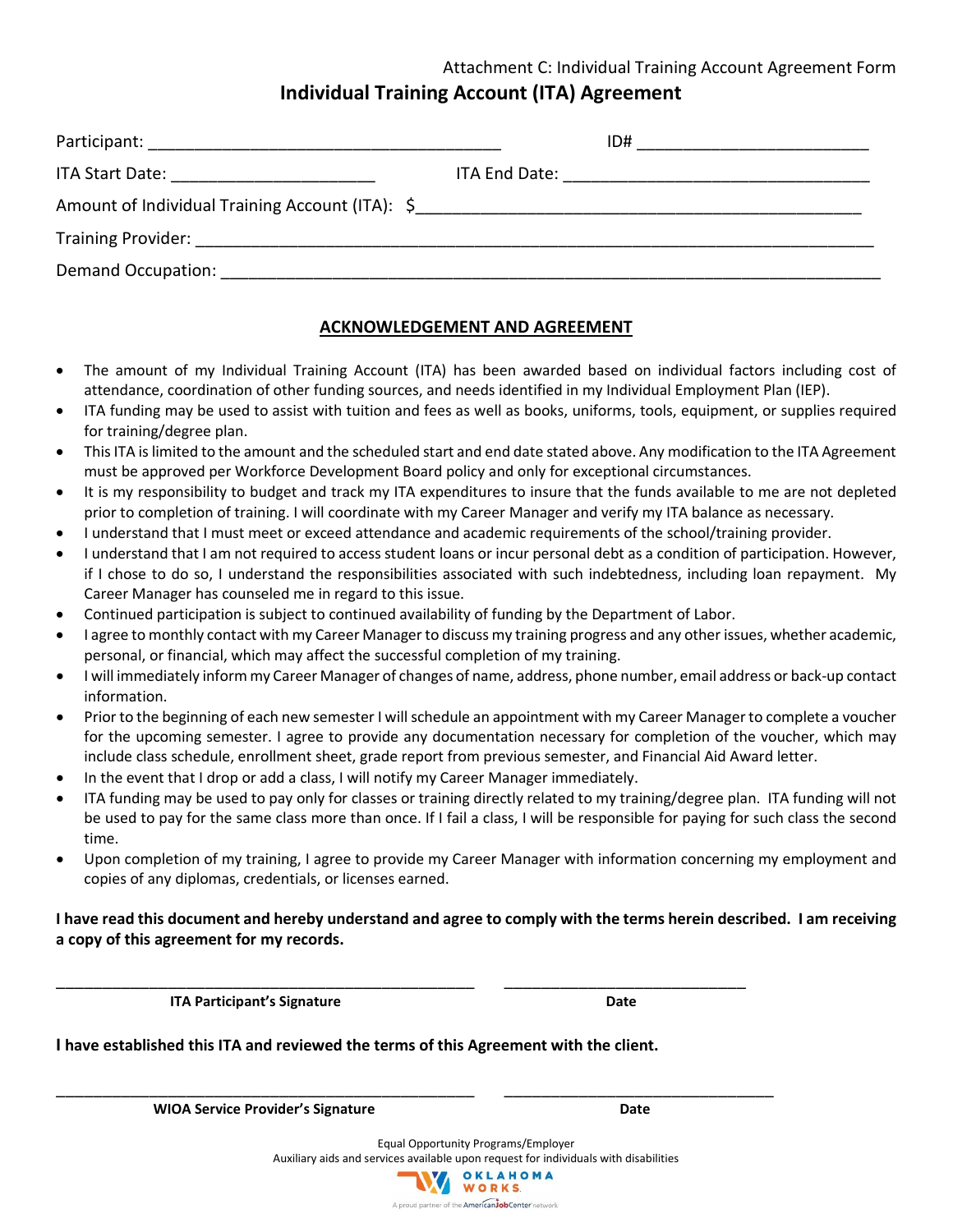## Attachment C: Individual Training Account Agreement Form **Individual Training Account (ITA) Agreement**

|                                           | ID# ___________________________ |
|-------------------------------------------|---------------------------------|
| ITA Start Date: _________________________ |                                 |
|                                           |                                 |
|                                           |                                 |
|                                           |                                 |

## **ACKNOWLEDGEMENT AND AGREEMENT**

- The amount of my Individual Training Account (ITA) has been awarded based on individual factors including cost of attendance, coordination of other funding sources, and needs identified in my Individual Employment Plan (IEP).
- ITA funding may be used to assist with tuition and fees as well as books, uniforms, tools, equipment, or supplies required for training/degree plan.
- This ITA is limited to the amount and the scheduled start and end date stated above. Any modification to the ITA Agreement must be approved per Workforce Development Board policy and only for exceptional circumstances.
- It is my responsibility to budget and track my ITA expenditures to insure that the funds available to me are not depleted prior to completion of training. I will coordinate with my Career Manager and verify my ITA balance as necessary.
- I understand that I must meet or exceed attendance and academic requirements of the school/training provider.
- I understand that I am not required to access student loans or incur personal debt as a condition of participation. However, if I chose to do so, I understand the responsibilities associated with such indebtedness, including loan repayment. My Career Manager has counseled me in regard to this issue.
- Continued participation is subject to continued availability of funding by the Department of Labor.
- I agree to monthly contact with my Career Manager to discuss my training progress and any other issues, whether academic, personal, or financial, which may affect the successful completion of my training.
- I will immediately inform my Career Manager of changes of name, address, phone number, email address or back-up contact information.
- Prior to the beginning of each new semester I will schedule an appointment with my Career Manager to complete a voucher for the upcoming semester. I agree to provide any documentation necessary for completion of the voucher, which may include class schedule, enrollment sheet, grade report from previous semester, and Financial Aid Award letter.
- In the event that I drop or add a class, I will notify my Career Manager immediately.
- ITA funding may be used to pay only for classes or training directly related to my training/degree plan. ITA funding will not be used to pay for the same class more than once. If I fail a class, I will be responsible for paying for such class the second time.
- Upon completion of my training, I agree to provide my Career Manager with information concerning my employment and copies of any diplomas, credentials, or licenses earned.

**I have read this document and hereby understand and agree to comply with the terms herein described. I am receiving a copy of this agreement for my records.**

**ITA Participant's Signature Date** Date

**I have established this ITA and reviewed the terms of this Agreement with the client.**

\_\_\_\_\_\_\_\_\_\_\_\_\_\_\_\_\_\_\_\_\_\_\_\_\_\_\_\_\_\_\_\_\_\_\_\_\_\_\_\_\_\_\_\_\_ \_\_\_\_\_\_\_\_\_\_\_\_\_\_\_\_\_\_\_\_\_\_\_\_\_\_

\_\_\_\_\_\_\_\_\_\_\_\_\_\_\_\_\_\_\_\_\_\_\_\_\_\_\_\_\_\_\_\_\_\_\_\_\_\_\_\_\_\_\_\_\_ \_\_\_\_\_\_\_\_\_\_\_\_\_\_\_\_\_\_\_\_\_\_\_\_\_\_\_\_\_

**WIOA Service Provider's Signature Date** Date

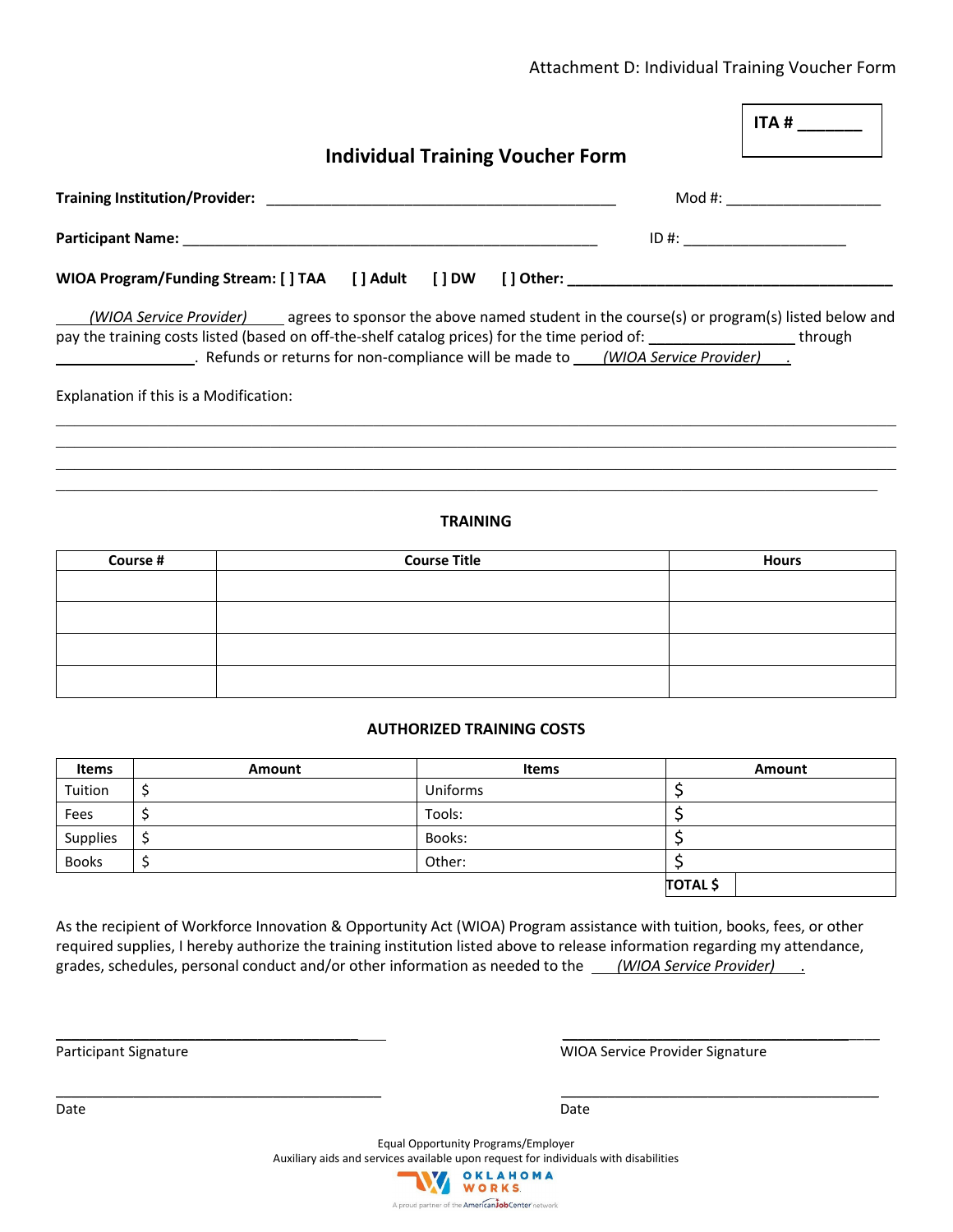## Attachment D: Individual Training Voucher Form

|                                        |                                                                                                                                                                                                                                                                                                                                                     | ITA # $\frac{1}{2}$           |  |  |
|----------------------------------------|-----------------------------------------------------------------------------------------------------------------------------------------------------------------------------------------------------------------------------------------------------------------------------------------------------------------------------------------------------|-------------------------------|--|--|
|                                        | <b>Individual Training Voucher Form</b>                                                                                                                                                                                                                                                                                                             |                               |  |  |
|                                        |                                                                                                                                                                                                                                                                                                                                                     | Mod #: ______________________ |  |  |
|                                        |                                                                                                                                                                                                                                                                                                                                                     | $ID #: ____________$          |  |  |
|                                        | WIOA Program/Funding Stream: [ ] TAA [ ] Adult [ ] DW [ ] Other: ___________________________________                                                                                                                                                                                                                                                |                               |  |  |
| Explanation if this is a Modification: | (WIOA Service Provider) agrees to sponsor the above named student in the course(s) or program(s) listed below and<br>pay the training costs listed (based on off-the-shelf catalog prices) for the time period of: _________________through<br>. Refunds or returns for non-compliance will be made to _____(WIOA Service Provider) _______________ |                               |  |  |
|                                        | <b>TRAINING</b>                                                                                                                                                                                                                                                                                                                                     |                               |  |  |
| Course #                               | <b>Course Title</b>                                                                                                                                                                                                                                                                                                                                 | <b>Hours</b>                  |  |  |
|                                        |                                                                                                                                                                                                                                                                                                                                                     |                               |  |  |

### **AUTHORIZED TRAINING COSTS**

| Items        | Amount | <b>Items</b> | Amount          |
|--------------|--------|--------------|-----------------|
| Tuition      |        | Uniforms     |                 |
| Fees         |        | Tools:       |                 |
| Supplies     |        | Books:       |                 |
| <b>Books</b> |        | Other:       |                 |
|              |        |              | <b>TOTAL</b> \$ |

As the recipient of Workforce Innovation & Opportunity Act (WIOA) Program assistance with tuition, books, fees, or other required supplies, I hereby authorize the training institution listed above to release information regarding my attendance, grades, schedules, personal conduct and/or other information as needed to the *(WIOA Service Provider)* .

\_\_\_\_\_\_\_\_\_\_\_\_\_\_\_\_\_\_\_\_\_\_\_\_\_\_\_\_\_\_\_\_\_\_\_\_\_\_\_ \_\_\_\_\_\_\_\_\_\_\_\_\_\_\_\_\_\_\_\_\_\_\_\_\_\_\_\_\_\_\_\_\_\_\_\_\_\_\_\_\_

\_\_\_\_\_\_\_\_\_\_\_\_\_\_\_\_\_\_\_\_\_\_\_\_\_\_\_\_\_\_\_\_\_\_\_\_\_\_\_\_\_\_ \_\_\_\_\_\_\_\_\_\_\_\_\_\_\_\_\_\_\_\_\_\_\_\_\_\_\_\_\_\_\_\_\_\_\_\_\_\_\_\_\_

Participant Signature **National Signature Community** Participant Signature Provider Signature

Equal Opportunity Programs/Employer Auxiliary aids and services available upon request for individuals with disabilities



Date **Date Date Date Date Date Date Date Date Date Date Date**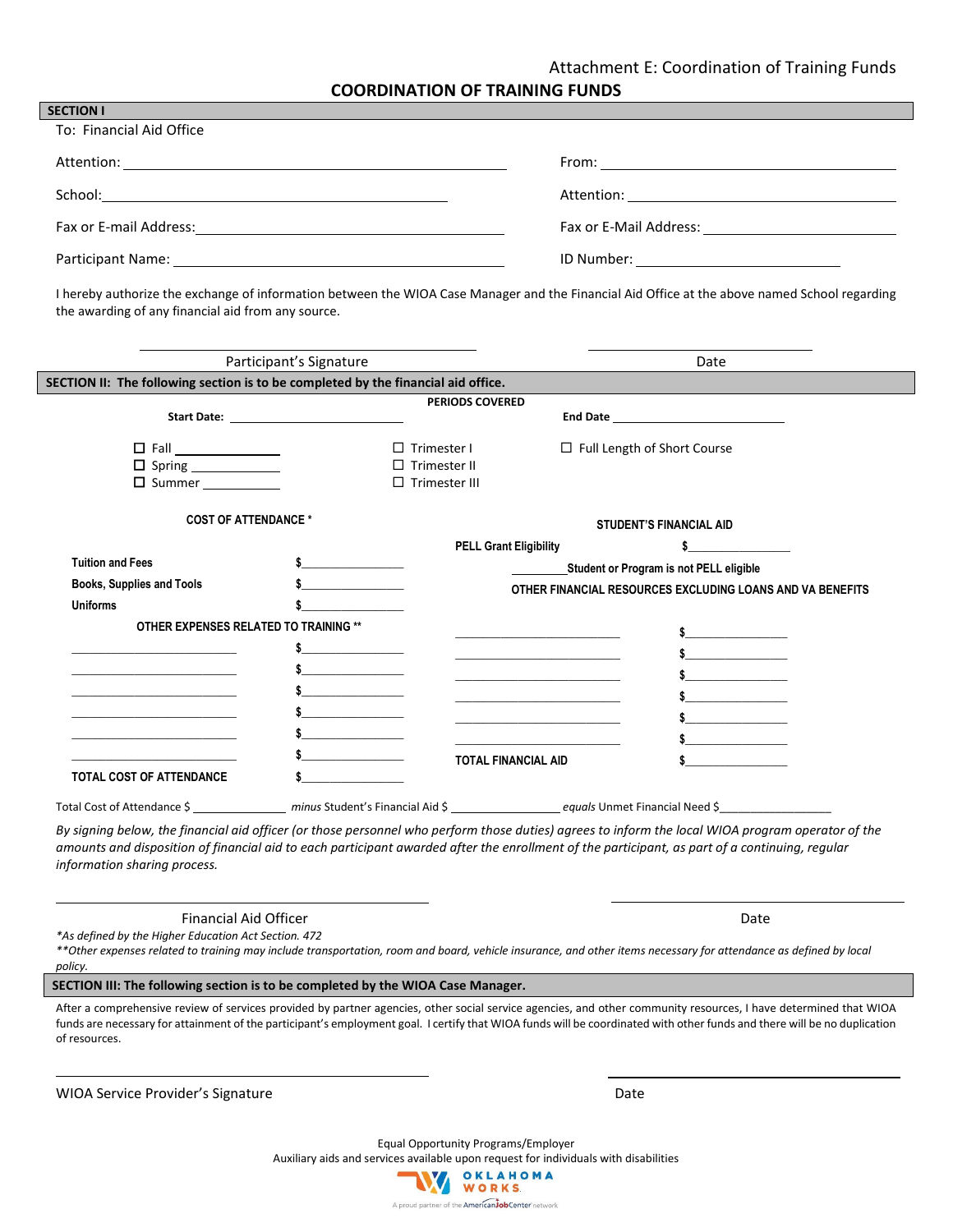### Attachment E: Coordination of Training Funds

**COORDINATION OF TRAINING FUNDS**

| To: Financial Aid Office |  |
|--------------------------|--|
|                          |  |
|                          |  |
|                          |  |
|                          |  |

I hereby authorize the exchange of information between the WIOA Case Manager and the Financial Aid Office at the above named School regarding the awarding of any financial aid from any source.

| Participant's Signature<br>SECTION II: The following section is to be completed by the financial aid office. |                                                                                                                                                                                                                                                                                                                                                                                                                                                        |                                                                                                                                                                                                                                      |                                                                            | Date                                                                                                                                                                                                                                                                                                |
|--------------------------------------------------------------------------------------------------------------|--------------------------------------------------------------------------------------------------------------------------------------------------------------------------------------------------------------------------------------------------------------------------------------------------------------------------------------------------------------------------------------------------------------------------------------------------------|--------------------------------------------------------------------------------------------------------------------------------------------------------------------------------------------------------------------------------------|----------------------------------------------------------------------------|-----------------------------------------------------------------------------------------------------------------------------------------------------------------------------------------------------------------------------------------------------------------------------------------------------|
|                                                                                                              |                                                                                                                                                                                                                                                                                                                                                                                                                                                        |                                                                                                                                                                                                                                      |                                                                            |                                                                                                                                                                                                                                                                                                     |
|                                                                                                              | Start Date: The Commission of the Commission of the Commission of the Commission of the Commission of the Commission of the Commission of the Commission of the Commission of the Commission of the Commission of the Commissi                                                                                                                                                                                                                         | <b>PERIODS COVERED</b>                                                                                                                                                                                                               |                                                                            | End Date and Date and Date and Date and Date                                                                                                                                                                                                                                                        |
|                                                                                                              |                                                                                                                                                                                                                                                                                                                                                                                                                                                        |                                                                                                                                                                                                                                      |                                                                            |                                                                                                                                                                                                                                                                                                     |
| □ Fall ______________                                                                                        | $\Box$ Trimester I                                                                                                                                                                                                                                                                                                                                                                                                                                     |                                                                                                                                                                                                                                      |                                                                            | □ Full Length of Short Course                                                                                                                                                                                                                                                                       |
|                                                                                                              |                                                                                                                                                                                                                                                                                                                                                                                                                                                        | $\Box$ Trimester II                                                                                                                                                                                                                  |                                                                            |                                                                                                                                                                                                                                                                                                     |
|                                                                                                              |                                                                                                                                                                                                                                                                                                                                                                                                                                                        | $\square$ Trimester III                                                                                                                                                                                                              |                                                                            |                                                                                                                                                                                                                                                                                                     |
| <b>COST OF ATTENDANCE *</b>                                                                                  |                                                                                                                                                                                                                                                                                                                                                                                                                                                        |                                                                                                                                                                                                                                      |                                                                            | <b>STUDENT'S FINANCIAL AID</b>                                                                                                                                                                                                                                                                      |
|                                                                                                              |                                                                                                                                                                                                                                                                                                                                                                                                                                                        | <b>PELL Grant Eligibility</b>                                                                                                                                                                                                        |                                                                            |                                                                                                                                                                                                                                                                                                     |
| <b>Tuition and Fees</b>                                                                                      |                                                                                                                                                                                                                                                                                                                                                                                                                                                        |                                                                                                                                                                                                                                      |                                                                            | Student or Program is not PELL eligible                                                                                                                                                                                                                                                             |
| Books, Supplies and Tools                                                                                    |                                                                                                                                                                                                                                                                                                                                                                                                                                                        |                                                                                                                                                                                                                                      |                                                                            | OTHER FINANCIAL RESOURCES EXCLUDING LOANS AND VA BENEFITS                                                                                                                                                                                                                                           |
| <b>Uniforms</b>                                                                                              |                                                                                                                                                                                                                                                                                                                                                                                                                                                        |                                                                                                                                                                                                                                      |                                                                            |                                                                                                                                                                                                                                                                                                     |
| OTHER EXPENSES RELATED TO TRAINING **                                                                        |                                                                                                                                                                                                                                                                                                                                                                                                                                                        | <u> 1989 - Johann John Harry Harry Harry Harry Harry Harry Harry Harry Harry Harry Harry Harry Harry Harry Harry Harry Harry Harry Harry Harry Harry Harry Harry Harry Harry Harry Harry Harry Harry Harry Harry Harry Harry Har</u> |                                                                            |                                                                                                                                                                                                                                                                                                     |
|                                                                                                              | $\label{eq:2.1} \frac{1}{\sqrt{2}}\left(\frac{1}{\sqrt{2}}\right)^{2} \left(\frac{1}{\sqrt{2}}\right)^{2} \left(\frac{1}{\sqrt{2}}\right)^{2} \left(\frac{1}{\sqrt{2}}\right)^{2} \left(\frac{1}{\sqrt{2}}\right)^{2} \left(\frac{1}{\sqrt{2}}\right)^{2} \left(\frac{1}{\sqrt{2}}\right)^{2} \left(\frac{1}{\sqrt{2}}\right)^{2} \left(\frac{1}{\sqrt{2}}\right)^{2} \left(\frac{1}{\sqrt{2}}\right)^{2} \left(\frac{1}{\sqrt{2}}\right)^{2} \left(\$ |                                                                                                                                                                                                                                      |                                                                            |                                                                                                                                                                                                                                                                                                     |
|                                                                                                              |                                                                                                                                                                                                                                                                                                                                                                                                                                                        |                                                                                                                                                                                                                                      |                                                                            |                                                                                                                                                                                                                                                                                                     |
| the control of the control of the control of the control of                                                  |                                                                                                                                                                                                                                                                                                                                                                                                                                                        | <u> 1980 - Jan James James Barbara, martin da k</u>                                                                                                                                                                                  |                                                                            |                                                                                                                                                                                                                                                                                                     |
| the control of the control of the control of the control of the control of                                   |                                                                                                                                                                                                                                                                                                                                                                                                                                                        | the control of the control of the control of the control of                                                                                                                                                                          |                                                                            | $\sim$                                                                                                                                                                                                                                                                                              |
|                                                                                                              |                                                                                                                                                                                                                                                                                                                                                                                                                                                        |                                                                                                                                                                                                                                      | the control of the control of the control of the control of the control of |                                                                                                                                                                                                                                                                                                     |
|                                                                                                              |                                                                                                                                                                                                                                                                                                                                                                                                                                                        |                                                                                                                                                                                                                                      |                                                                            |                                                                                                                                                                                                                                                                                                     |
| <b>TOTAL COST OF ATTENDANCE</b>                                                                              |                                                                                                                                                                                                                                                                                                                                                                                                                                                        | <b>TOTAL FINANCIAL AID</b>                                                                                                                                                                                                           |                                                                            |                                                                                                                                                                                                                                                                                                     |
|                                                                                                              |                                                                                                                                                                                                                                                                                                                                                                                                                                                        |                                                                                                                                                                                                                                      |                                                                            |                                                                                                                                                                                                                                                                                                     |
|                                                                                                              |                                                                                                                                                                                                                                                                                                                                                                                                                                                        |                                                                                                                                                                                                                                      |                                                                            |                                                                                                                                                                                                                                                                                                     |
| information sharing process.                                                                                 |                                                                                                                                                                                                                                                                                                                                                                                                                                                        |                                                                                                                                                                                                                                      |                                                                            | By signing below, the financial aid officer (or those personnel who perform those duties) agrees to inform the local WIOA program operator of the<br>amounts and disposition of financial aid to each participant awarded after the enrollment of the participant, as part of a continuing, regular |
| <b>Financial Aid Officer</b><br>*As defined by the Higher Education Act Section. 472                         |                                                                                                                                                                                                                                                                                                                                                                                                                                                        |                                                                                                                                                                                                                                      |                                                                            | Date                                                                                                                                                                                                                                                                                                |

*\*\*Other expenses related to training may include transportation, room and board, vehicle insurance, and other items necessary for attendance as defined by local policy.* 

**SECTION III: The following section is to be completed by the WIOA Case Manager.**

After a comprehensive review of services provided by partner agencies, other social service agencies, and other community resources, I have determined that WIOA funds are necessary for attainment of the participant's employment goal. I certify that WIOA funds will be coordinated with other funds and there will be no duplication of resources.

WIOA Service Provider's Signature **Date** Date of Providers and Date Date

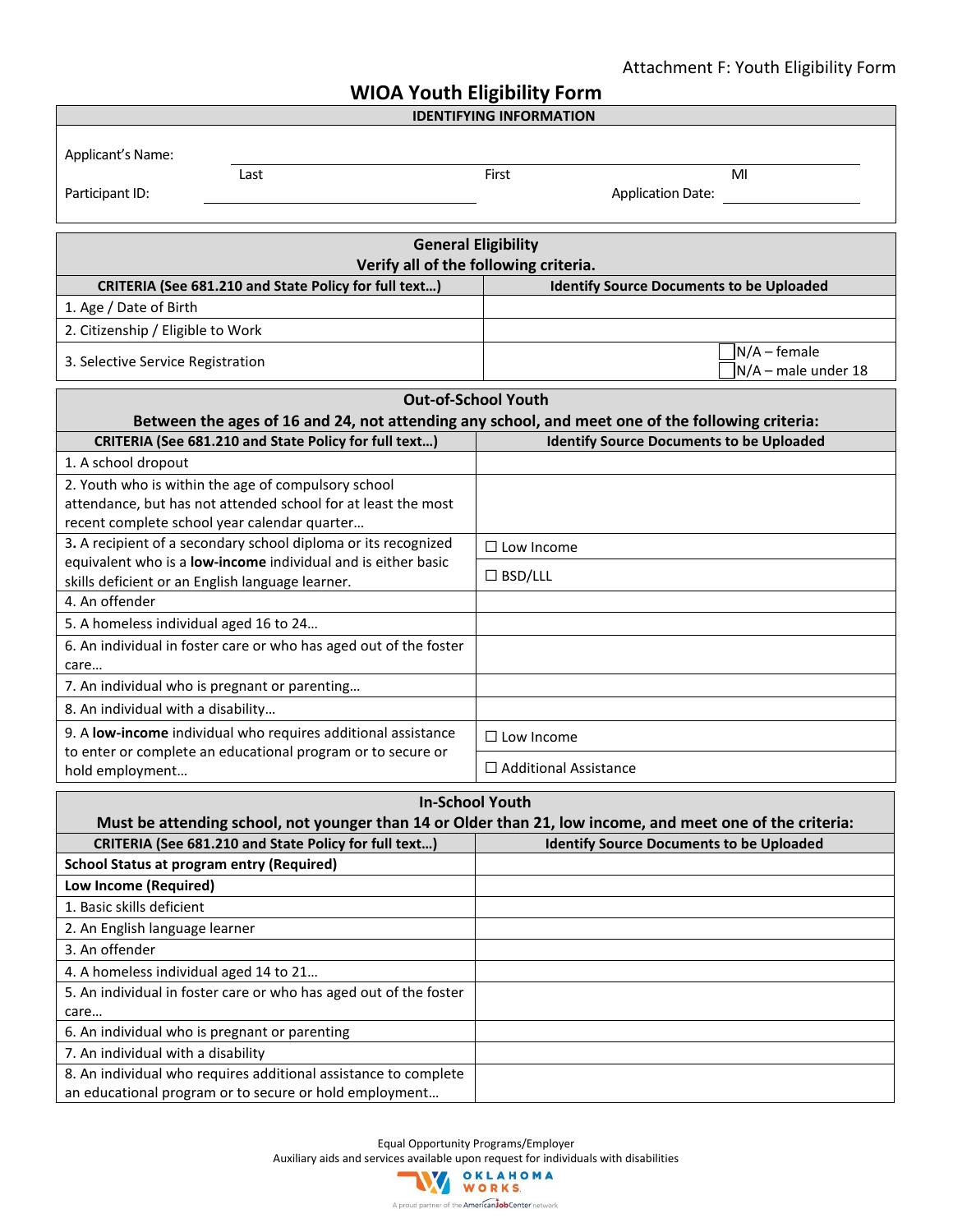## Attachment F: Youth Eligibility Form

| <b>WIOA Youth Eligibility Form</b>                                                                                           |                                                                                                           |  |  |  |  |  |
|------------------------------------------------------------------------------------------------------------------------------|-----------------------------------------------------------------------------------------------------------|--|--|--|--|--|
|                                                                                                                              | <b>IDENTIFYING INFORMATION</b>                                                                            |  |  |  |  |  |
|                                                                                                                              |                                                                                                           |  |  |  |  |  |
| Applicant's Name:<br>Last                                                                                                    | First<br>MI                                                                                               |  |  |  |  |  |
| Participant ID:                                                                                                              | <b>Application Date:</b>                                                                                  |  |  |  |  |  |
|                                                                                                                              |                                                                                                           |  |  |  |  |  |
| <b>General Eligibility</b>                                                                                                   |                                                                                                           |  |  |  |  |  |
|                                                                                                                              | Verify all of the following criteria.                                                                     |  |  |  |  |  |
| CRITERIA (See 681.210 and State Policy for full text)                                                                        | <b>Identify Source Documents to be Uploaded</b>                                                           |  |  |  |  |  |
| 1. Age / Date of Birth                                                                                                       |                                                                                                           |  |  |  |  |  |
| 2. Citizenship / Eligible to Work                                                                                            |                                                                                                           |  |  |  |  |  |
|                                                                                                                              | $N/A$ – female                                                                                            |  |  |  |  |  |
| 3. Selective Service Registration                                                                                            | $N/A$ – male under 18                                                                                     |  |  |  |  |  |
|                                                                                                                              | <b>Out-of-School Youth</b>                                                                                |  |  |  |  |  |
|                                                                                                                              | Between the ages of 16 and 24, not attending any school, and meet one of the following criteria:          |  |  |  |  |  |
| CRITERIA (See 681.210 and State Policy for full text)                                                                        | <b>Identify Source Documents to be Uploaded</b>                                                           |  |  |  |  |  |
| 1. A school dropout                                                                                                          |                                                                                                           |  |  |  |  |  |
| 2. Youth who is within the age of compulsory school                                                                          |                                                                                                           |  |  |  |  |  |
| attendance, but has not attended school for at least the most                                                                |                                                                                                           |  |  |  |  |  |
| recent complete school year calendar quarter                                                                                 |                                                                                                           |  |  |  |  |  |
| 3. A recipient of a secondary school diploma or its recognized                                                               | $\Box$ Low Income                                                                                         |  |  |  |  |  |
| equivalent who is a low-income individual and is either basic                                                                | $\square$ BSD/LLL                                                                                         |  |  |  |  |  |
| skills deficient or an English language learner.                                                                             |                                                                                                           |  |  |  |  |  |
| 4. An offender                                                                                                               |                                                                                                           |  |  |  |  |  |
| 5. A homeless individual aged 16 to 24                                                                                       |                                                                                                           |  |  |  |  |  |
| 6. An individual in foster care or who has aged out of the foster                                                            |                                                                                                           |  |  |  |  |  |
| care<br>7. An individual who is pregnant or parenting                                                                        |                                                                                                           |  |  |  |  |  |
|                                                                                                                              |                                                                                                           |  |  |  |  |  |
| 8. An individual with a disability                                                                                           |                                                                                                           |  |  |  |  |  |
| 9. A low-income individual who requires additional assistance<br>to enter or complete an educational program or to secure or | $\square$ Low Income                                                                                      |  |  |  |  |  |
| hold employment                                                                                                              | $\Box$ Additional Assistance                                                                              |  |  |  |  |  |
|                                                                                                                              |                                                                                                           |  |  |  |  |  |
| <b>In-School Youth</b>                                                                                                       |                                                                                                           |  |  |  |  |  |
| CRITERIA (See 681.210 and State Policy for full text)                                                                        | Must be attending school, not younger than 14 or Older than 21, low income, and meet one of the criteria: |  |  |  |  |  |
| <b>School Status at program entry (Required)</b>                                                                             | <b>Identify Source Documents to be Uploaded</b>                                                           |  |  |  |  |  |
| Low Income (Required)                                                                                                        |                                                                                                           |  |  |  |  |  |
| 1. Basic skills deficient                                                                                                    |                                                                                                           |  |  |  |  |  |
| 2. An English language learner                                                                                               |                                                                                                           |  |  |  |  |  |
| 3. An offender                                                                                                               |                                                                                                           |  |  |  |  |  |
| 4. A homeless individual aged 14 to 21                                                                                       |                                                                                                           |  |  |  |  |  |
| 5. An individual in foster care or who has aged out of the foster                                                            |                                                                                                           |  |  |  |  |  |
| care                                                                                                                         |                                                                                                           |  |  |  |  |  |
| 6. An individual who is pregnant or parenting                                                                                |                                                                                                           |  |  |  |  |  |
| 7. An individual with a disability                                                                                           |                                                                                                           |  |  |  |  |  |
| 8. An individual who requires additional assistance to complete                                                              |                                                                                                           |  |  |  |  |  |
| an educational program or to secure or hold employment                                                                       |                                                                                                           |  |  |  |  |  |

Equal Opportunity Programs/Employer

Auxiliary aids and services available upon request for individuals with disabilities<br>
WORKS

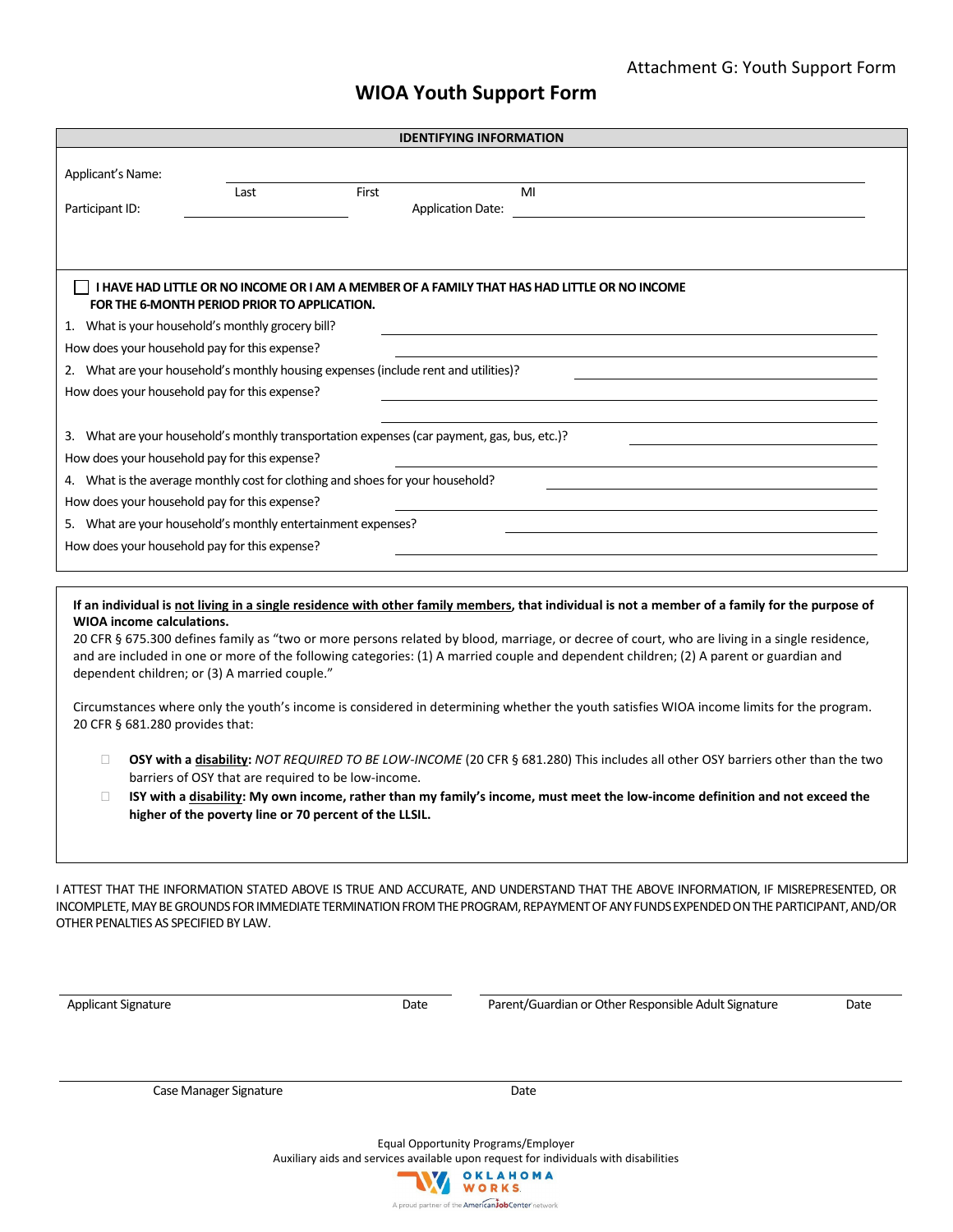## **WIOA Youth Support Form**

| <b>IDENTIFYING INFORMATION</b>                                                                                                                                                                                                                                                                                                                                                                                                                                                                                                 |                                                                                                                                                                                        |       |                          |    |  |  |
|--------------------------------------------------------------------------------------------------------------------------------------------------------------------------------------------------------------------------------------------------------------------------------------------------------------------------------------------------------------------------------------------------------------------------------------------------------------------------------------------------------------------------------|----------------------------------------------------------------------------------------------------------------------------------------------------------------------------------------|-------|--------------------------|----|--|--|
| Applicant's Name:                                                                                                                                                                                                                                                                                                                                                                                                                                                                                                              | Last                                                                                                                                                                                   | First |                          | MI |  |  |
| Participant ID:                                                                                                                                                                                                                                                                                                                                                                                                                                                                                                                |                                                                                                                                                                                        |       | <b>Application Date:</b> |    |  |  |
|                                                                                                                                                                                                                                                                                                                                                                                                                                                                                                                                |                                                                                                                                                                                        |       |                          |    |  |  |
|                                                                                                                                                                                                                                                                                                                                                                                                                                                                                                                                | I HAVE HAD LITTLE OR NO INCOME OR I AM A MEMBER OF A FAMILY THAT HAS HAD LITTLE OR NO INCOME<br>FOR THE 6-MONTH PERIOD PRIOR TO APPLICATION.                                           |       |                          |    |  |  |
| 1. What is your household's monthly grocery bill?                                                                                                                                                                                                                                                                                                                                                                                                                                                                              |                                                                                                                                                                                        |       |                          |    |  |  |
| How does your household pay for this expense?                                                                                                                                                                                                                                                                                                                                                                                                                                                                                  |                                                                                                                                                                                        |       |                          |    |  |  |
| 2. What are your household's monthly housing expenses (include rent and utilities)?                                                                                                                                                                                                                                                                                                                                                                                                                                            |                                                                                                                                                                                        |       |                          |    |  |  |
| How does your household pay for this expense?                                                                                                                                                                                                                                                                                                                                                                                                                                                                                  |                                                                                                                                                                                        |       |                          |    |  |  |
|                                                                                                                                                                                                                                                                                                                                                                                                                                                                                                                                |                                                                                                                                                                                        |       |                          |    |  |  |
| 3. What are your household's monthly transportation expenses (car payment, gas, bus, etc.)?                                                                                                                                                                                                                                                                                                                                                                                                                                    |                                                                                                                                                                                        |       |                          |    |  |  |
| How does your household pay for this expense?                                                                                                                                                                                                                                                                                                                                                                                                                                                                                  |                                                                                                                                                                                        |       |                          |    |  |  |
| 4. What is the average monthly cost for clothing and shoes for your household?                                                                                                                                                                                                                                                                                                                                                                                                                                                 |                                                                                                                                                                                        |       |                          |    |  |  |
| How does your household pay for this expense?                                                                                                                                                                                                                                                                                                                                                                                                                                                                                  |                                                                                                                                                                                        |       |                          |    |  |  |
| 5. What are your household's monthly entertainment expenses?                                                                                                                                                                                                                                                                                                                                                                                                                                                                   |                                                                                                                                                                                        |       |                          |    |  |  |
| How does your household pay for this expense?                                                                                                                                                                                                                                                                                                                                                                                                                                                                                  |                                                                                                                                                                                        |       |                          |    |  |  |
|                                                                                                                                                                                                                                                                                                                                                                                                                                                                                                                                |                                                                                                                                                                                        |       |                          |    |  |  |
| If an individual is not living in a single residence with other family members, that individual is not a member of a family for the purpose of<br><b>WIOA</b> income calculations.<br>20 CFR § 675.300 defines family as "two or more persons related by blood, marriage, or decree of court, who are living in a single residence,<br>and are included in one or more of the following categories: (1) A married couple and dependent children; (2) A parent or guardian and<br>dependent children; or (3) A married couple." |                                                                                                                                                                                        |       |                          |    |  |  |
| Circumstances where only the youth's income is considered in determining whether the youth satisfies WIOA income limits for the program.<br>20 CFR § 681.280 provides that:                                                                                                                                                                                                                                                                                                                                                    |                                                                                                                                                                                        |       |                          |    |  |  |
| $\Box$                                                                                                                                                                                                                                                                                                                                                                                                                                                                                                                         | OSY with a disability: NOT REQUIRED TO BE LOW-INCOME (20 CFR § 681.280) This includes all other OSY barriers other than the two<br>barriers of OSY that are required to be low-income. |       |                          |    |  |  |
| □                                                                                                                                                                                                                                                                                                                                                                                                                                                                                                                              | ISY with a disability: My own income, rather than my family's income, must meet the low-income definition and not exceed the<br>higher of the poverty line or 70 percent of the LLSIL. |       |                          |    |  |  |
|                                                                                                                                                                                                                                                                                                                                                                                                                                                                                                                                |                                                                                                                                                                                        |       |                          |    |  |  |

I ATTEST THAT THE INFORMATION STATED ABOVE IS TRUE AND ACCURATE, AND UNDERSTAND THAT THE ABOVE INFORMATION, IF MISREPRESENTED, OR INCOMPLETE, MAY BE GROUNDS FOR IMMEDIATE TERMINATION FROM THE PROGRAM, REPAYMENT OF ANY FUNDS EXPENDED ON THE PARTICIPANT, AND/OR OTHER PENALTIES AS SPECIFIED BY LAW.

Applicant Signature **Date** Parent/Guardian or Other Responsible Adult Signature Date Date

Case Manager Signature **Date** Date

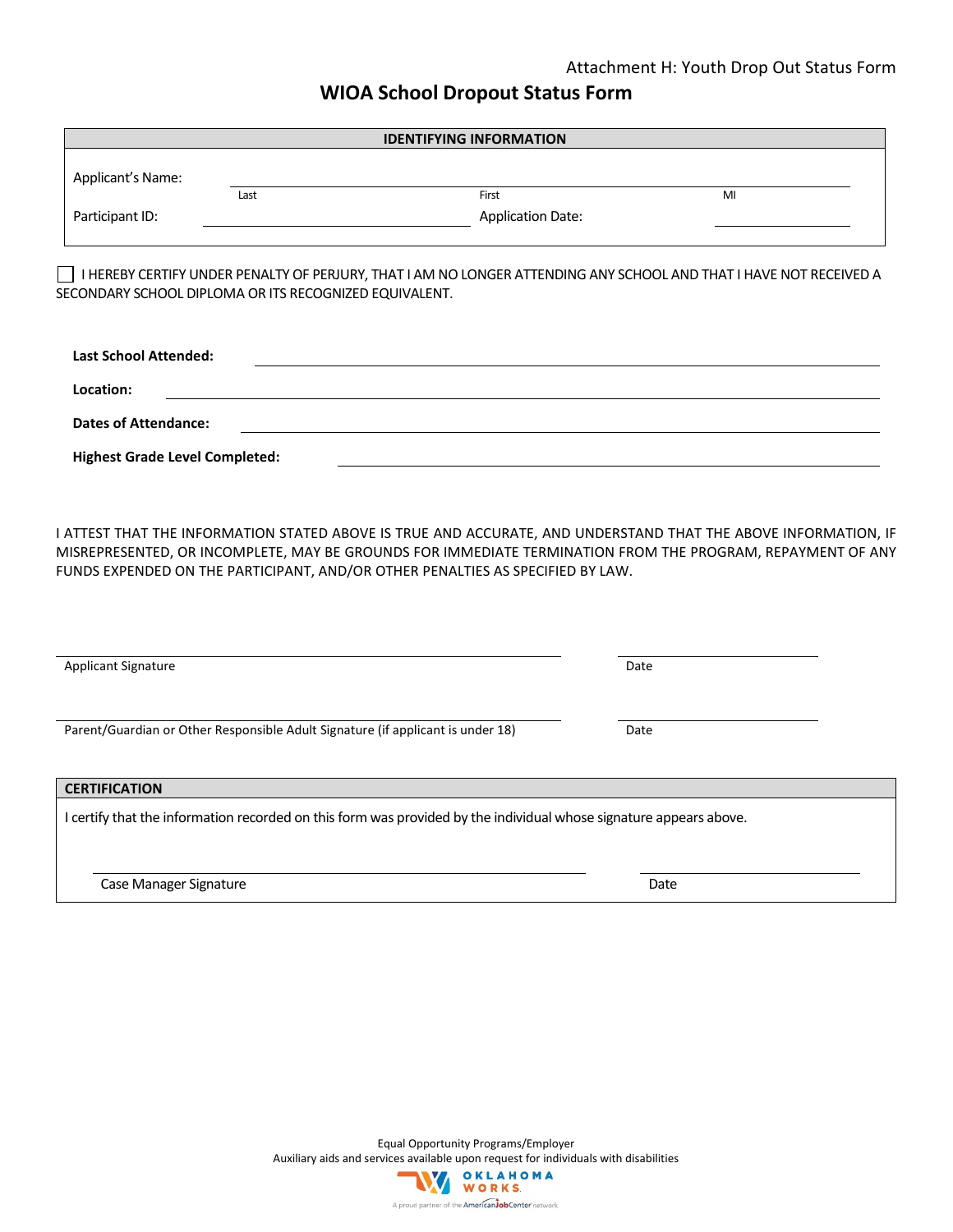### Attachment H: Youth Drop Out Status Form

## **WIOA School Dropout Status Form**

|                                                                                                                                                                                                                                                                                                                | <b>IDENTIFYING INFORMATION</b> |      |
|----------------------------------------------------------------------------------------------------------------------------------------------------------------------------------------------------------------------------------------------------------------------------------------------------------------|--------------------------------|------|
| Applicant's Name:                                                                                                                                                                                                                                                                                              |                                |      |
| Last                                                                                                                                                                                                                                                                                                           | First                          | MI   |
| Participant ID:                                                                                                                                                                                                                                                                                                | <b>Application Date:</b>       |      |
| I HEREBY CERTIFY UNDER PENALTY OF PERJURY, THAT I AM NO LONGER ATTENDING ANY SCHOOL AND THAT I HAVE NOT RECEIVED A<br>SECONDARY SCHOOL DIPLOMA OR ITS RECOGNIZED EQUIVALENT.                                                                                                                                   |                                |      |
| <b>Last School Attended:</b>                                                                                                                                                                                                                                                                                   |                                |      |
| Location:                                                                                                                                                                                                                                                                                                      |                                |      |
| <b>Dates of Attendance:</b>                                                                                                                                                                                                                                                                                    |                                |      |
| <b>Highest Grade Level Completed:</b>                                                                                                                                                                                                                                                                          |                                |      |
| I ATTEST THAT THE INFORMATION STATED ABOVE IS TRUE AND ACCURATE, AND UNDERSTAND THAT THE ABOVE INFORMATION, IF<br>MISREPRESENTED, OR INCOMPLETE, MAY BE GROUNDS FOR IMMEDIATE TERMINATION FROM THE PROGRAM, REPAYMENT OF ANY<br>FUNDS EXPENDED ON THE PARTICIPANT, AND/OR OTHER PENALTIES AS SPECIFIED BY LAW. |                                |      |
| Applicant Signature                                                                                                                                                                                                                                                                                            |                                | Date |
| Parent/Guardian or Other Responsible Adult Signature (if applicant is under 18)                                                                                                                                                                                                                                |                                | Date |
| <b>CERTIFICATION</b>                                                                                                                                                                                                                                                                                           |                                |      |
| I certify that the information recorded on this form was provided by the individual whose signature appears above.                                                                                                                                                                                             |                                |      |

Case Manager Signature **Date** Date of Case Manager Signature **Date** 

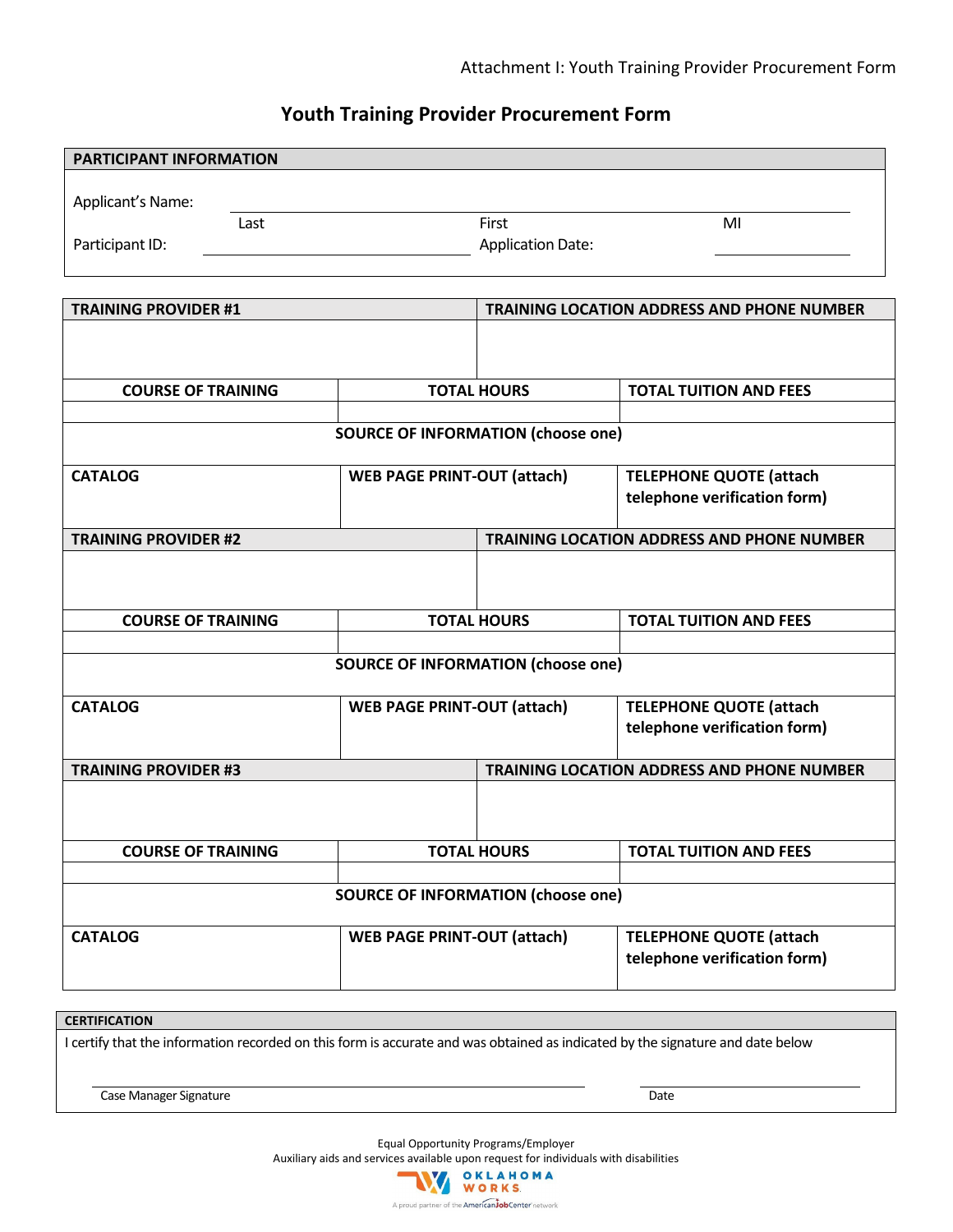## **Youth Training Provider Procurement Form**

| PARTICIPANT INFORMATION     |                                           |                          |                                                   |
|-----------------------------|-------------------------------------------|--------------------------|---------------------------------------------------|
| Applicant's Name:           |                                           |                          |                                                   |
| Last                        |                                           | First                    | MI                                                |
| Participant ID:             |                                           | <b>Application Date:</b> |                                                   |
|                             |                                           |                          |                                                   |
| <b>TRAINING PROVIDER #1</b> |                                           |                          | TRAINING LOCATION ADDRESS AND PHONE NUMBER        |
|                             |                                           |                          |                                                   |
| <b>COURSE OF TRAINING</b>   |                                           | <b>TOTAL HOURS</b>       | <b>TOTAL TUITION AND FEES</b>                     |
|                             |                                           |                          |                                                   |
|                             | <b>SOURCE OF INFORMATION (choose one)</b> |                          |                                                   |
| <b>CATALOG</b>              | <b>WEB PAGE PRINT-OUT (attach)</b>        |                          | <b>TELEPHONE QUOTE (attach</b>                    |
|                             |                                           |                          | telephone verification form)                      |
|                             |                                           |                          |                                                   |
| <b>TRAINING PROVIDER #2</b> |                                           |                          | <b>TRAINING LOCATION ADDRESS AND PHONE NUMBER</b> |
|                             |                                           |                          |                                                   |
| <b>COURSE OF TRAINING</b>   |                                           | <b>TOTAL HOURS</b>       | <b>TOTAL TUITION AND FEES</b>                     |
|                             |                                           |                          |                                                   |
|                             | <b>SOURCE OF INFORMATION (choose one)</b> |                          |                                                   |
| <b>CATALOG</b>              | <b>WEB PAGE PRINT-OUT (attach)</b>        |                          | <b>TELEPHONE QUOTE (attach</b>                    |
|                             |                                           |                          | telephone verification form)                      |
| <b>TRAINING PROVIDER #3</b> |                                           |                          | <b>TRAINING LOCATION ADDRESS AND PHONE NUMBER</b> |
|                             |                                           |                          |                                                   |
| <b>COURSE OF TRAINING</b>   |                                           | <b>TOTAL HOURS</b>       | <b>TOTAL TUITION AND FEES</b>                     |
|                             |                                           |                          |                                                   |
|                             | <b>SOURCE OF INFORMATION (choose one)</b> |                          |                                                   |
| <b>CATALOG</b>              | <b>WEB PAGE PRINT-OUT (attach)</b>        |                          | <b>TELEPHONE QUOTE (attach</b>                    |
|                             |                                           |                          | telephone verification form)                      |
|                             |                                           |                          |                                                   |

### **CERTIFICATION**

I certify that the information recorded on this form is accurate and was obtained as indicated by the signature and date below

Case Manager Signature **Date Date Date Date Date Date Date Date Date Date Date Date Date Date Date Date Date Date Date Date Date Date Date Date Date Date Date Date Da** 

Equal Opportunity Programs/Employer

Auxiliary aids and services available upon request for individuals with disabilities

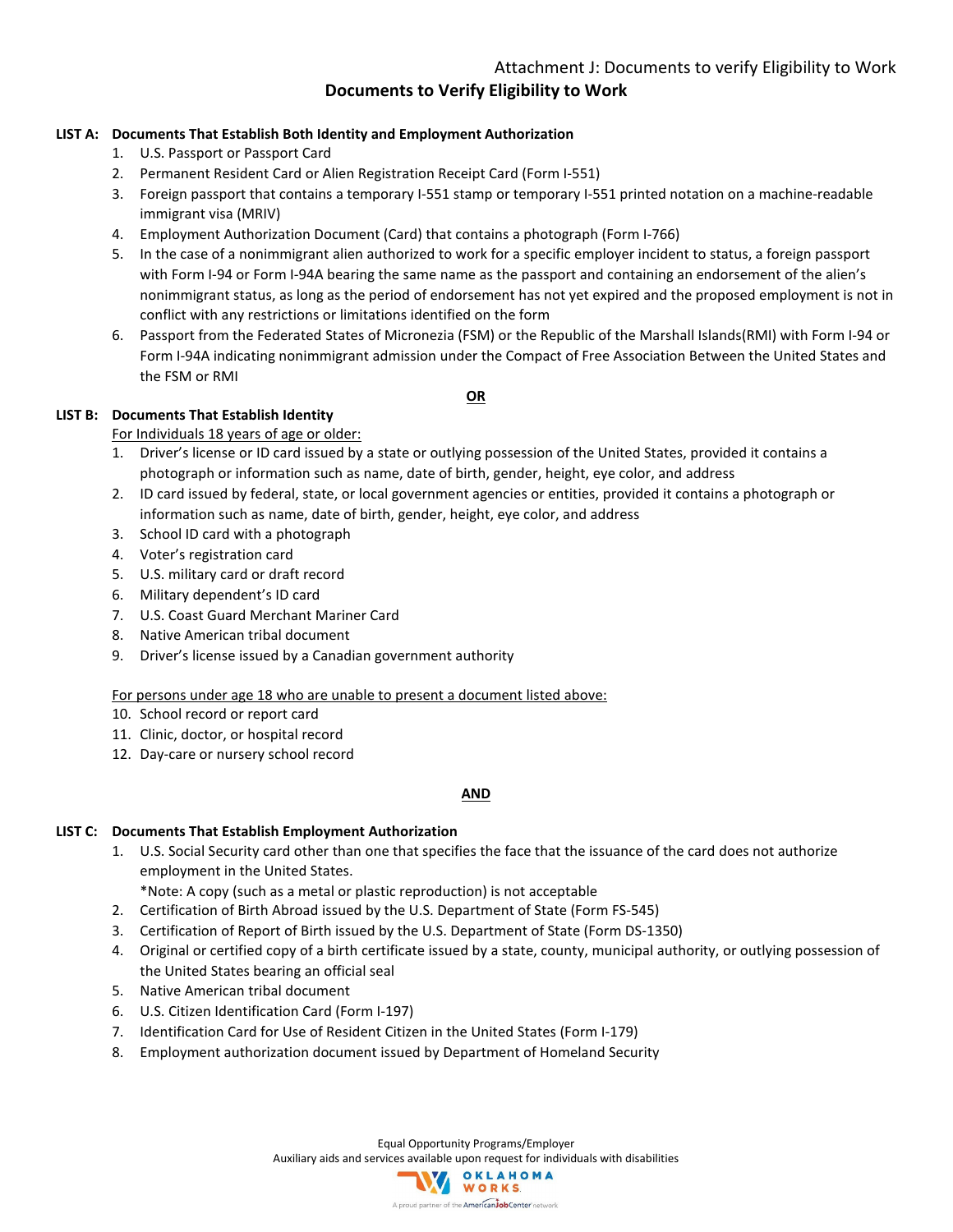**Documents to Verify Eligibility to Work**

### **LIST A: Documents That Establish Both Identity and Employment Authorization**

- 1. U.S. Passport or Passport Card
- 2. Permanent Resident Card or Alien Registration Receipt Card (Form I-551)
- 3. Foreign passport that contains a temporary I-551 stamp or temporary I-551 printed notation on a machine-readable immigrant visa (MRIV)
- 4. Employment Authorization Document (Card) that contains a photograph (Form I-766)
- 5. In the case of a nonimmigrant alien authorized to work for a specific employer incident to status, a foreign passport with Form I-94 or Form I-94A bearing the same name as the passport and containing an endorsement of the alien's nonimmigrant status, as long as the period of endorsement has not yet expired and the proposed employment is not in conflict with any restrictions or limitations identified on the form
- 6. Passport from the Federated States of Micronezia (FSM) or the Republic of the Marshall Islands(RMI) with Form I-94 or Form I-94A indicating nonimmigrant admission under the Compact of Free Association Between the United States and the FSM or RMI

#### **OR**

### **LIST B: Documents That Establish Identity**

#### For Individuals 18 years of age or older:

- 1. Driver's license or ID card issued by a state or outlying possession of the United States, provided it contains a photograph or information such as name, date of birth, gender, height, eye color, and address
- 2. ID card issued by federal, state, or local government agencies or entities, provided it contains a photograph or information such as name, date of birth, gender, height, eye color, and address
- 3. School ID card with a photograph
- 4. Voter's registration card
- 5. U.S. military card or draft record
- 6. Military dependent's ID card
- 7. U.S. Coast Guard Merchant Mariner Card
- 8. Native American tribal document
- 9. Driver's license issued by a Canadian government authority

### For persons under age 18 who are unable to present a document listed above:

- 10. School record or report card
- 11. Clinic, doctor, or hospital record
- 12. Day-care or nursery school record

#### **AND**

#### **LIST C: Documents That Establish Employment Authorization**

1. U.S. Social Security card other than one that specifies the face that the issuance of the card does not authorize employment in the United States.

\*Note: A copy (such as a metal or plastic reproduction) is not acceptable

- 2. Certification of Birth Abroad issued by the U.S. Department of State (Form FS-545)
- 3. Certification of Report of Birth issued by the U.S. Department of State (Form DS-1350)
- 4. Original or certified copy of a birth certificate issued by a state, county, municipal authority, or outlying possession of the United States bearing an official seal
- 5. Native American tribal document
- 6. U.S. Citizen Identification Card (Form I-197)
- 7. Identification Card for Use of Resident Citizen in the United States (Form I-179)
- 8. Employment authorization document issued by Department of Homeland Security

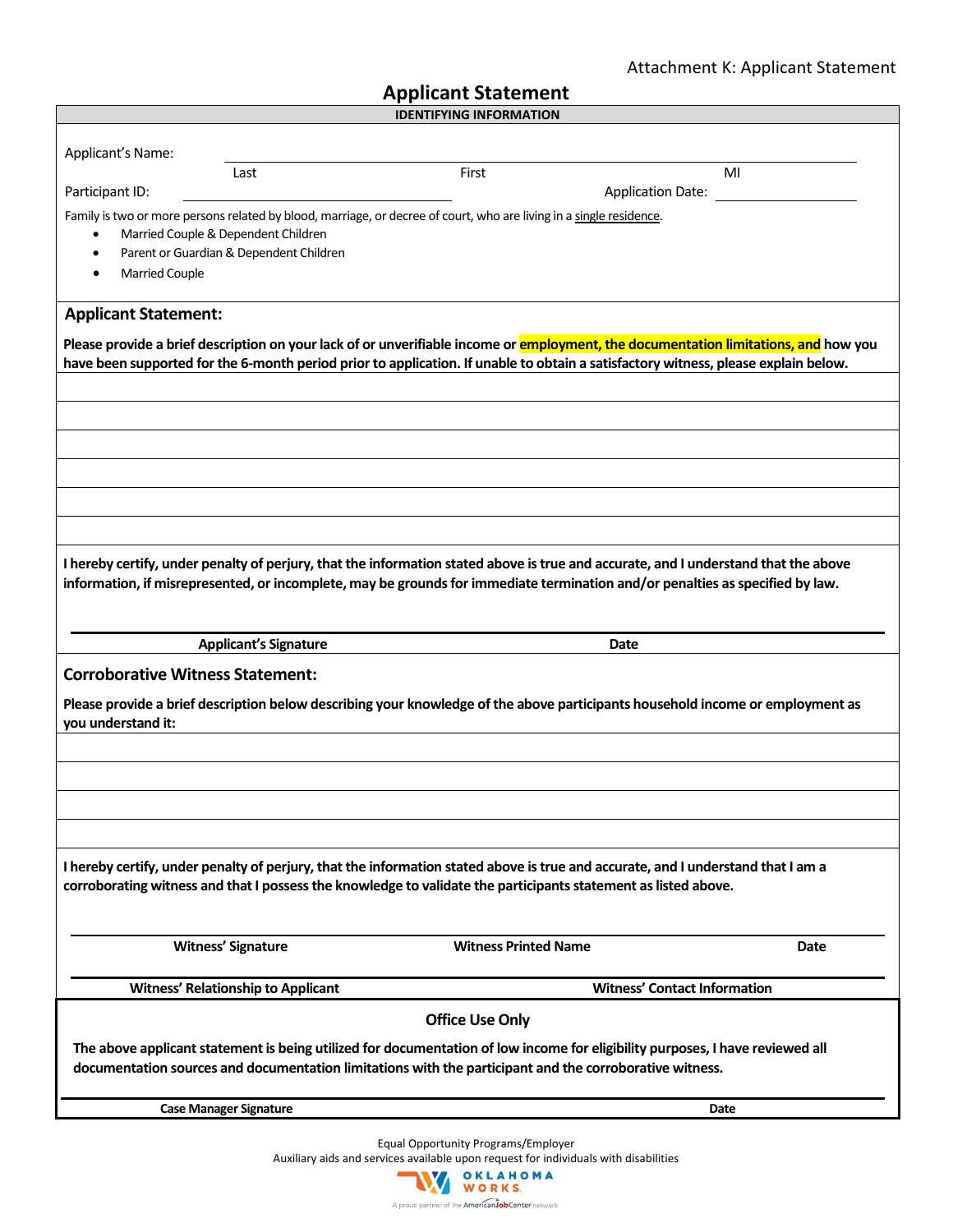## Attachment K: Applicant Statement

| <b>IDENTIFYING INFORMATION</b><br>Applicant's Name:<br>First<br>MI<br>Last<br>Participant ID:<br><b>Application Date:</b><br>Family is two or more persons related by blood, marriage, or decree of court, who are living in a single residence.<br>Married Couple & Dependent Children<br>$\bullet$<br>Parent or Guardian & Dependent Children<br>$\bullet$<br><b>Married Couple</b><br><b>Applicant Statement:</b><br>Please provide a brief description on your lack of or unverifiable income or employment, the documentation limitations, and how you<br>have been supported for the 6-month period prior to application. If unable to obtain a satisfactory witness, please explain below.<br>I hereby certify, under penalty of perjury, that the information stated above is true and accurate, and I understand that the above<br>information, if misrepresented, or incomplete, may be grounds for immediate termination and/or penalties as specified by law.<br><b>Applicant's Signature</b><br>Date<br><b>Corroborative Witness Statement:</b><br>Please provide a brief description below describing your knowledge of the above participants household income or employment as<br>you understand it:<br>I hereby certify, under penalty of perjury, that the information stated above is true and accurate, and I understand that I am a<br>corroborating witness and that I possess the knowledge to validate the participants statement as listed above.<br><b>Witness' Signature</b><br><b>Witness Printed Name</b> | <b>Applicant Statement</b> |  |  |  |      |
|----------------------------------------------------------------------------------------------------------------------------------------------------------------------------------------------------------------------------------------------------------------------------------------------------------------------------------------------------------------------------------------------------------------------------------------------------------------------------------------------------------------------------------------------------------------------------------------------------------------------------------------------------------------------------------------------------------------------------------------------------------------------------------------------------------------------------------------------------------------------------------------------------------------------------------------------------------------------------------------------------------------------------------------------------------------------------------------------------------------------------------------------------------------------------------------------------------------------------------------------------------------------------------------------------------------------------------------------------------------------------------------------------------------------------------------------------------------------------------------------------------------------------------------|----------------------------|--|--|--|------|
|                                                                                                                                                                                                                                                                                                                                                                                                                                                                                                                                                                                                                                                                                                                                                                                                                                                                                                                                                                                                                                                                                                                                                                                                                                                                                                                                                                                                                                                                                                                                        |                            |  |  |  |      |
|                                                                                                                                                                                                                                                                                                                                                                                                                                                                                                                                                                                                                                                                                                                                                                                                                                                                                                                                                                                                                                                                                                                                                                                                                                                                                                                                                                                                                                                                                                                                        |                            |  |  |  |      |
|                                                                                                                                                                                                                                                                                                                                                                                                                                                                                                                                                                                                                                                                                                                                                                                                                                                                                                                                                                                                                                                                                                                                                                                                                                                                                                                                                                                                                                                                                                                                        |                            |  |  |  |      |
|                                                                                                                                                                                                                                                                                                                                                                                                                                                                                                                                                                                                                                                                                                                                                                                                                                                                                                                                                                                                                                                                                                                                                                                                                                                                                                                                                                                                                                                                                                                                        |                            |  |  |  |      |
|                                                                                                                                                                                                                                                                                                                                                                                                                                                                                                                                                                                                                                                                                                                                                                                                                                                                                                                                                                                                                                                                                                                                                                                                                                                                                                                                                                                                                                                                                                                                        |                            |  |  |  |      |
|                                                                                                                                                                                                                                                                                                                                                                                                                                                                                                                                                                                                                                                                                                                                                                                                                                                                                                                                                                                                                                                                                                                                                                                                                                                                                                                                                                                                                                                                                                                                        |                            |  |  |  |      |
|                                                                                                                                                                                                                                                                                                                                                                                                                                                                                                                                                                                                                                                                                                                                                                                                                                                                                                                                                                                                                                                                                                                                                                                                                                                                                                                                                                                                                                                                                                                                        |                            |  |  |  |      |
|                                                                                                                                                                                                                                                                                                                                                                                                                                                                                                                                                                                                                                                                                                                                                                                                                                                                                                                                                                                                                                                                                                                                                                                                                                                                                                                                                                                                                                                                                                                                        |                            |  |  |  |      |
|                                                                                                                                                                                                                                                                                                                                                                                                                                                                                                                                                                                                                                                                                                                                                                                                                                                                                                                                                                                                                                                                                                                                                                                                                                                                                                                                                                                                                                                                                                                                        |                            |  |  |  |      |
|                                                                                                                                                                                                                                                                                                                                                                                                                                                                                                                                                                                                                                                                                                                                                                                                                                                                                                                                                                                                                                                                                                                                                                                                                                                                                                                                                                                                                                                                                                                                        |                            |  |  |  |      |
|                                                                                                                                                                                                                                                                                                                                                                                                                                                                                                                                                                                                                                                                                                                                                                                                                                                                                                                                                                                                                                                                                                                                                                                                                                                                                                                                                                                                                                                                                                                                        |                            |  |  |  |      |
|                                                                                                                                                                                                                                                                                                                                                                                                                                                                                                                                                                                                                                                                                                                                                                                                                                                                                                                                                                                                                                                                                                                                                                                                                                                                                                                                                                                                                                                                                                                                        |                            |  |  |  |      |
|                                                                                                                                                                                                                                                                                                                                                                                                                                                                                                                                                                                                                                                                                                                                                                                                                                                                                                                                                                                                                                                                                                                                                                                                                                                                                                                                                                                                                                                                                                                                        |                            |  |  |  | Date |
| <b>Witness' Contact Information</b><br><b>Witness' Relationship to Applicant</b>                                                                                                                                                                                                                                                                                                                                                                                                                                                                                                                                                                                                                                                                                                                                                                                                                                                                                                                                                                                                                                                                                                                                                                                                                                                                                                                                                                                                                                                       |                            |  |  |  |      |
| <b>Office Use Only</b><br>The above applicant statement is being utilized for documentation of low income for eligibility purposes, I have reviewed all<br>documentation sources and documentation limitations with the participant and the corroborative witness.                                                                                                                                                                                                                                                                                                                                                                                                                                                                                                                                                                                                                                                                                                                                                                                                                                                                                                                                                                                                                                                                                                                                                                                                                                                                     |                            |  |  |  |      |
| <b>Case Manager Signature</b><br>Date                                                                                                                                                                                                                                                                                                                                                                                                                                                                                                                                                                                                                                                                                                                                                                                                                                                                                                                                                                                                                                                                                                                                                                                                                                                                                                                                                                                                                                                                                                  |                            |  |  |  |      |

Auxiliary aids and services available upon request for individuals and services available upon request for individuals with  $\overrightarrow{N}$  with  $\overrightarrow{N}$  with  $\overrightarrow{N}$  with  $\overrightarrow{N}$  with  $\overrightarrow{N}$  with  $\overrightarrow{N}$  with  $\overrightarrow{N}$ A proud partner of the American JobCenter network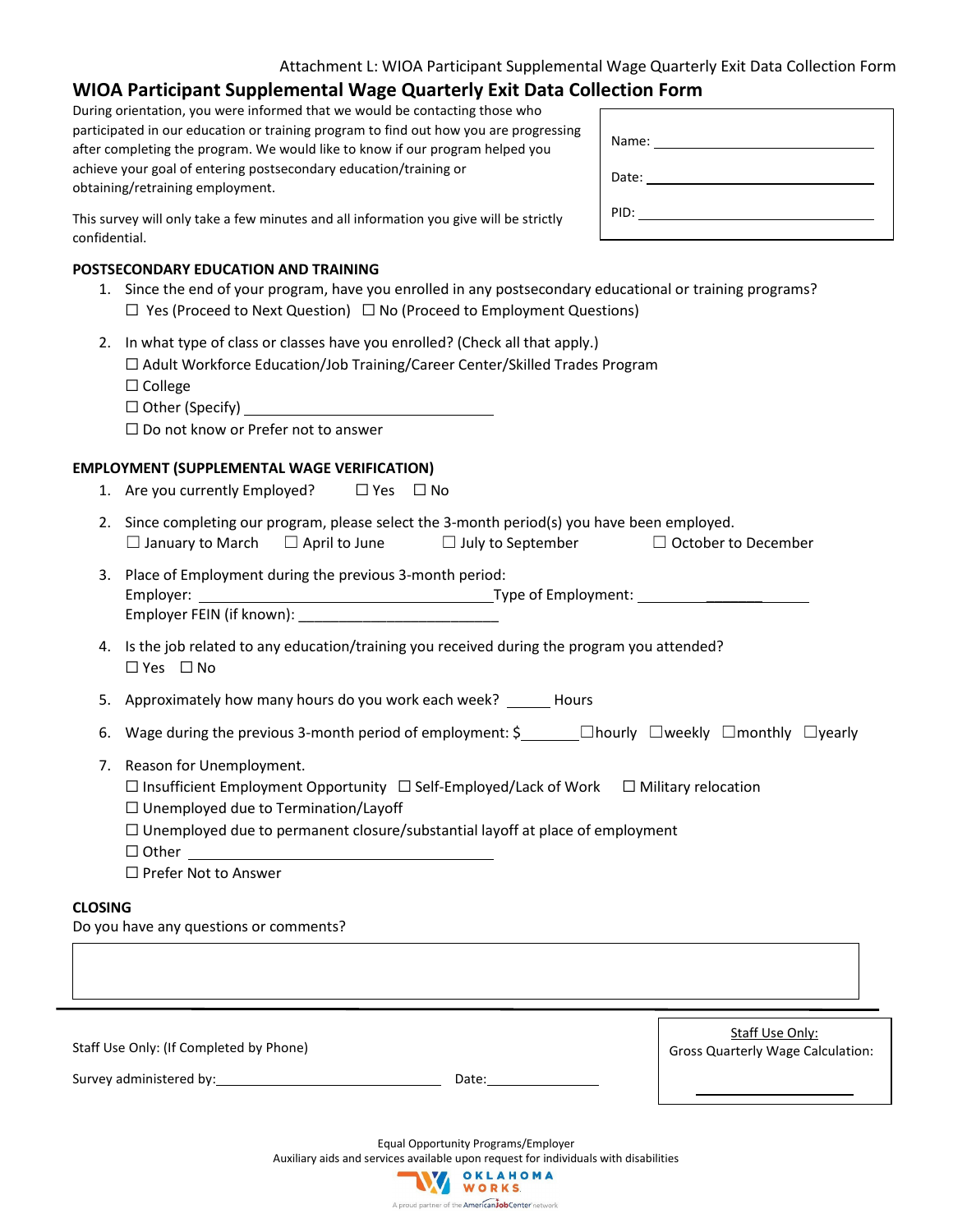## **WIOA Participant Supplemental Wage Quarterly Exit Data Collection Form**

During orientation, you were informed that we would be contacting those who participated in our education or training program to find out how you are progressing after completing the program. We would like to know if our program helped you achieve your goal of entering postsecondary education/training or obtaining/retraining employment.

| Date: ________________________ |  |
|--------------------------------|--|
| PID:                           |  |

This survey will only take a few minutes and all information you give will be strictly confidential.

#### **POSTSECONDARY EDUCATION AND TRAINING**

- 1. Since the end of your program, have you enrolled in any postsecondary educational or training programs?  $\Box$  Yes (Proceed to Next Question)  $\Box$  No (Proceed to Employment Questions)
- 2. In what type of class or classes have you enrolled? (Check all that apply.)

| $\Box$ Adult Workforce Education/Job Training/Career Center/Skilled Trades Program |
|------------------------------------------------------------------------------------|
| $\Box$ College                                                                     |

☐ Other (Specify)

☐ Do not know or Prefer not to answer

#### **EMPLOYMENT (SUPPLEMENTAL WAGE VERIFICATION)**

- 1. Are you currently Employed?  $□$  Yes  $□$  No
- 2. Since completing our program, please select the 3-month period(s) you have been employed. ☐ January to March ☐ April to June ☐ July to September ☐ October to December
- 3. Place of Employment during the previous 3-month period: Employer: Type of Employment: \_\_\_\_\_\_\_

Employer FEIN (if known):

4. Is the job related to any education/training you received during the program you attended? ☐ Yes ☐ No

5. Approximately how many hours do you work each week? Hours

- 6. Wage during the previous 3-month period of employment: \$\_\_\_\_\_\_\_ □hourly □weekly □monthly □yearly
- 7. Reason for Unemployment.
	- ☐ Insufficient Employment Opportunity ☐ Self-Employed/Lack of Work ☐ Military relocation
	- $\Box$  Unemployed due to Termination/Layoff
	- ☐ Unemployed due to permanent closure/substantial layoff at place of employment

☐ Other

☐ Prefer Not to Answer

#### **CLOSING**

Do you have any questions or comments?

| Staff Use Only: (If Completed by Phone) |       | Staff Use Only:<br><b>Gross Quarterly Wage Calculation:</b> |
|-----------------------------------------|-------|-------------------------------------------------------------|
| Survey administered by:                 | Date: |                                                             |

Equal Opportunity Programs/Employer Auxiliary aids and services available upon request for individuals with disabilities

> OKLAHOMA WORKS A proud partner of the American JobCenter network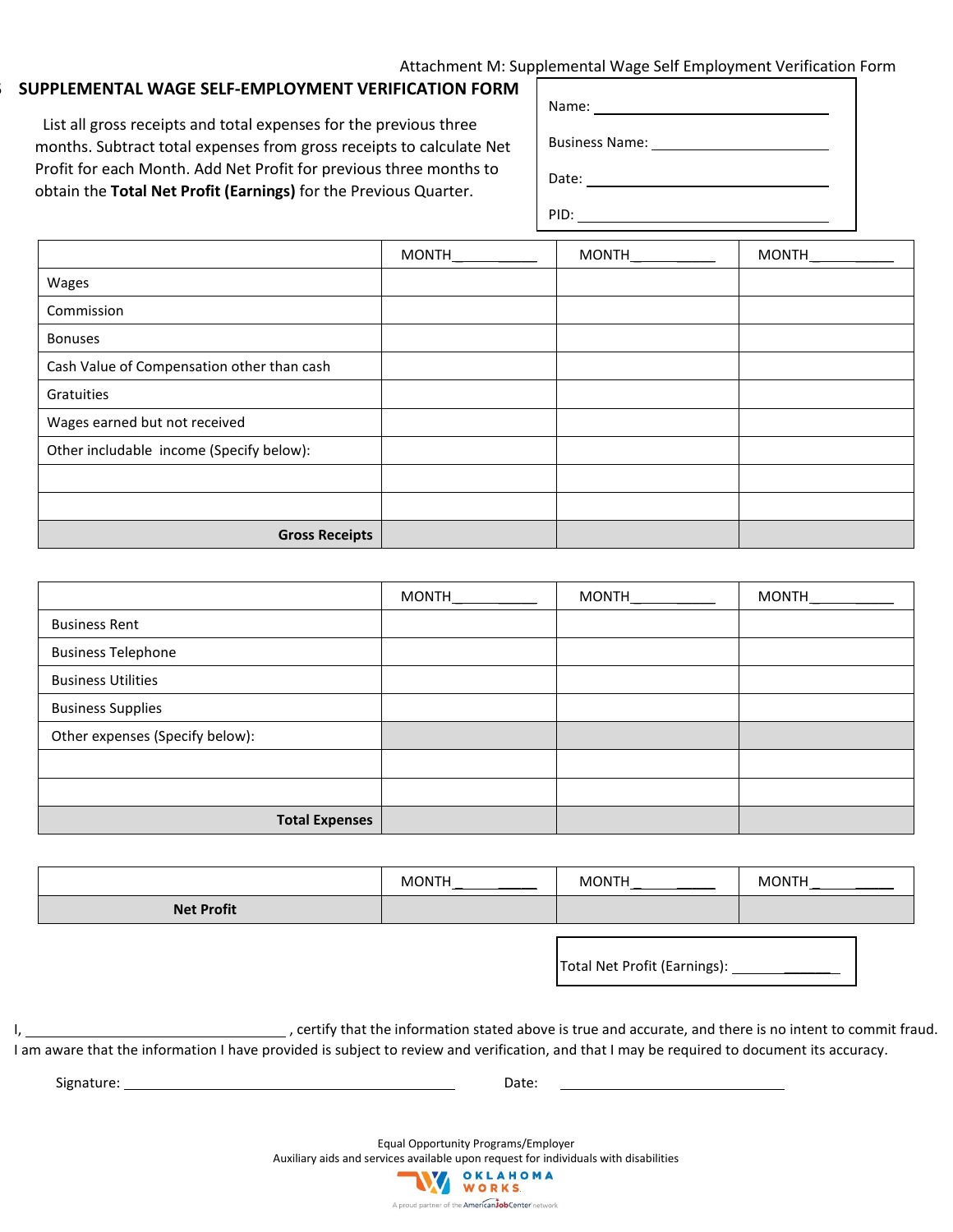### Attachment M: Supplemental Wage Self Employment Verification Form

### SUPPLEMENTAL WAGE SELF-EMPLOYMENT VERIFICATION FORM

 List all gross receipts and total expenses for the previous three months. Subtract total expenses from gross receipts to calculate Net Profit for each Month. Add Net Profit for previous three months to obtain the **Total Net Profit (Earnings)** for the Previous Quarter.

| Name: ________________________ |                                                                                                           |
|--------------------------------|-----------------------------------------------------------------------------------------------------------|
|                                | Business Name: Name: Name and Allen and Allen and Allen and Allen and Allen and Allen and Allen and Allen |
| Date: ___________________      |                                                                                                           |
| PID:                           |                                                                                                           |

|                                            | MONTH | MONTH | <b>MONTH</b> |
|--------------------------------------------|-------|-------|--------------|
| Wages                                      |       |       |              |
| Commission                                 |       |       |              |
| <b>Bonuses</b>                             |       |       |              |
| Cash Value of Compensation other than cash |       |       |              |
| Gratuities                                 |       |       |              |
| Wages earned but not received              |       |       |              |
| Other includable income (Specify below):   |       |       |              |
|                                            |       |       |              |
|                                            |       |       |              |
| <b>Gross Receipts</b>                      |       |       |              |

|                                 | MONTH | <b>MONTH</b> | MONTH |
|---------------------------------|-------|--------------|-------|
| <b>Business Rent</b>            |       |              |       |
| <b>Business Telephone</b>       |       |              |       |
| <b>Business Utilities</b>       |       |              |       |
| <b>Business Supplies</b>        |       |              |       |
| Other expenses (Specify below): |       |              |       |
|                                 |       |              |       |
|                                 |       |              |       |
| <b>Total Expenses</b>           |       |              |       |

|                   | <b>MONTH</b> | <b>MONTH</b> | <b>MONTH</b> |
|-------------------|--------------|--------------|--------------|
| <b>Net Profit</b> |              |              |              |

Total Net Profit (Earnings): \_\_\_\_\_\_

I, , certify that the information stated above is true and accurate, and there is no intent to commit fraud. I am aware that the information I have provided is subject to review and verification, and that I may be required to document its accuracy.

Signature: Date:

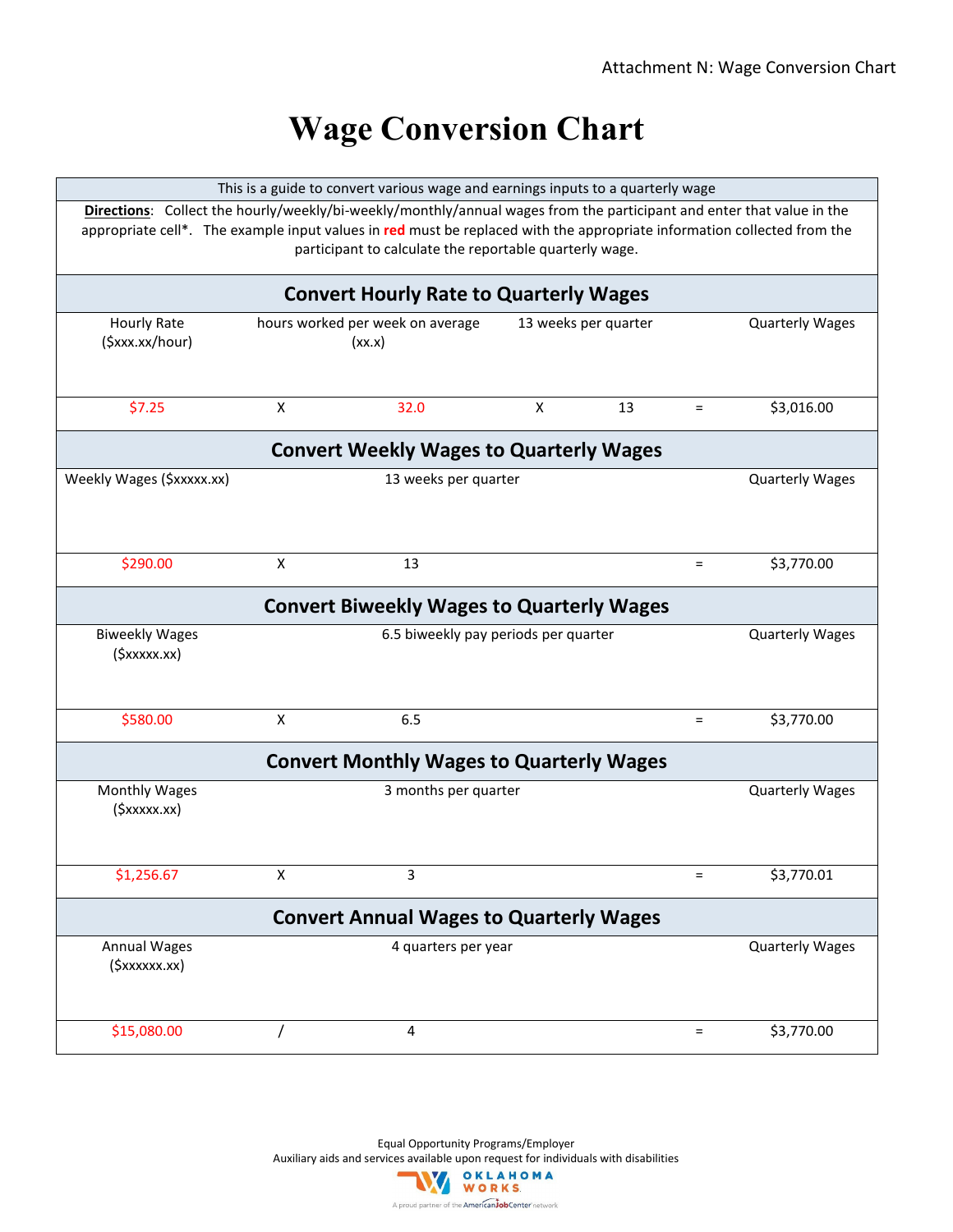# **Wage Conversion Chart**

| This is a guide to convert various wage and earnings inputs to a quarterly wage |                |                                                                                                                         |                |                      |          |                        |
|---------------------------------------------------------------------------------|----------------|-------------------------------------------------------------------------------------------------------------------------|----------------|----------------------|----------|------------------------|
|                                                                                 |                | Directions: Collect the hourly/weekly/bi-weekly/monthly/annual wages from the participant and enter that value in the   |                |                      |          |                        |
|                                                                                 |                | appropriate cell*. The example input values in red must be replaced with the appropriate information collected from the |                |                      |          |                        |
|                                                                                 |                | participant to calculate the reportable quarterly wage.                                                                 |                |                      |          |                        |
|                                                                                 |                |                                                                                                                         |                |                      |          |                        |
|                                                                                 |                | <b>Convert Hourly Rate to Quarterly Wages</b>                                                                           |                |                      |          |                        |
| <b>Hourly Rate</b>                                                              |                | hours worked per week on average                                                                                        |                | 13 weeks per quarter |          | <b>Quarterly Wages</b> |
| (\$xxx.xx/hour)                                                                 |                | (xx.x)                                                                                                                  |                |                      |          |                        |
|                                                                                 |                |                                                                                                                         |                |                      |          |                        |
|                                                                                 |                |                                                                                                                         |                |                      |          |                        |
| \$7.25                                                                          | $\pmb{\times}$ | 32.0                                                                                                                    | $\pmb{\times}$ | 13                   | $\equiv$ | \$3,016.00             |
|                                                                                 |                |                                                                                                                         |                |                      |          |                        |
|                                                                                 |                | <b>Convert Weekly Wages to Quarterly Wages</b>                                                                          |                |                      |          |                        |
| Weekly Wages (\$xxxxx.xx)                                                       |                | 13 weeks per quarter                                                                                                    |                |                      |          | <b>Quarterly Wages</b> |
|                                                                                 |                |                                                                                                                         |                |                      |          |                        |
|                                                                                 |                |                                                                                                                         |                |                      |          |                        |
|                                                                                 |                |                                                                                                                         |                |                      |          |                        |
|                                                                                 |                |                                                                                                                         |                |                      |          |                        |
| \$290.00                                                                        | X              | 13                                                                                                                      |                |                      | $=$      | \$3,770.00             |
|                                                                                 |                | <b>Convert Biweekly Wages to Quarterly Wages</b>                                                                        |                |                      |          |                        |
|                                                                                 |                |                                                                                                                         |                |                      |          |                        |
| <b>Biweekly Wages</b>                                                           |                | 6.5 biweekly pay periods per quarter                                                                                    |                |                      |          | <b>Quarterly Wages</b> |
| $($ \$xxxxx.xx $)$                                                              |                |                                                                                                                         |                |                      |          |                        |
|                                                                                 |                |                                                                                                                         |                |                      |          |                        |
|                                                                                 |                |                                                                                                                         |                |                      |          |                        |
| \$580.00                                                                        | X              | 6.5                                                                                                                     |                |                      | $=$      | \$3,770.00             |
|                                                                                 |                |                                                                                                                         |                |                      |          |                        |
| <b>Convert Monthly Wages to Quarterly Wages</b>                                 |                |                                                                                                                         |                |                      |          |                        |
| Monthly Wages                                                                   |                | 3 months per quarter                                                                                                    |                |                      |          | <b>Quarterly Wages</b> |
| $($ \$xxxxx.xx $)$                                                              |                |                                                                                                                         |                |                      |          |                        |
|                                                                                 |                |                                                                                                                         |                |                      |          |                        |
|                                                                                 |                |                                                                                                                         |                |                      |          |                        |
| \$1,256.67                                                                      | X              | 3                                                                                                                       |                |                      |          | \$3,770.01             |
|                                                                                 |                |                                                                                                                         |                |                      |          |                        |
| <b>Convert Annual Wages to Quarterly Wages</b>                                  |                |                                                                                                                         |                |                      |          |                        |
| Annual Wages                                                                    |                | 4 quarters per year                                                                                                     |                |                      |          | <b>Quarterly Wages</b> |
| (\$xxxxxx.xx)                                                                   |                |                                                                                                                         |                |                      |          |                        |
|                                                                                 |                |                                                                                                                         |                |                      |          |                        |
|                                                                                 |                |                                                                                                                         |                |                      |          |                        |
| \$15,080.00                                                                     |                | 4                                                                                                                       |                |                      | $=$      | \$3,770.00             |
|                                                                                 |                |                                                                                                                         |                |                      |          |                        |